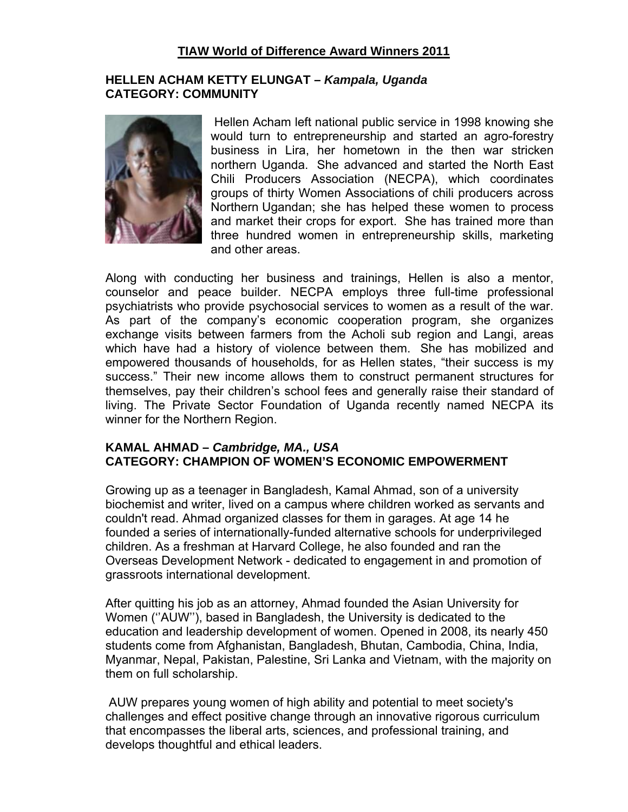## **TIAW World of Difference Award Winners 2011**

#### **HELLEN ACHAM KETTY ELUNGAT –** *Kampala, Uganda* **CATEGORY: COMMUNITY**



 Hellen Acham left national public service in 1998 knowing she would turn to entrepreneurship and started an agro-forestry business in Lira, her hometown in the then war stricken northern Uganda. She advanced and started the North East Chili Producers Association (NECPA), which coordinates groups of thirty Women Associations of chili producers across Northern Ugandan; she has helped these women to process and market their crops for export. She has trained more than three hundred women in entrepreneurship skills, marketing and other areas.

Along with conducting her business and trainings, Hellen is also a mentor, counselor and peace builder. NECPA employs three full-time professional psychiatrists who provide psychosocial services to women as a result of the war. As part of the company's economic cooperation program, she organizes exchange visits between farmers from the Acholi sub region and Langi, areas which have had a history of violence between them. She has mobilized and empowered thousands of households, for as Hellen states, "their success is my success." Their new income allows them to construct permanent structures for themselves, pay their children's school fees and generally raise their standard of living. The Private Sector Foundation of Uganda recently named NECPA its winner for the Northern Region.

### **KAMAL AHMAD –** *Cambridge, MA., USA*  **CATEGORY: CHAMPION OF WOMEN'S ECONOMIC EMPOWERMENT**

Growing up as a teenager in Bangladesh, Kamal Ahmad, son of a university biochemist and writer, lived on a campus where children worked as servants and couldn't read. Ahmad organized classes for them in garages. At age 14 he founded a series of internationally-funded alternative schools for underprivileged children. As a freshman at Harvard College, he also founded and ran the Overseas Development Network - dedicated to engagement in and promotion of grassroots international development.

After quitting his job as an attorney, Ahmad founded the Asian University for Women (''AUW''), based in Bangladesh, the University is dedicated to the education and leadership development of women. Opened in 2008, its nearly 450 students come from Afghanistan, Bangladesh, Bhutan, Cambodia, China, India, Myanmar, Nepal, Pakistan, Palestine, Sri Lanka and Vietnam, with the majority on them on full scholarship.

 AUW prepares young women of high ability and potential to meet society's challenges and effect positive change through an innovative rigorous curriculum that encompasses the liberal arts, sciences, and professional training, and develops thoughtful and ethical leaders.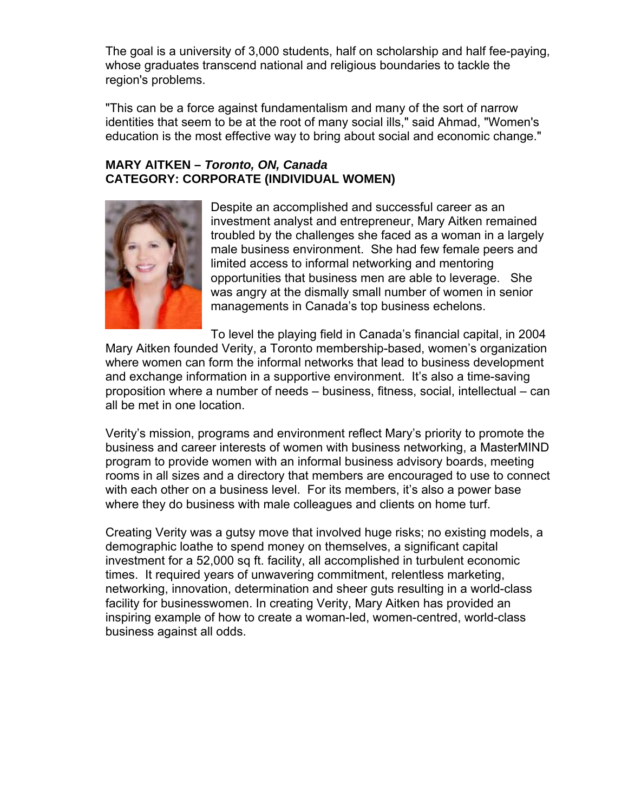The goal is a university of 3,000 students, half on scholarship and half fee-paying, whose graduates transcend national and religious boundaries to tackle the region's problems.

"This can be a force against fundamentalism and many of the sort of narrow identities that seem to be at the root of many social ills," said Ahmad, "Women's education is the most effective way to bring about social and economic change."

#### **MARY AITKEN –** *Toronto, ON, Canada*  **CATEGORY: CORPORATE (INDIVIDUAL WOMEN)**



Despite an accomplished and successful career as an investment analyst and entrepreneur, Mary Aitken remained troubled by the challenges she faced as a woman in a largely male business environment. She had few female peers and limited access to informal networking and mentoring opportunities that business men are able to leverage. She was angry at the dismally small number of women in senior managements in Canada's top business echelons.

To level the playing field in Canada's financial capital, in 2004 Mary Aitken founded Verity, a Toronto membership-based, women's organization where women can form the informal networks that lead to business development and exchange information in a supportive environment. It's also a time-saving proposition where a number of needs – business, fitness, social, intellectual – can all be met in one location.

Verity's mission, programs and environment reflect Mary's priority to promote the business and career interests of women with business networking, a MasterMIND program to provide women with an informal business advisory boards, meeting rooms in all sizes and a directory that members are encouraged to use to connect with each other on a business level. For its members, it's also a power base where they do business with male colleagues and clients on home turf.

Creating Verity was a gutsy move that involved huge risks; no existing models, a demographic loathe to spend money on themselves, a significant capital investment for a 52,000 sq ft. facility, all accomplished in turbulent economic times. It required years of unwavering commitment, relentless marketing, networking, innovation, determination and sheer guts resulting in a world-class facility for businesswomen. In creating Verity, Mary Aitken has provided an inspiring example of how to create a woman-led, women-centred, world-class business against all odds.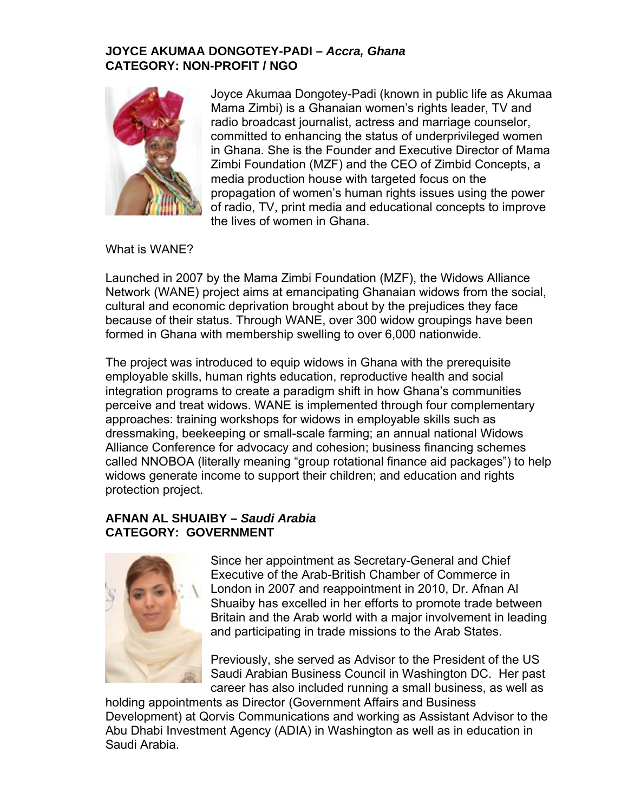## **JOYCE AKUMAA DONGOTEY-PADI –** *Accra, Ghana*  **CATEGORY: NON-PROFIT / NGO**



Joyce Akumaa Dongotey-Padi (known in public life as Akumaa Mama Zimbi) is a Ghanaian women's rights leader, TV and radio broadcast journalist, actress and marriage counselor, committed to enhancing the status of underprivileged women in Ghana. She is the Founder and Executive Director of Mama Zimbi Foundation (MZF) and the CEO of Zimbid Concepts, a media production house with targeted focus on the propagation of women's human rights issues using the power of radio, TV, print media and educational concepts to improve the lives of women in Ghana.

What is WANE?

Launched in 2007 by the Mama Zimbi Foundation (MZF), the Widows Alliance Network (WANE) project aims at emancipating Ghanaian widows from the social, cultural and economic deprivation brought about by the prejudices they face because of their status. Through WANE, over 300 widow groupings have been formed in Ghana with membership swelling to over 6,000 nationwide.

The project was introduced to equip widows in Ghana with the prerequisite employable skills, human rights education, reproductive health and social integration programs to create a paradigm shift in how Ghana's communities perceive and treat widows. WANE is implemented through four complementary approaches: training workshops for widows in employable skills such as dressmaking, beekeeping or small-scale farming; an annual national Widows Alliance Conference for advocacy and cohesion; business financing schemes called NNOBOA (literally meaning "group rotational finance aid packages") to help widows generate income to support their children; and education and rights protection project.

## **AFNAN AL SHUAIBY –** *Saudi Arabia*  **CATEGORY: GOVERNMENT**



Britain and the Arab world with a major involvement in leading and participating in trade missions to the Arab States. Since her appointment as Secretary-General and Chief Executive of the Arab-British Chamber of Commerce in London in 2007 and reappointment in 2010, Dr. Afnan Al Shuaiby has excelled in her efforts to promote trade between

Previously, she served as Advisor to the President of the US Saudi Arabian Business Council in Washington DC. Her past career has also included running a small business, as well as

holding appointments as Director (Government Affairs and Business Development) at Qorvis Communications and working as Assistant Advisor to the Abu Dhabi Investment Agency (ADIA) in Washington as well as in education in Saudi Arabia.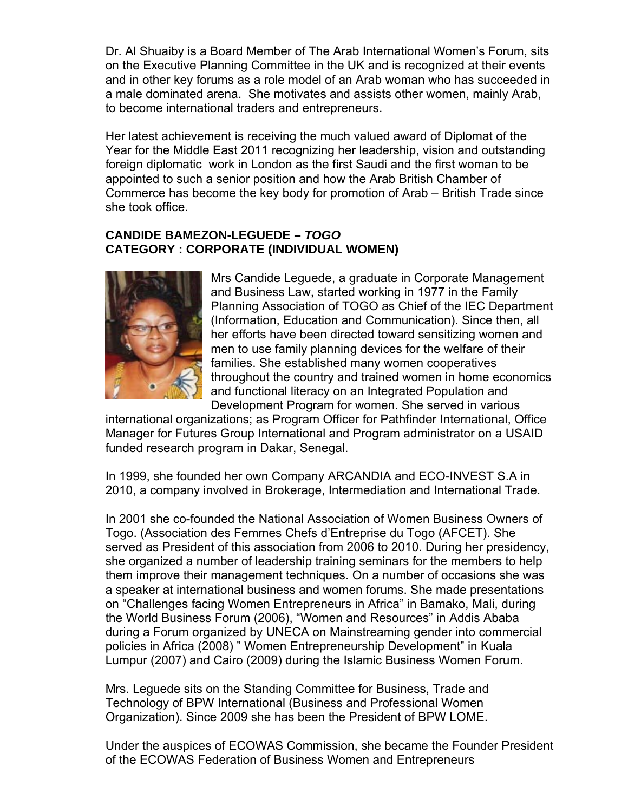Dr. Al Shuaiby is a Board Member of The Arab International Women's Forum, sits on the Executive Planning Committee in the UK and is recognized at their events and in other key forums as a role model of an Arab woman who has succeeded in a male dominated arena. She motivates and assists other women, mainly Arab, to become international traders and entrepreneurs.

Her latest achievement is receiving the much valued award of Diplomat of the Year for the Middle East 2011 recognizing her leadership, vision and outstanding foreign diplomatic work in London as the first Saudi and the first woman to be appointed to such a senior position and how the Arab British Chamber of Commerce has become the key body for promotion of Arab – British Trade since she took office.

## **CANDIDE BAMEZON-LEGUEDE –** *TOGO*  **CATEGORY : CORPORATE (INDIVIDUAL WOMEN)**



Mrs Candide Leguede, a graduate in Corporate Management and Business Law, started working in 1977 in the Family Planning Association of TOGO as Chief of the IEC Department (Information, Education and Communication). Since then, all her efforts have been directed toward sensitizing women and men to use family planning devices for the welfare of their families. She established many women cooperatives throughout the country and trained women in home economics and functional literacy on an Integrated Population and Development Program for women. She served in va rious

international organizations; as Program Officer for Pathfinder International, Office Manager for Futures Group International and Program administrator on a US AID funded research program in Dakar, Sen egal.

In 1999, she founded her own Company ARCANDIA and ECO-INVEST S.A in 2010, a company involved in Brokerage, Intermediation and International Trade.

In 2001 she co-founded the National Association of Women Business Owners of Togo. (Association des Femmes Chefs d'Entreprise du Togo (AFCET). She served as President of this association from 2006 to 2010. During her presidency, she organized a number of leadership training seminars for the members to help them improve their management techniques. On a number of occasions she was a speaker at international business and women forums. She made presentations on "Challenges facing Women Entrepreneurs in Africa" in Bamako, Mali, during the World Business Forum (2006), "Women and Resources" in Addis Ababa during a Forum organized by UNECA on Mainstreaming gender into commercial policies in Africa (2008) " Women Entrepreneurship Development" in Kuala Lumpur (2007) and Cairo (2009) during the Islamic Business Women Forum.

Mrs. Leguede sits on the Standing Committee for Business, Trade and Technology of BPW International (Business and Professional Women Organization). Since 2009 she has been the President of BPW LOME.

Under the auspices of ECOWAS Commission, she became the Founder President of the ECOWAS Federation of Business Women and Entrepreneurs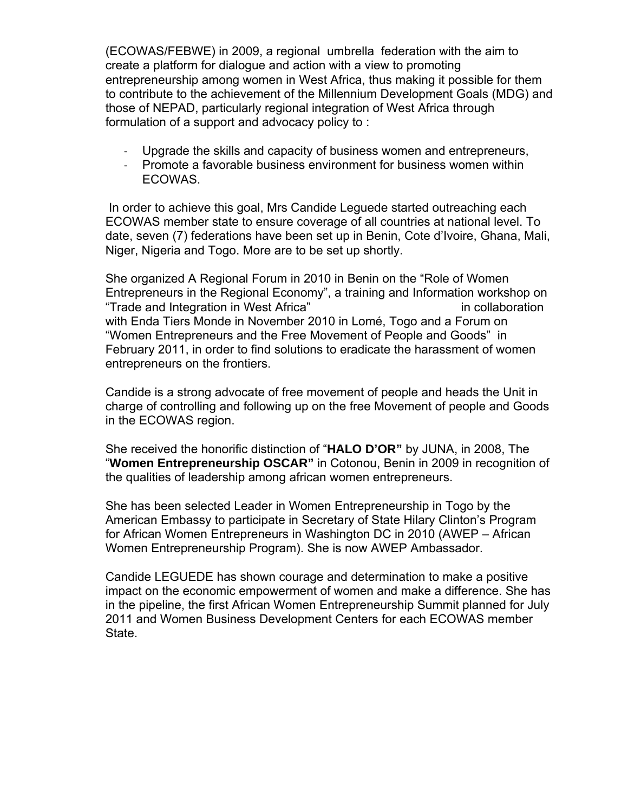(ECOWAS/FEBWE) in 2009, a regional umbrella federation with the aim to create a platform for dialogue and action with a view to promoting entrepreneurship among women in West Africa, thus making it possible for them to contribute to the achievement of the Millennium Development Goals (MDG) and those of NEPAD, particularly regional integration of West Africa through formulation of a support and advocacy policy to :

- ‐ Upgrade the skills and capacity of business women and entrepreneurs,
- ‐ Promote a favorable business environment for business women within ECOWAS.

 In order to achieve this goal, Mrs Candide Leguede started outreaching each ECOWAS member state to ensure coverage of all countries at national level. To date, seven (7) federations have been set up in Benin, Cote d'Ivoire, Ghana, Mali, Niger, Nigeria and Togo. More are to be set up shortly.

She organized A Regional Forum in 2010 in Benin on the "Role of Women Entrepreneurs in the Regional Economy", a training and Information workshop on "Trade and Integration in West Africa" in collaboration with Enda Tiers Monde in November 2010 in Lomé, Togo and a Forum on "Women Entrepreneurs and the Free Movement of People and Goods" in February 2011, in order to find solutions to eradicate the harassment of women entrepreneurs on the frontiers.

Candide is a strong advocate of free movement of people and heads the Unit in charge of controlling and following up on the free Movement of people and Goods in the ECOWAS region.

She received the honorific distinction of "**HALO D'OR"** by JUNA, in 2008, The "**Women Entrepreneurship OSCAR"** in Cotonou, Benin in 2009 in recognition of the qualities of leadership among african women entrepreneurs.

She has been selected Leader in Women Entrepreneurship in Togo by the American Embassy to participate in Secretary of State Hilary Clinton's Program for African Women Entrepreneurs in Washington DC in 2010 (AWEP – African Women Entrepreneurship Program). She is now AWEP Ambassador.

Candide LEGUEDE has shown courage and determination to make a positive impact on the economic empowerment of women and make a difference. She has in the pipeline, the first African Women Entrepreneurship Summit planned for July 2011 and Women Business Development Centers for each ECOWAS member State.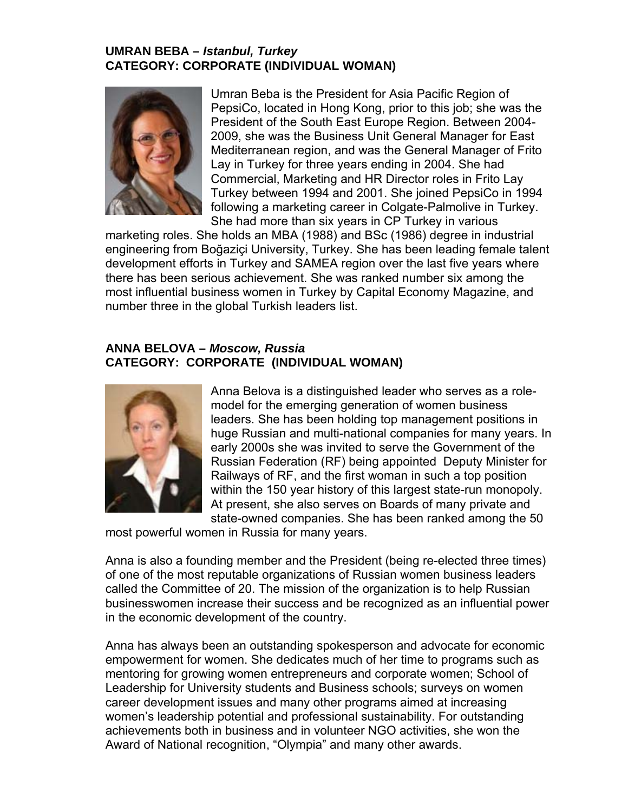## **UMRAN BEBA –** *Istanbul, Turkey*  **CATEGORY: CORPORATE (INDIVIDUAL WOMAN)**



Umran Beba is the President for Asia Pacific Region of PepsiCo, located in Hong Kong, prior to this job; she was the President of the South East Europe Region. Between 2004- 2009, she was the Business Unit General Manager for East Mediterranean region, and was the General Manager of Frito Lay in Turkey for three years ending in 2004. She had Commercial, Marketing and HR Director roles in Frito Lay Turkey between 1994 and 2001. She joined PepsiCo in 1994 following a marketing career in Colgate-Palmolive in Turkey. She had more than six years in CP Turkey in various

marketing roles. She holds an MBA (1988) and BSc (1986) degree in industrial engineering from Boğaziçi University, Turkey. She has been leading female tale nt development efforts in Turkey and SAMEA region over the last five years where there has been serious achievement. She was ranked number six among the most influential business women in Turkey by Capital Economy Magazine, and number three in the g lobal Turkish leaders list.

## **ANNA BELOVA –** *Moscow, Russia* **CATEGORY: CORPORATE (INDIVIDUAL WOMAN)**



leaders. She has been holding top management positions in At present, she also serves on Boards of many private and Anna Belova is a distinguished leader who serves as a rolemodel for the emerging generation of women business huge Russian and multi-national companies for many years. In early 2000s she was invited to serve the Government of the Russian Federation (RF) being appointed Deputy Minister for Railways of RF, and the first woman in such a top position within the 150 year history of this largest state-run monopoly. state-owned companies. She has been ranked among the 50

most powerful women in Russia for many years.

Anna is also a founding member and the President (being re-elected three times) of one of the most reputable organizations of Russian women business leaders called the Committee of 20. The mission of the organization is to help Russian businesswomen increase their success and be recognized as an influential power in the economic development of the country.

Anna has always been an outstanding spokesperson and advocate for economic empowerment for women. She dedicates much of her time to programs such as mentoring for growing women entrepreneurs and corporate women; School of Leadership for University students and Business schools; surveys on women career development issues and many other programs aimed at increasing women's leadership potential and professional sustainability. For outstanding achievements both in business and in volunteer NGO activities, she won the Award of National recognition, "Olympia" and many other awards.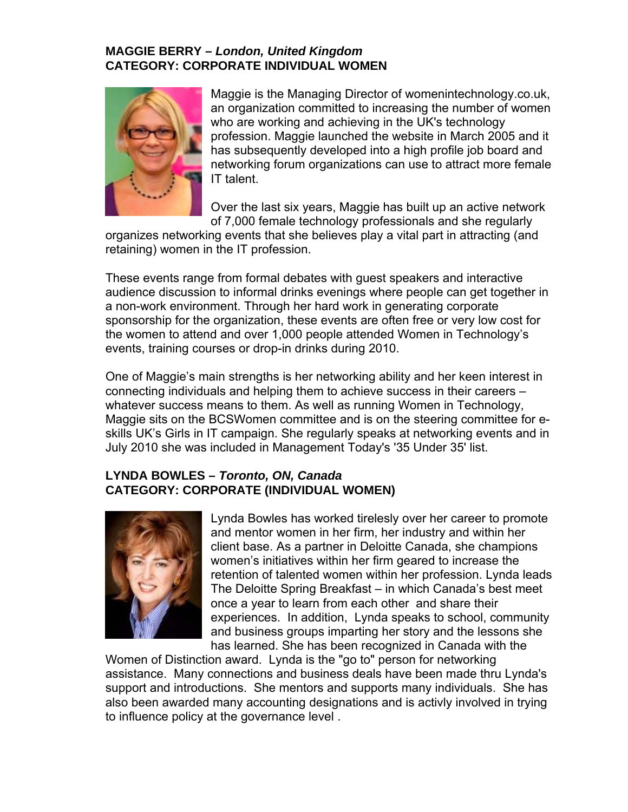### **MAGGIE BERRY –** *London, United Kingdom*  **CATEGORY: CORPORATE INDIVIDUAL WOMEN**



Maggie is the Managing Director of womenintechnology.co.uk, an organization committed to increasing the number of women who are working and achieving in the UK's technology profession. Maggie launched the website in March 2005 and it has subsequently developed into a high profile job board and networking forum organizations can use to attract more female IT talent.

Over the last six years, Maggie has built up an active network of 7,000 female technology professionals and she regularly

organizes networking events that she believes play a vital part in attracting (and retaining) women in the IT profession.

These events range from formal debates with guest speakers and interactive audience discussion to informal drinks evenings where people can get together in a non-work environment. Through her hard work in generating corporate sponsorship for the organization, these events are often free or very low cost for the women to attend and over 1,000 people attended Women in Technology's events, training courses or drop-in drinks during 2010.

One of Maggie's main strengths is her networking ability and her keen interest in connecting individuals and helping them to achieve success in their careers – whatever success means to them. As well as running Women in Technology, Maggie sits on the BCSWomen committee and is on the steering committee for eskills UK's Girls in IT campaign. She regularly speaks at networking events and in July 2010 she was included in Management Today's '35 Under 35' list.

# **LYNDA BOWLES –** *Toronto, ON, Canada*  **CATEGORY: CORPORATE (INDIVIDUAL WOMEN)**



Lynda Bowles has worked tirelesly over her career to promote and mentor women in her firm, her industry and within her client base. As a partner in Deloitte Canada, she champions women's initiatives within her firm geared to increase the retention of talented women within her profession. Lynda leads The Deloitte Spring Breakfast – in which Canada's best meet once a year to learn from each other and share their experiences. In addition, Lynda speaks to school, community and business groups imparting her story and the lessons she has learned. She has been recognized in Canada with the

Women of Distinction award. Lynda is the "go to" person for networking assistance. Many connections and business deals have been made thru Lynda's support and introductions. She mentors and supports many individuals. She has also been awarded many accounting designations and is activly involved in trying to influence policy at the governance level.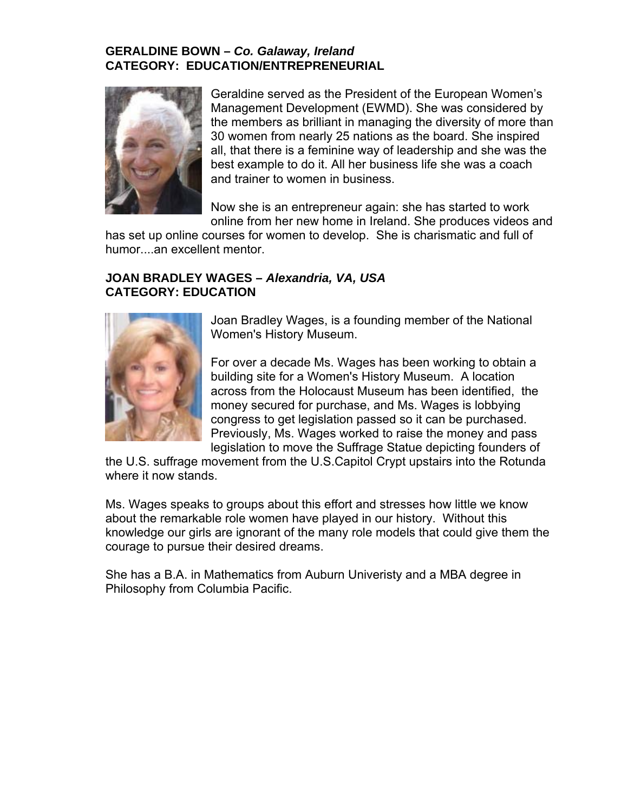## **GERALDINE BOWN –** *Co. Galaway, Ireland*  **CATEGORY: EDUCATION/ENTREPRENEURIAL**



Geraldine served as the President of the European Women's Management Development (EWMD). She was considered by the members as brilliant in managing the diversity of more than 30 women from nearly 25 nations as the board. She inspired all, that there is a feminine way of leadership and she was the best example to do it. All her business life she was a coach and trainer to women in business.

Now she is an entrepreneur again: she has started to work online from her new home in Ireland. She produces videos and

has set up online courses for women to develop. She is charismatic and full of humor....an excellent mentor.

#### **JOAN BRADLEY WAGES –** *Alexandria, VA, USA*  **CATEGORY: EDUCATION**



Joan Bradley Wages, is a founding member of the National Women's History Museum.

Previously, Ms. Wages worked to raise the money and pass For over a decade Ms. Wages has been working to obtain a building site for a Women's History Museum. A location across from the Holocaust Museum has been identified, the money secured for purchase, and Ms. Wages is lobbying congress to get legislation passed so it can be purchased. legislation to move the Suffrage Statue depicting founders of

the U.S. suffrage movement from the U.S.Capitol Crypt upstairs into the Rotunda where it now stands.

Ms. Wages speaks to groups about this effort and stresses how little we know knowledge our girls are ignorant of the many role models that could give them the courage to pursue their desired dreams. about the remarkable role women have played in our history. Without this

She has a B.A. in Mathematics from Auburn Univeristy and a MBA degree in Philosophy from Columbia Pacific.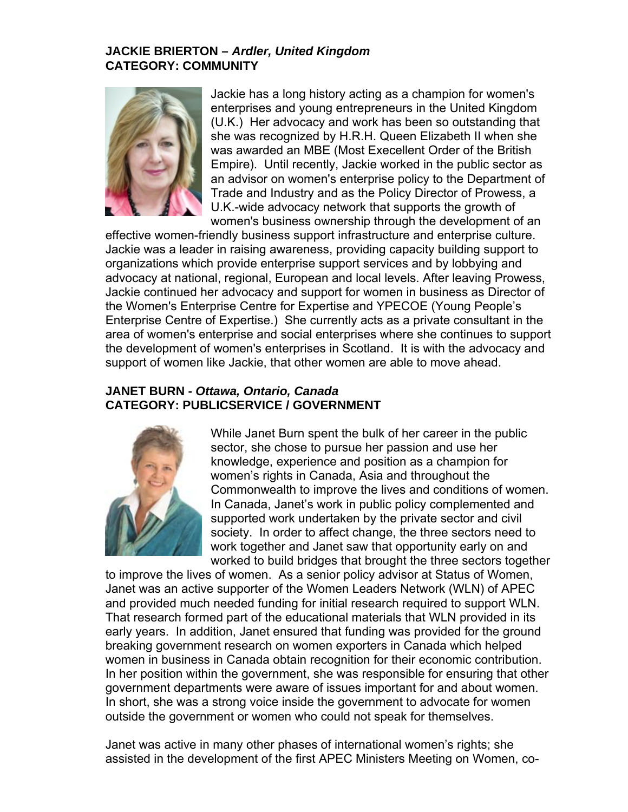#### **JACKIE BRIERTON –** *Ardler, United Kingdom*  **CATEGORY: COMMUNITY**



Jackie has a long history acting as a champion for women 's enterprises and young entrepreneurs in the United Kingd om (U.K.) Her advocacy and work has been so outstanding tha t she was recognized by H.R.H. Queen Elizabeth II whe n she was awarded an MBE (Most Execellent Order of the British Empire). Until recently, Jackie worked in the public sector as an advisor on women's enterprise policy to the Department of Trade and Industry and as the Policy Director of Prowe ss, a U.K.-wide advocacy network that supports the growth of women's business ownership through the development of an

effective women-friendly business support infrastructure and enterprise culture. Jackie was a leader in raising awareness, providing capacity building support to organizations which provide enterprise support services and by lobbying and advocacy at national, regional, European and local levels. After leaving Prowess, Jackie continued her advocacy and support for women in business as Director of the Women's Enterprise Centre for Expertise and YPECOE (Young People's Enterprise Centre o f Expertise.) She currently acts as a private consultant in the area of women's enterprise and social enterprises where she continues to support the development of women's enterprises in Scotland. It is with the advocacy and support of women like Jackie, that other women are able to move ahead.

#### **JANET BURN -** *Ot tawa, Ontario, Canada*  **CATEGORY: PUBLICSERVICE / GOVERNMENT**



work together and Janet saw that opportunity early on and worked to build bridges that brought the three sectors together While Janet Burn spent the bulk of her career in the public sector, she chose to pursue her passion and use her knowledge, experience and position as a champion for women's rights in Canada, Asia and throughout the Commonwealth to improve the lives and conditions of women. In Canada, Janet's work in public policy complemented and supported work undertaken by the private sector and civil society. In order to affect change, the three sectors need to

to improve the lives of women. As a senior policy advisor at Status of Women, . and provided much needed funding for initial research required to support WLN breaking government research on women exporters in Canada which helped women in business in Canada obtain recognition for their economic contribution. government departments were aware of issues important for and about women. In short, she was a strong voice inside the government to advocate for women outside the government or women who could not speak for themselves. Janet was an active supporter of the Women Leaders Network (WLN) of APEC That research formed part of the educational materials that WLN provided in its early years. In addition, Janet ensured that funding was provided for the ground In her position within the government, she was responsible for ensuring that other

Janet was active in many other phases of international women's rights; she assisted in the development of the first APEC Ministers Meeting on Women, co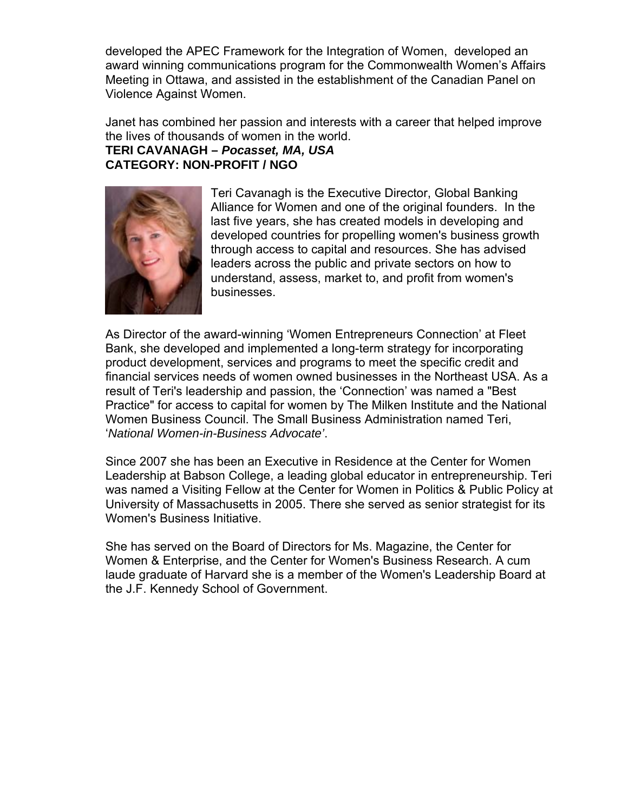developed the APEC Framework for the Integration of Women, developed an award winning communications program for the Commonwealth Women's Affairs Meeting in Ottawa, and assisted in the establishment of the Canadian Panel on Violence Against Women.

Janet has combined her passion and interests with a career that helped improve the lives of thousan ds of women in the world.

# **TERI CAVANAGH –** *Pocasset, MA, USA*  **CATEGORY: NON -PROFIT / NGO**



Teri Cavanagh is the Executive Director, Global Banking Alliance for Women and one of the original founders. In the last five years, she has created models in developing and developed countries for propelling women's business growth through access to capital and resources. She has advised leaders across the public and private sectors on how to understand, assess, market to, and profit from women's businesses.

As Director of the award-winning 'Women Entrepreneurs Connection' at Fleet Bank, she developed and implemented a long-term strategy for incorporating Women Business Council. The Small Business Administration named Teri, *ational Women-in-Business Advocate'*. '*N* product development, services and programs to meet the specific credit and financial services needs of women owned businesses in the Northeast USA. As a result of Teri's leadership and passion, the 'Connection' was named a "Best Practice" for access to capital for women by The Milken Institute and the National

was named a Visiting Fellow at the Center for Women in Politics & Public Policy at University of Massachusetts in 2005. There she served as senior strategist for its Since 2007 she has been an Executive in Residence at the Center for Women Leadership at Babson College, a leading global educator in entrepreneurship. Teri Women's Business Initiative.

She has served on the Board of Directors for Ms. Magazine, the Center for Women & Enterprise, and the Center for Women's Business Research. A cum laude graduate of Harvard she is a member of the Women's Leadership Board at the J.F. Kennedy S chool of Government.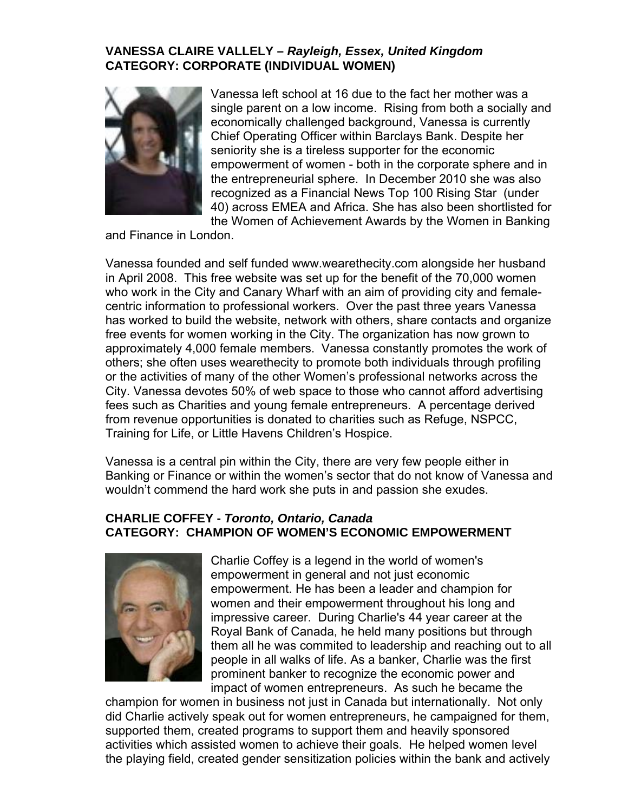## **VANESSA CLAIRE VALLELY –** *Rayleigh, Essex, United Kingdom*  **CATEGORY: CORPORATE (INDIVIDUAL WOMEN)**



Vanessa left school at 16 due to the fact her mother was a single parent on a low income. Rising from both a socially and economically challenged background, Vanessa is currently Chief Operating Officer within Barclays Bank. Despite her seniority she is a tireless supporter for the economic empowerment of women - both in the corporate sphere an d in the entrepreneurial sphere. In Dec ember 2010 she was also recognized as a Financial News Top 100 Rising Star (under 40) across EMEA and Africa. She has also been shortlisted for the Women of Achievement Awards by the Women in Banking

and Finance in London.

Vanessa founded and self funded www.wearethecity.com alongside her husband in April 2008. This free website was set up for the benefit of the 70,000 women who work in the City and Canary Wharf with an aim of providing city and femalecentric information to professional workers. Over the past three years Vanessa has worked to build the website, network with others, share contacts and organize free events for wom en working in the City. The organization has now grown to approximately 4,000 female members. Vanessa constantly promotes the work of others; she often u ses wearethecity to promote both individuals through profiling or the activities of many of the other Women's professional networks across the City. Vanessa devo tes 50% of web space to those who cannot afford advertising fees such as Charities and young female entrepreneurs. A percentage derived from revenue opportunities is donated to charities such as Refuge, NSPCC, Training for Life, or Little Havens Children's Hospice.

Banking or Finance or within the women's sector that do not know of Vanessa and Vanessa is a central pin within the City, there are very few people either in wouldn't commend the hard work she puts in and passion she exudes.

### **EY -** *Toronto, Ontario, Canada* **CHARLIE COFF ATEGORY: CHAMPION OF WOMEN'S ECONOMIC EMPOWERMENT C**



women and their empowerment throughout his long and Royal Bank of Canada, he held many positions but through them all he was commited to leadership and reaching out to all people in all walks of life. As a banker, Charlie was the first prominent banker to recognize the economic power and impact of women entrepreneurs. As such he became the Charlie Coffey is a legend in the world of women's empowerment in general and not just economic empowerment. He has been a leader and champion for impressive career. During Charlie's 44 year career at the

champion for women in business not just in Canada but internationally. Not only did Charlie actively speak out for women entrepreneurs, he campaigned for them, supported them, created programs to support them and heavily sponsored activities which assisted women to achieve their goals. He helped women level the playing field, created gender sensitization policies within the bank and actively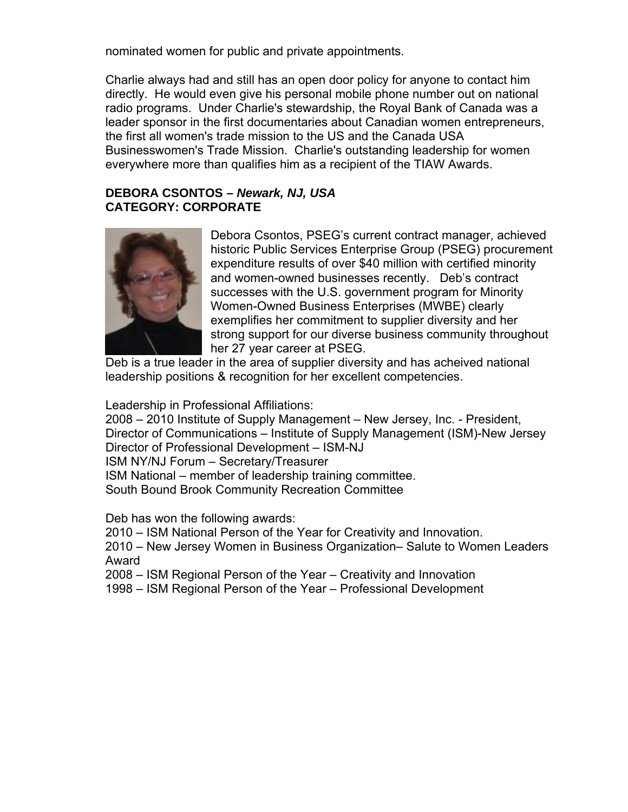nominated women for public and private appointments.

Charlie always had and still has an open door policy for anyone to contact him radio programs. U nder Charlie's stewardship, the Royal Bank of Canada was a leader sponsor in the first documentaries about Canadian women entrepreneurs, the first all women' s trade mission to the US and the Canada USA Businesswomen's Trade Mission. Charlie's outstanding leadership for women everywhere more t han qualifies him as a recipient of the TIAW Awards. directly. He would even give his personal mobile phone number out on national

### **DEBORA CSONTO S –** *Newark, NJ, USA*  **CATEGORY: COR PORATE**



Debora Csontos, PSEG's current contract manager, achieved historic Public Services Enterprise Group (PSEG) procurement expenditure results of over \$40 million with certified minority Women-Owned Business Enterprises (MWBE) clearly exemplifies her commitment to supplier diversity and her strong support for our diverse business community throughout and women-owned businesses recently. Deb's contract successes with the U.S. government program for Minority her 27 year career at PSEG.

Deb is a true leader in the area of supplier diversity and has acheived national leadership positions & recognition for her excellent competencies.

Leadership in Professional Affiliations:

2010 Institute of Supply Management – New Jersey, Inc. - President, 2008 – Director of Communications – Institute of Supply Management (ISM)-New Jersey ISM NY/NJ Forum - Secretary/Treasurer ISM National – member of leadership training committee. South Bound Brook Community Recreation Committee Director of Professional Development – ISM-NJ

Deb has won the following awards:

2010 – ISM National Person of the Year for Creativity and Innovation.

2010 – New Jersey Women in Business Organization– Salute to Women Leaders Award

2008 – ISM Region al Person of the Year – Creativity and Innovation

1998 – ISM Region al Person of the Year – Professional Development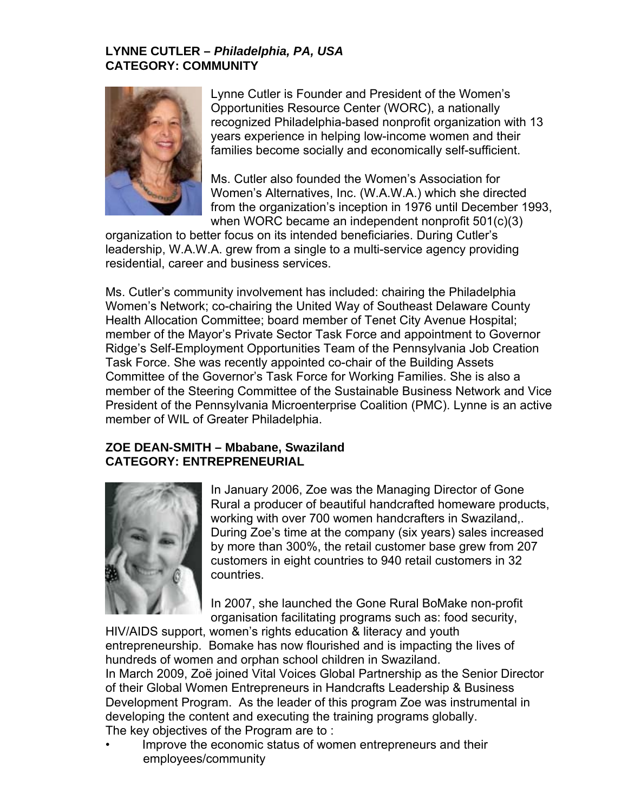## **LYNNE CUTLER –** *Philadelphia, PA, USA*  **CATEGORY: COMMUNITY**

![](_page_12_Picture_1.jpeg)

Lynne Cutler is Founder and President of the Women's Opportunities Resource Center (WORC), a nationally recognized Philadelphia-based nonprofit organization with 13 years experience in helping low-income women and their families become socially and economically self-sufficient.

Ms. Cutler also founded the Women's Association for Women's Alternatives, Inc. (W.A.W.A.) which she directed from the organization's inception in 1976 until December 1993, when WORC became an independent nonprofit 501(c)(3)

organization to better focus on its intended beneficiaries. During Cutler's leadership, W.A.W.A. grew from a single to a multi-service agency providing residential, career and business services.

Ms. Cutler's community involvement has included: chairing the Philadelphia Women's Network; co-chairing the United Way of Southeast Delaware County Health Allocation C ommittee; board member of Tenet City Avenue Hospital; member of the Mayor's Private Sector Task Force and appointment to Governor Ridge's Self-Employment Opportunities Team of the Pennsylvania Job Creation Task Force. She was recently appointed co-chair of the Building Assets member of the Steering Committee of the Sustainable Business Network and Vice President of the Pennsylvania Microenterprise Coalition (PMC). Lynne is an active Committee of the Governor's Task Force for Working Families. She is also a member of WIL of Greater Philadelphia.

## **RIAL CATEGORY: ENTREPRENEU ZOE DEAN-SMITH – Mbabane, Swaziland**

![](_page_12_Picture_7.jpeg)

In January 2006, Zoe was the Managing Director of Gone During Zoe's time at the company (six years) sales increased by more than 300%, the retail customer base grew from 207 customers in eight countries to 940 retail customers in 32 countries. Rural a producer of beautiful handcrafted homeware products, working with over 700 women handcrafters in Swaziland,.

In 2007, she launched the Gone Rural BoMake non-profit organisation facilitating programs such as: food security,

HIV/AIDS support, women's rights education & literacy and youth entrepreneurship. Bomake has now flourished and is impacting the lives of hundreds of women and orphan school children in Swaziland. In March 2009, Zoë joined Vital Voices Global Partnership as the Senior Director of their Global Women Entrepreneurs in Handcrafts Leadership & Business Development Program. As the leader of this program Zoe was instrumental in developing the content and executing the training programs globally. The key objectives of the Program are to :

Improve the economic status of women entrepreneurs and their • employees/community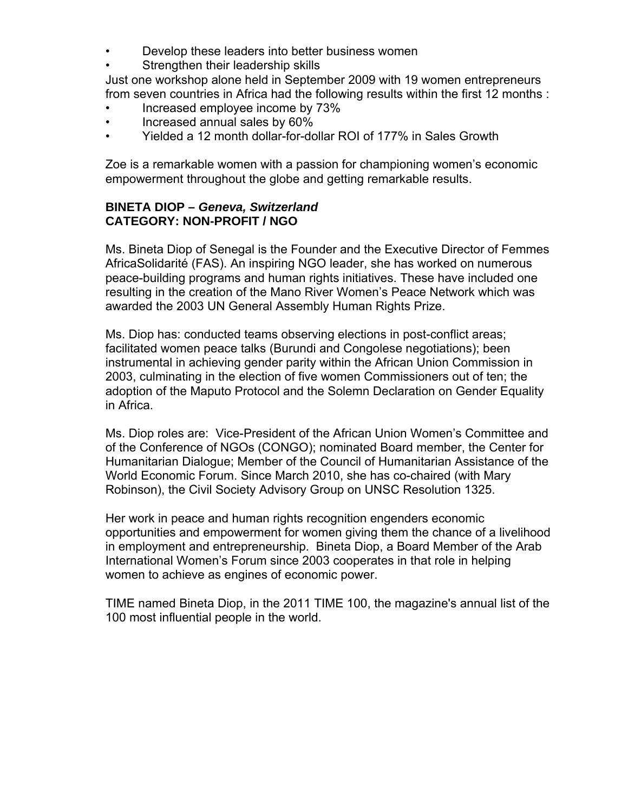- Develop these leaders into better business women
- Strengthen their leadership skills

Just one workshop alone held in September 2009 with 19 women entrepreneur s from seven countries in Africa had the following results within the first 12 months :

- Inc reased employee income by 73%
- Increased annual sales by 60% •
- Yielded a 12 month dollar-for-dollar ROI of 177% in Sales Growth

Zoe is a remarkable women with a passion for championing women's economic empowerment throughout the globe and getting remarkable results.

#### **INETA DIOP –** *Geneva, Switzerland* **B CATEGORY: NON-PROFIT / NGO**

AfricaSolidarité (FAS). An inspiring NGO leader, she has worked on numerous peace-building programs and human rights initiatives. These have included one resulting in the creation of the Mano River Women's Peace Network which was Ms. Bineta Diop of Senegal is the Founder and the Executive Director of Femmes awarded the 2003 UN General Assembly Human Rights Prize.

Ms. Diop has: conducted teams observing elections in post-conflict areas; facilitated women peace talks (Burundi and Congolese negotiations); been instrumental in achieving gender parity within the African Union Commission in 2003, culminating in the election of five women Commissioners out of ten; the adoption of the Maputo Protocol and the Solemn Declaration on Gender Equality in Africa.

Ms. Diop roles are: Vice-President of the African Union Women's Committee and of the Conference of NGOs (CONGO); nominated Board member, the Center for Humanitarian Dialogue; Member of the Council of Humanitarian Assistance of the World Economic Forum. Since March 2010, she has co-chaired (with Mary Robinson), the Civ il Society Advisory Group on UNSC Resolution 1325.

opportunities and empowerment for women giving them the chance of a livelihood in employment and entrepreneurship. Bineta Diop, a Board Member of the Arab Her work in peace and human rights recognition engenders economic International Women's Forum since 2003 cooperates in that role in helping women to achieve as engines of economic power.

TIME named Bineta Diop, in the 2011 TIME 100, the magazine's annual list of the 100 most influential people in the world.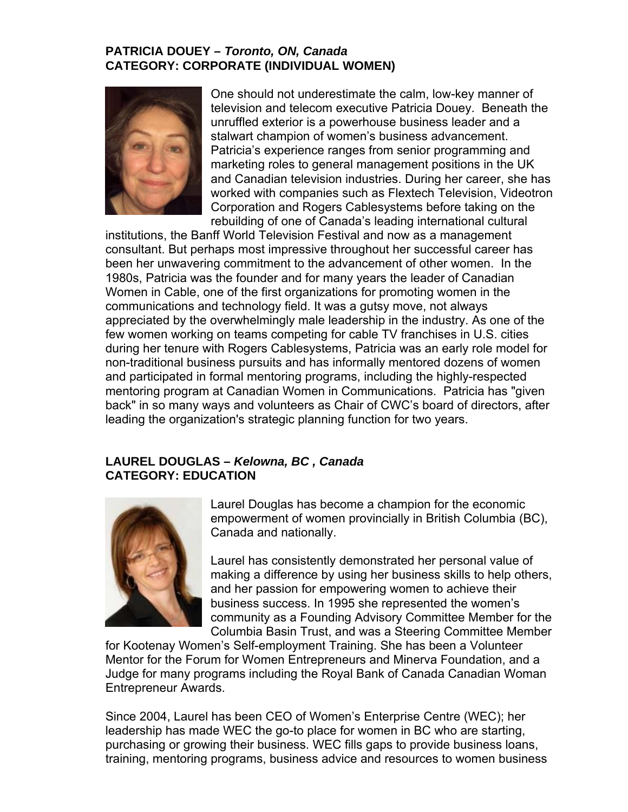## **PATRICIA DOUEY –** *Toronto, ON, Canada*  **ATEGORY: CORPORATE (INDIVIDUAL WOMEN) C**

![](_page_14_Picture_1.jpeg)

television and telecom executive Patricia Douey. Beneath the unruffled exterior is a powerhouse business leader and a marketing roles to general management positions in the UK and Canadian television industries. During her career, she has One should not underestimate the calm, low-key manner of stalwart champion of women's business advancement. Patricia's experience ranges from senior programming and worked with companies such as Flextech Television, Videotron Corporation and Rogers Cablesystems before taking on the rebuilding of one of Canada's leading international cultural

been her unwavering commitment to the advancement of other women. In the 1980s, Patricia was the founder and for many years the leader of Canadian non-traditional business pursuits and has informally mentored dozens of women and participated in formal mentoring programs, including the highly-respected back" in so many ways and volunteers as Chair of CWC's board of directors, after institutions, the Banff World Television Festival and now as a management consultant. But perhaps most impressive throughout her successful career has Women in Cable, one of the first organizations for promoting women in the communications and technology field. It was a gutsy move, not always appreciated by the overwhelmingly male leadership in the industry. As one of the few women working on teams competing for cable TV franchises in U.S. cities during her tenure with Rogers Cablesystems, Patricia was an early role model for mentoring program at Canadian Women in Communications. Patricia has "given leading the organization's strategic planning function for two years.

#### **AUREL DOUGLAS –** *Kelowna, BC , Canada*  **L CATEGORY: EDUCATION**

![](_page_14_Picture_5.jpeg)

Laurel Douglas has become a champion for the economic empowerment of women provincially in British Columbia (BC), Canada and nationally.

Laurel has consistently demonstrated her personal value of making a difference by using her business skills to help others, community as a Founding Advisory Committee Member for the Columbia Basin Trust, and was a Steering Committee Member and her passion for empowering women to achieve their business success. In 1995 she represented the women's

for Kootenay Wom en's Self-employment Training. She has been a Volunteer Mentor for the Forum for Women Entrepreneurs and Minerva Foundation, and a Judge for many programs including the Royal Bank of Canada Canadian Woman Entrepreneur Awards.

purchasing or growing their business. WEC fills gaps to provide business loans, training, mentoring programs, business advice and resources to women business Since 2004, Laurel has been CEO of Women's Enterprise Centre (WEC); her leadership has made WEC the go-to place for women in BC who are starting,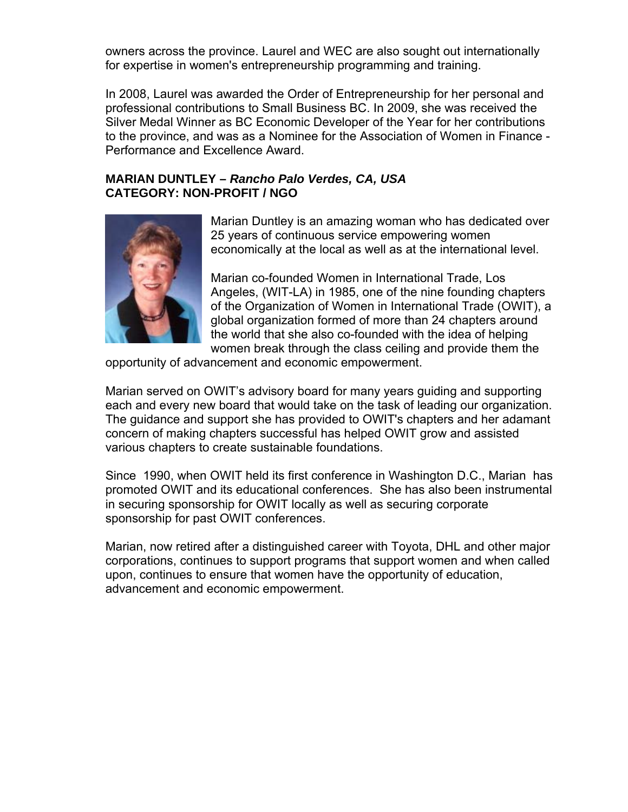owners across the province. Laurel and WEC are also sought out internationally for expertise in women's entrepreneurship programming and training.

In 2008, Laurel was awarded the Order of Entrepreneurship for her personal and rofessional contributions to Small Business BC. In 2009, she was received the p Silver Medal Winner as BC Economic Developer of the Year for her contributions to the province, and was as a Nominee for the Association of Women in Finance - Performance and Excellence Award.

### **ARIAN DUNTLEY –** *Rancho Palo Verdes, CA, USA*  **M ATEGORY: NON-PROFIT / NGO C**

![](_page_15_Picture_3.jpeg)

Marian Duntley is an amazing woman who has dedicated over 25 years of continuous service empowering women economically at the local as well as at the international level.

Angeles, (WIT-LA) in 1985, one of the nine founding chapters of the Organization of Women in International Trade (OWIT), a global organization formed of more than 24 chapters around women break through the class ceiling and provide them the Marian co-founded Women in International Trade, Los the world that she also co-founded with the idea of helping

opportunity of advancement and economic empowerment.

each and every new board that would take on the task of leading our organization. The guidance and support she has provided to OWIT's chapters and her adamant Marian served on OWIT's advisory board for many years guiding and supporting concern of making chapters successful has helped OWIT grow and assisted various chapters to create sustainable foundations.

Since 1990, when OWIT held its first conference in Washington D.C., Marian has promoted OWIT and its educational conferences. She has also been instrumental in securing sponsorship for OWIT locally as well as securing corporate sponsorship for past OWIT conferences.

Marian, now retired after a distinguished career with Toyota, DHL and other major corporations, continues to support programs that support women and when called upon, continues to ensure that women have the opportunity of education, advancement and economic empowerment.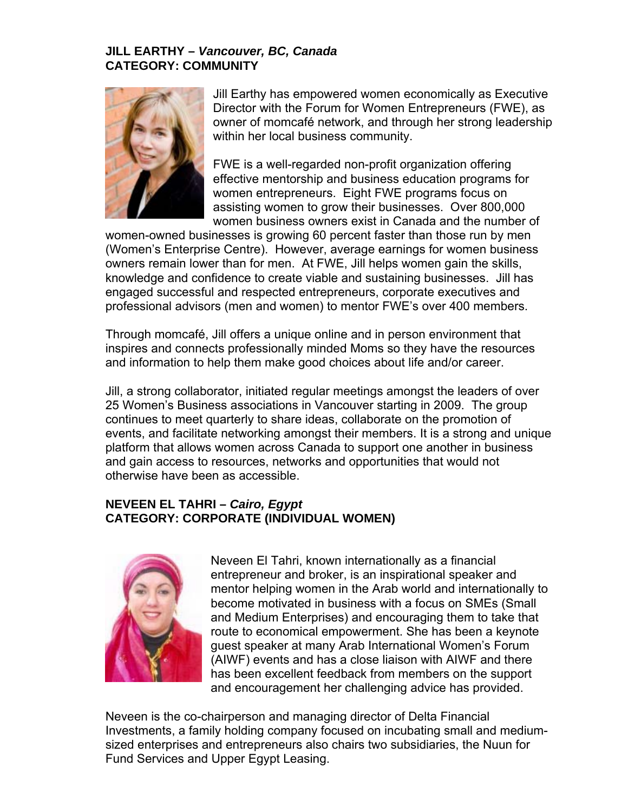### **JILL EARTHY –** *Vancouver, BC, Canada*  **CATEGORY: COMMUNITY**

![](_page_16_Picture_1.jpeg)

Jill Earthy has empowered women economically as Executive Director with the Forum for Women Entrepreneurs (FWE), as owner of momcafé network, and through her strong leadership within her local business community.

women business owners exist in Canada and the number of FWE is a well-regarded non-profit organization offering effective mentorship and business education programs for women entrepreneurs. Eight FWE programs focus on assisting women to grow their businesses. Over 800,000

women-owned businesses is growing 60 percent faster than those run by men (Women's Enterprise Centre). However, average earnings for women business owners remain lower than for men. At FWE, Jill helps women gain the skills, professional advisors (men and women) to mentor FWE's over 400 members. knowledge and confidence to create viable and sustaining businesses. Jill has engaged successful and respected entrepreneurs, corporate executives and

Through momcafé, Jill offers a unique online and in person environment that inspires and connects professionally minded Moms so they have the resources and information to help them make good choices about life and/or career.

Jill, a strong collaborator, initiated regular meetings amongst the leaders of over events, and facilitate networking amongst their members. It is a strong and unique platform that allows women across Canada to support one another in business 25 Women's Business associations in Vancouver starting in 2009. The group continues to meet quarterly to share ideas, collaborate on the promotion of and gain access to resources, networks and opportunities that would not otherwise have been as accessible.

# **NEVEEN EL TAHRI –** *Cairo, Egypt*  **WOMEN) CATEGORY: CORPORATE (INDIVIDUAL**

![](_page_16_Picture_8.jpeg)

mentor helping women in the Arab world and internationally to and Medium Enterprises) and encouraging them to take that route to economical empowerment. She has been a keynote (AIWF) events and has a close liaison with AIWF and there Neveen El Tahri, known internationally as a financial entrepreneur and broker, is an inspirational speaker and become motivated in business with a focus on SMEs (Small guest speaker at many Arab International Women's Forum has been excellent feedback from members on the support and encouragement her challenging advice has provided.

- Investments, a family holding company focused on incubating small and medium sized enterprises and entrepreneurs also chairs two subsidiaries, the Nuun for Neveen is the co-chairperson and managing director of Delta Financial Fund Services and Upper Egypt Leasing.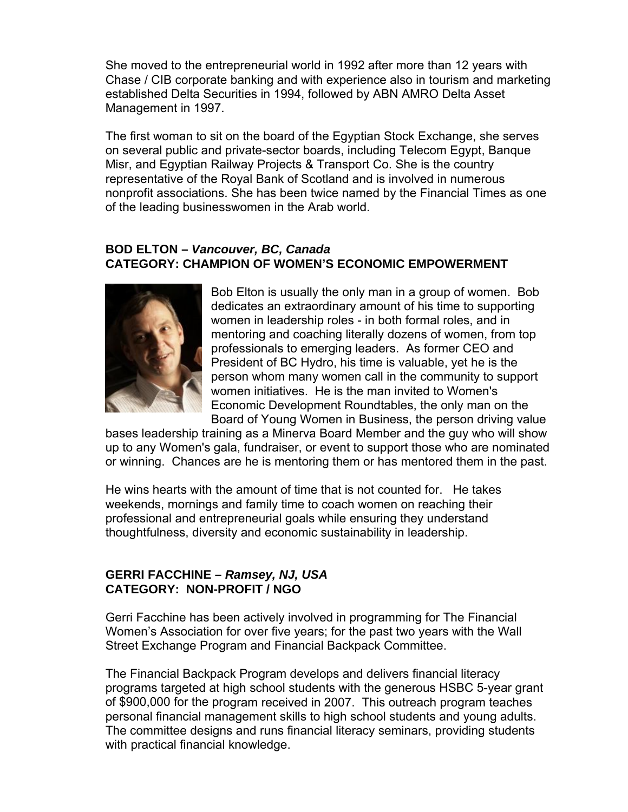She moved to the entrepreneurial world in 1992 after more than 12 year s with Chase / CIB corporate banking and with experience also in tourism and marketing established Delta Securities in 1994, followed by ABN AMRO Delta Asset Management in 1997.

The first woman to sit on the board of the Egyptian Stock Exchange, she serves on several public and private-sector boards, including Telecom Egypt, Banque nonprofit associations. She has been twice named by the Financial Times as one of the leading businesswomen in the Arab world. Misr, and Egyptian Railway Projects & Transport Co. She is the country representative of the Royal Bank of Scotland and is involved in numerous

#### **BOD ELTON –** *Vancouver, BC, Canada* **CATEGORY: CHAMPION OF WOMEN'S ECONOMIC EMPOWERMENT**

![](_page_17_Picture_3.jpeg)

Bob Elton is usually the only man in a group of women. Bob dedicates an extraordinary amount of his time to supporting person whom many women call in the community to support women initiatives. He is the man invited to Women's Board of Young Women in Business, the person driving value women in leadership roles - in both formal roles, and in mentoring and coaching literally dozens of women, from top professionals to emerging leaders. As former CEO and President of BC Hydro, his time is valuable, yet he is the Economic Development Roundtables, the only man on the

bases leadership training as a Minerva Board Member and the guy who will show or winning. Chances are he is mentoring them or has mentored them in the past. up to any Women's gala, fundraiser, or event to support those who are nominated

He wins hearts with the amount of time that is not counted for. He takes weekends, mornings and family time to coach women on reaching their professional and entrepreneurial goals while ensuring they understand thoughtfulness, diversity and economic sustainability in leadership.

## **ERRI FACCHINE –** *Ramsey, NJ, USA*  **G CATEGORY: NON-PROFIT / NGO**

Gerri Facchine has been actively involved in programming for The Financial Women's Association for over five years; for the past two years with the Wall Street Exchange Program and Financial Backpack Committee.

The Financial Backpack Program develops and delivers financial literacy programs targeted at high school students with the generous HSBC 5-year grant of \$900,000 for the pr ogram received in 2007. This outreach program teaches personal financial ma nagement skills to high school students and young adults. The committee designs and runs financial literacy seminars, providing students with practical financial knowledge.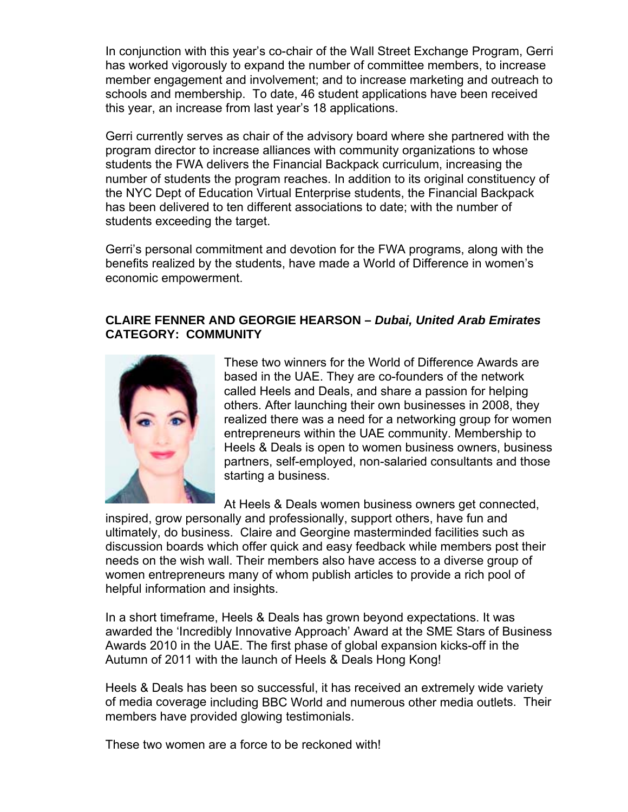In conjunction with this year's co-chair of the Wall Street Exchange Progra m, Gerri has worked vigorously to expand the number of committee members, to in crease member engagement and involvement; and to increase marketing and outreach to schools and membership. To date, 46 student applications have been received this year, an increase from last year's 18 applications.

Gerri curr ently serves as chair of the advisory board where she partnered with the program director to increase alliances with community organizations to whose the NYC Dept of Education Virtual Enterprise students, the Financial Backpack has been delivered to ten different associations to date; with the number of students exceeding the target. students the FWA delivers the Financial Backpack curriculum, increasing the number of students the program reaches. In addition to its original constituency of

benefits realized by the students, have made a World of Difference in women's economic empowerment. Gerri's personal commitment and devotion for the FWA programs, along with the

## **LAIRE FENNER AND GEORGIE HEARSON –** *Dubai, United Arab Emirates*  **C CATEGORY: COMMUNITY**

![](_page_18_Picture_4.jpeg)

These two winners for the World of Difference Awards are realized there was a need for a networking group for women Heels & Deals is open to women business owners, business partners, self-employed, non-salaried consultants and those based in the UAE. They are co-founders of the network called Heels and Deals, and share a passion for helping others. After launching their own businesses in 2008, they entrepreneurs within the UAE community. Membership to starting a business.

At Heels & Deals women business owners get connected,

inspired, grow personally and professionally, support others, have fun and ultimately, do business. Claire and Georgine masterminded facilities such as discussion boards which offer quick and easy feedback while members post their women entrepreneurs many of whom publish articles to provide a rich pool of needs on the wish wall. Their members also have access to a diverse group of helpful information and insights.

In a short timeframe, Heels & Deals has grown beyond expectations. It was awarded the 'Incredibly Innovative Approach' Award at the SME Stars of Business Awards 2010 in the UAE. The first phase of global expansion kicks-off in the Autumn of 2011 wi th the launch of Heels & Deals Hong Kong!

Heels & Deals has been so successful, it has received an extremely wide variety of media coverage including BBC World and numerous other media outlets. Their members have pro vided glowing testimonials.

These two women are a force to be reckoned with!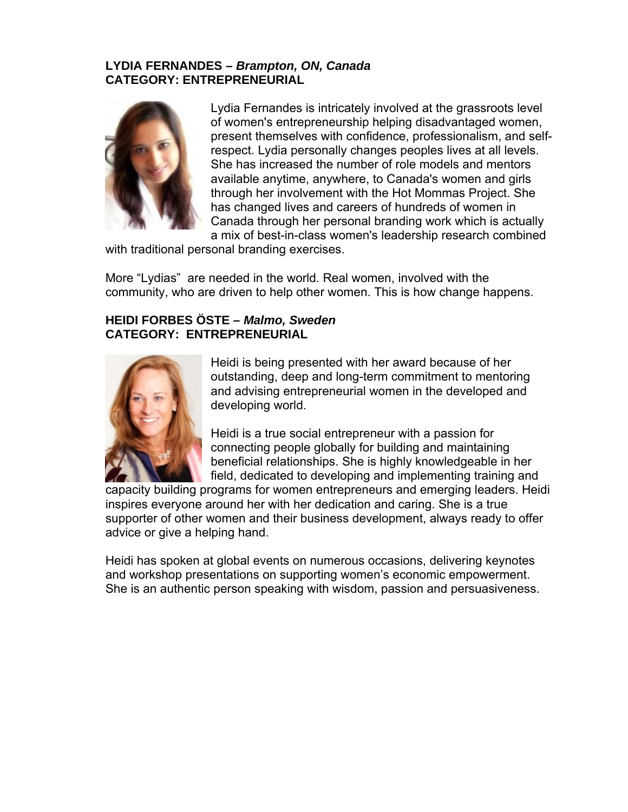## **LYDIA FERNANDES –** *Brampton, ON, Canada*  **CATEGORY: ENTREPRENEURIAL**

![](_page_19_Picture_1.jpeg)

of women's entrepreneurship helping disadvantaged women, respect. Lydia personally changes peoples lives at all levels. She has increased the number of role models and mentors available anytime, anywhere, to Canada's women and girls through her involvement with the Hot Mommas Project. She Canada through her personal branding work which is actually Lydia Fernandes is intricately involved at the grassroots level present themselves with confidence, professionalism, and selfhas changed lives and careers of hundreds of women in a mix of best-in-class women's leadership research combined

with traditional personal branding exercises.

More "Lydias" are needed in the world. Real women, involved with the community, who ar e driven to help other women. This is how change happens.

## **HEIDI FORBES ÖS TE –** *Malmo, Sweden*  **CATEGORY: ENTREPRENEURIAL**

![](_page_19_Picture_6.jpeg)

outstanding, deep and long-term commitment to mentoring Heidi is being presented with her award because of her and advising entrepreneurial women in the developed and developing world.

Heidi is a true social entrepreneur with a passion for connecting people globally for building and maintaining beneficial relationships. She is highly knowledgeable in her field, dedicated to developing and implementing training and

capacity building programs for women entrepreneurs and emerging leaders. Heidi supporter of other women and their business development, always ready to offer advice or give a helping hand. inspires everyone around her with her dedication and caring. She is a true

Heidi has spoken at global events on numerous occasions, delivering keynotes and workshop presentations on supporting women's economic empowerment. She is an authentic person speaking with wisdom, passion and persuasiveness.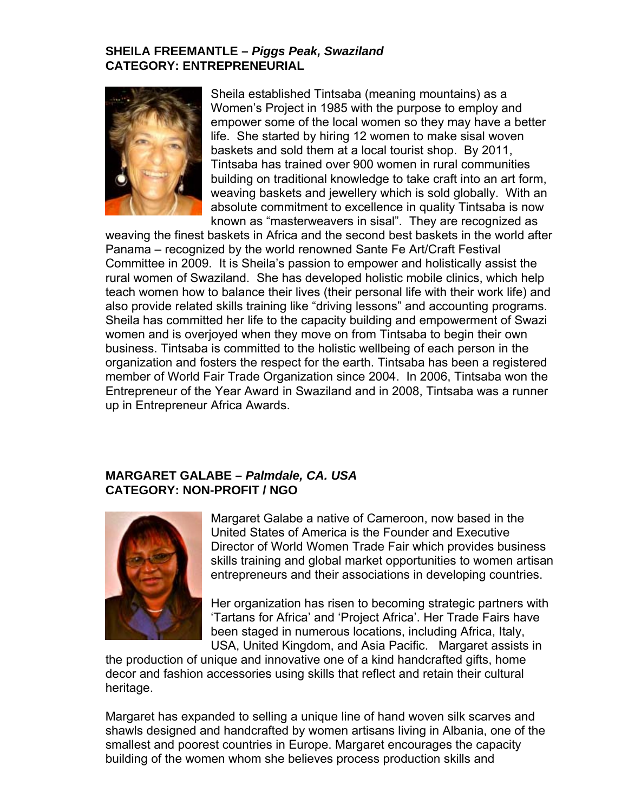#### **SHEILA FREEMANTLE –** *Piggs Peak, Swaziland*  **CATEGORY: ENTREPRENEURIAL**

![](_page_20_Picture_1.jpeg)

Sheila established Tintsaba (meaning mountains) as a Women's Project in 1985 with the purpose to employ and empower some of the local women so they may have a better life. She started by hiring 12 women to make sisal woven baskets and sold them at a local tourist shop. By 2011 , Tintsaba has trained over 900 women in rural communities building on traditional knowledge to take craft into an art form , weaving baskets and jewellery which is sold globally. With an absolute commitment to excellence in quality Tintsaba is now known as "masterweavers in sisal". They are recognized as

weaving the finest baskets in Africa and the second best baskets in the world after teach women how to balance their lives (their personal life with their work life) and also provide related skills training like "driving lessons" and accounting programs. Sheila has committed her life to the capacity building and empowerment of Swazi women and is overjoyed when they move on from Tintsaba to begin their own business. Tintsaba is committed to the holistic wellbeing of each person in the organization and fosters the respect for the earth. Tintsaba has been a registered member of World Fair Trade Organization since 2004. In 2006, Tintsaba won the Entrepreneur of the Year Award in Swaziland and in 2008, Tintsaba was a runner up in Entrepreneur Africa Awards. Panama – recognized by the world renowned Sante Fe Art/Craft Festival Committee in 2009. It is Sheila's passion to empower and holistically assist the rural women of Swaziland. She has developed holistic mobile clinics, which help

## **A** *A. USA*  **MARGARET GAL BE –** *Palmdale, C* **CATEGORY: NON-PROFIT / NGO**

![](_page_20_Picture_5.jpeg)

United States of America is the Founder and Executive skills training and global market opportunities to women artisan entrepreneurs and their associations in developing countries. Margaret Galabe a native of Cameroon, now based in the Director of World Women Trade Fair which provides business

Her organization has risen to becoming strategic partners with 'Tartans for Africa' and 'Project Africa'. Her Trade Fairs have been staged in numerous locations, including Africa, Italy, USA, United Kingdom, and Asia Pacific. Margaret assists in

decor and fashion accessories using skills that reflect and retain their cultural the production of unique and innovative one of a kind handcrafted gifts, home heritage.

Margaret has expanded to selling a unique line of hand woven silk scarves and shawls designed and handcrafted by women artisans living in Albania, one of the smallest and poorest countries in Europe. Margaret encourages the capacity building of the women whom she believes process production skills and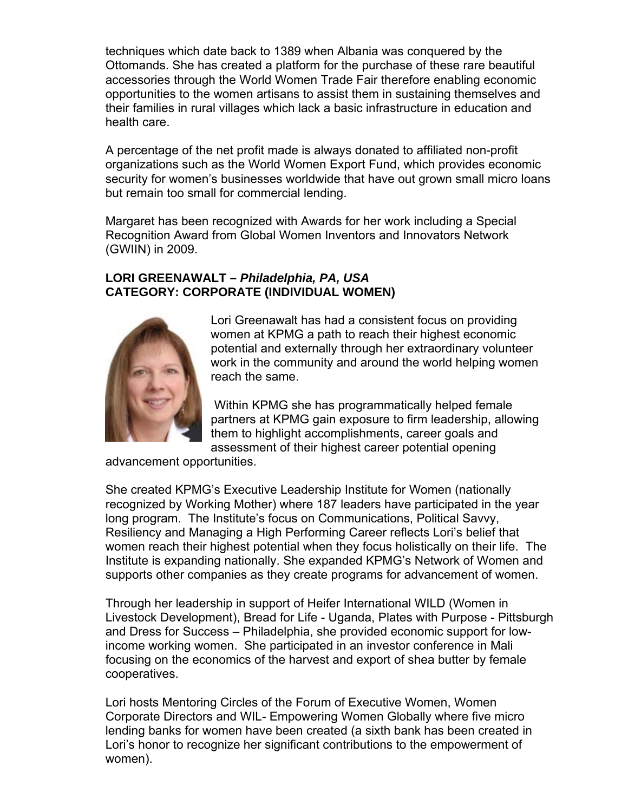techniques which date back to 1389 when Albania was conquered by the Ottomands. She has created a platform for the purchase of these rare beautiful accessories through the World Women Trade Fair therefore enabling economic opportunities to the women artisans to assist them in sustaining themselves and their families in rural villages which lack a basic infrastructure in education and health care.

A percentage of the net profit made is always donated to affiliated non-profit organizations such as the World Women Export Fund, which provides economic security for women's businesses worldwide that have out grown small micro loans but remain too small for commercial lending.

Margaret has been recognized with Awards for her work including a Special Recognition Award from Global Women Inventors and Innovators Network (GWIIN) in 2009.

## **LORI GREENAWA LT –** *Philadelphia, PA, USA*  **CATEGORY: CORPORATE (INDIVIDUAL WOMEN)**

![](_page_21_Picture_4.jpeg)

potential and externally through her extraordinary volunteer work in the community and around the world helping women Lori Greenawalt has had a consistent focus on providing women at KPMG a path to reach their highest economic reach the same.

them to highlight accomplishments, career goals and assessment of their highest career potential opening Within KPMG she has programmatically helped female partners at KPMG gain exposure to firm leadership, allowing

advancement opportunities.

She created KPMG's Executive Leadership Institute for Women (nationally recognized by Working Mother) where 187 leaders have participated in the year long program. The Institute's focus on Communications, Political Savvy, Resiliency and Man aging a High Performing Career reflects Lori's belief that women reach their highest potential when they focus holistically on their life. The Institute is expanding nationally. She expanded KPMG's Network of Women and supports other com panies as they create programs for advancement of women.

Through her leader ship in support of Heifer International WILD (Women in Livestock Development), Bread for Life - Uganda, Plates with Purpose - Pittsburgh and Dress for Success – Philadelphia, she provided economic support for lowincome working women. She participated in an investor conference in Mali focusing on the economics of the harvest and export of shea butter by female cooperatives.

lending banks for women have been created (a sixth bank has been created in Lori's honor to recognize her significant contributions to the empowerment of Lori hosts Mentoring Circles of the Forum of Executive Women, Women Corporate Directors and WIL- Empowering Women Globally where five micro women).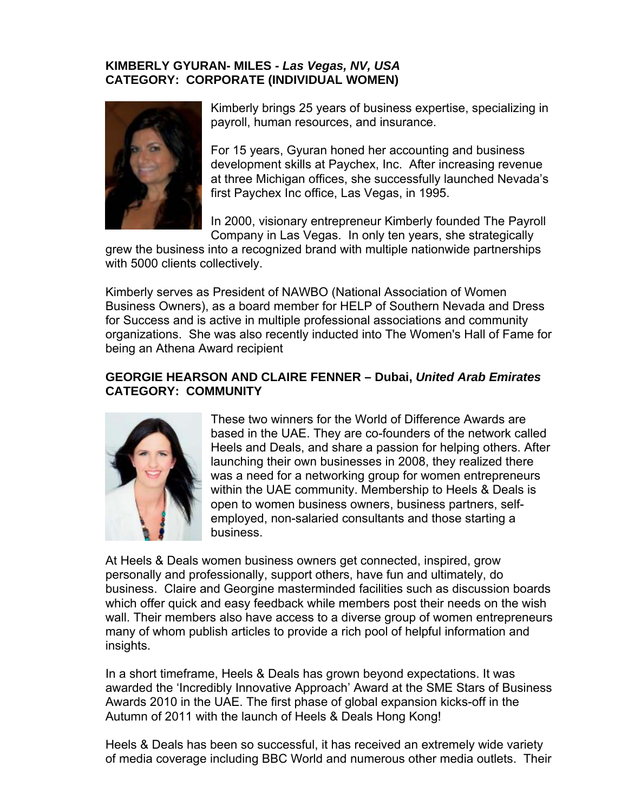## **KIMBERLY GYURAN- MILES -** *Las Vegas, NV, USA* **CATEGORY: CORPORATE (INDIVIDUAL WOMEN)**

![](_page_22_Picture_1.jpeg)

Kimberly brings 25 years of business expertise, specializing in payroll, human resources, and insurance.

For 15 years, Gyuran honed her accounting and business development skills at Paychex, Inc. After increasing revenue at three Michigan offices, she successfully launched Nevada's first Paychex Inc office, Las Vegas, in 1995.

In 2000, visionary entrepreneur Kimberly founded The Payroll Company in Las Vegas. In only ten years, she strategically

with 5000 clients collectively. grew the business into a recognized brand with multiple nationwide partnerships

Kimberly serves as President of NAWBO (National Association of Women Business Owners), as a board member for HELP of Southern Nevada and Dress for Success and is active in multiple professional associations and community organizations. She was also recently inducted into The Women's Hall of Fame for being an Athena A ward recipient

#### GEORGIE HEARSON AND CLAIRE FENNER - Dubai, United Arab Emirates **ATEGORY: COMMUNITY C**

![](_page_22_Picture_8.jpeg)

based in the UAE. They are co-founders of the network called Heels and Deals, and share a passion for helping others. After within the UAE community. Membership to Heels & Deals is open to women business owners, business partners, self-These two winners for the World of Difference Awards are launching their own businesses in 2008, they realized there was a need for a networking group for women entrepreneurs employed, non-salaried consultants and those starting a business.

At Heels & Deals women business owners get connected, inspired, grow business. Claire and Georgine masterminded facilities such as discussion boards which offer quick and easy feedback while members post their needs on the wish wall. Their members also have access to a diverse group of women entrepreneurs many of whom publish articles to provide a rich pool of helpful information and personally and professionally, support others, have fun and ultimately, do insights.

In a short timeframe, Heels & Deals has grown beyond expectations. It was awarded the 'Incredibly Innovative Approach' Award at the SME Stars of Business Awards 2010 in the UAE. The first phase of global expansion kicks-off in the Autumn of 2011 with the launch of Heels & Deals Hong Kong!

Heels & Deals has been so successful, it has received an extremely wide variety of media coverage including BBC World and numerous other media outlets. Their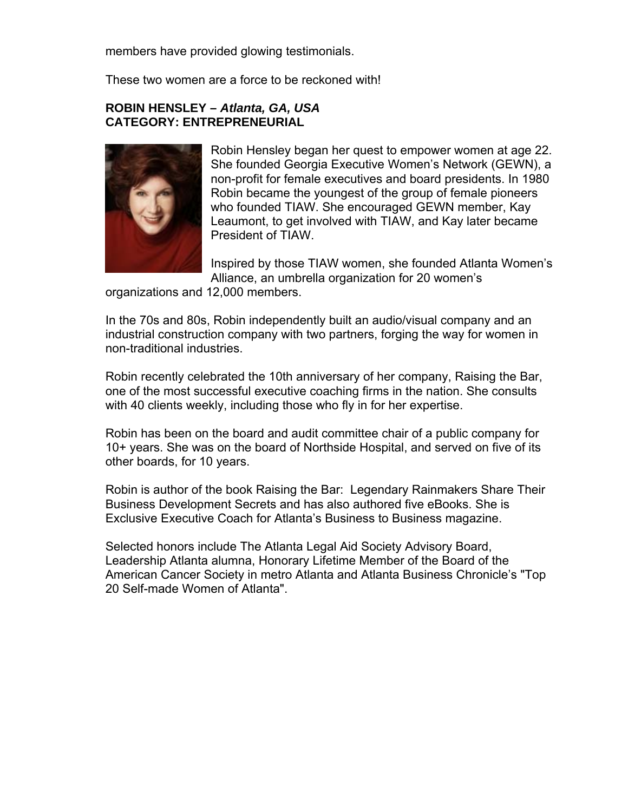members have provided glowing testimonials.

These two women are a force to be reckoned with!

#### **CATEGORY: ENT REPRENEURIAL ROBIN HENSLEY –** *Atlanta, GA, USA*

![](_page_23_Picture_3.jpeg)

. Robin Hensley began her quest to empower women at age 22 She founded Georgia Executive Women's Network (GEWN), a non-profit for female executives and board presidents. In 1980 Leaumont, to get involved with TIAW, and Kay later became Robin became the youngest of the group of female pioneers who founded TIAW. She encouraged GEWN member, Kay President of TIAW.

Inspired by those TIAW women, she founded Atlanta Women's Alliance, an umbrella organization for 20 women's

organizations and 12,000 members.

In the 70s and 80s, Robin independently built an audio/visual company and an industrial construction company with two partners, forging the way for women in non-traditional industries.

Robin recently celebrated the 10th anniversary of her company, Raising the Bar, one of the most successful executive coaching firms in the nation. She consults with 40 clients weekly, including those who fly in for her expertise.

Robin has been on the board and audit committee chair of a public company for 10+ years. She was on the board of Northside Hospital, and served on five of its other boards, for 10 years.

Robin is author of the book Raising the Bar: Legendary Rainmakers Share Their Business Development Secrets and has also authored five eBooks. She is Exclusive Executive Coach for Atlanta's Business to Business magazine.

Selected honors include The Atlanta Legal Aid Society Advisory Board, Leadership Atlanta alumna, Honorary Lifetime Member of the Board of the American Cancer Society in metro Atlanta and Atlanta Business Chronicle's "Top 20 Self-made Wom en of Atlanta".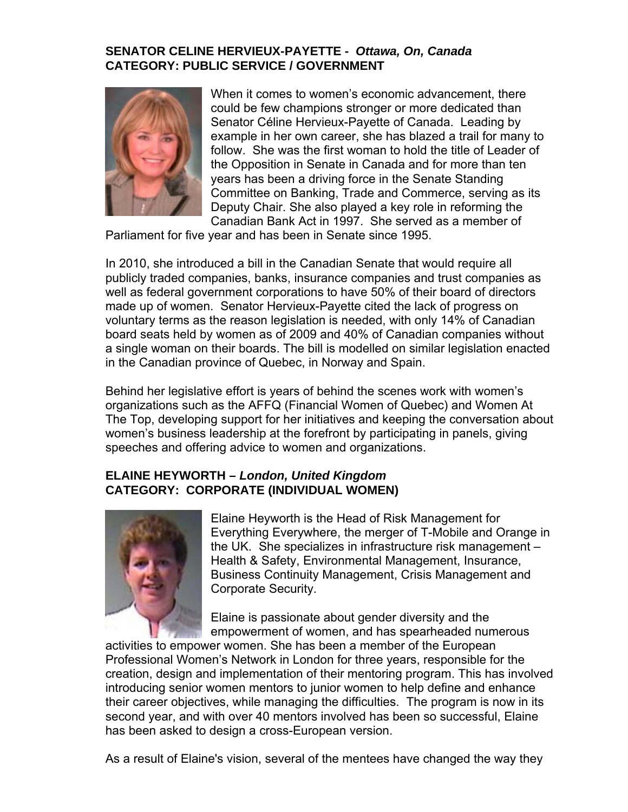### **SENATOR CELINE HERVIEUX-PAYETTE -** *Ottawa, On, Canada*  **CATEGORY: PUBLIC SERVICE / GOVERNMENT**

![](_page_24_Picture_1.jpeg)

When it comes to women's economic advancement, there could be few champions stronger or more dedicated than Senator Céline Hervieux-Payette of Canada. Leading by follow. She was the first woman to hold the title of Leader of the Opposition in Senate in Canada and for more than ten years has been a driving force in the Senate Standing Committee on Banking, Trade and Commerce, serving as its Deputy Chair. She also played a key role in reforming the Canadian Bank Act in 1997. She served as a member of example in her own career, she has blazed a trail for many to

Parliament for five year and has been in Senate since 1995.

voluntary terms as the reason legislation is needed, with only 14% of Canadian board seats held by women as of 2009 and 40% of Canadian companies without In 2010, she introduced a bill in the Canadian Senate that would require all publicly traded companies, banks, insurance companies and trust companies as well as federal government corporations to have 50% of their board of directors made up of women. Senator Hervieux-Payette cited the lack of progress on a single woman on their boards. The bill is modelled on similar legislation enacted in the Canadian province of Quebec, in Norway and Spain.

organizations such as the AFFQ (Financial Women of Quebec) and Women At The Top, developing support for her initiatives and keeping the conversation about women's business leadership at the forefront by participating in panels, giving Behind her legislative effort is years of behind the scenes work with women's speeches and offering advice to women and organizations.

# **ELAINE HEYWORTH –** *London, United Kingdom*  **CATEGORY: CORPORATE (INDIVIDUAL WOMEN)**

![](_page_24_Picture_7.jpeg)

Everything Everywhere, the merger of T-Mobile and Orange in the UK. She specializes in infrastructure risk management – Corporate Security. Elaine Heyworth is the Head of Risk Management for Health & Safety, Environmental Management, Insurance, Business Continuity Management, Crisis Management and

Elaine is passionate about gender diversity and the empowerment of women, and has spearheaded numerous

activities to empower women. She has been a member of the European Professional Women's Network in London for three years, responsible for the creation, design and implementation of their mentoring program. This has involved introducing senior women mentors to junior women to help define and enhance their career objectives, while managing the difficulties. The program is now in its second year, and with over 40 mentors involved has been so successful, Elaine has been asked to design a cross-European version.

As a result of Elaine's vision, several of the mentees have changed the way they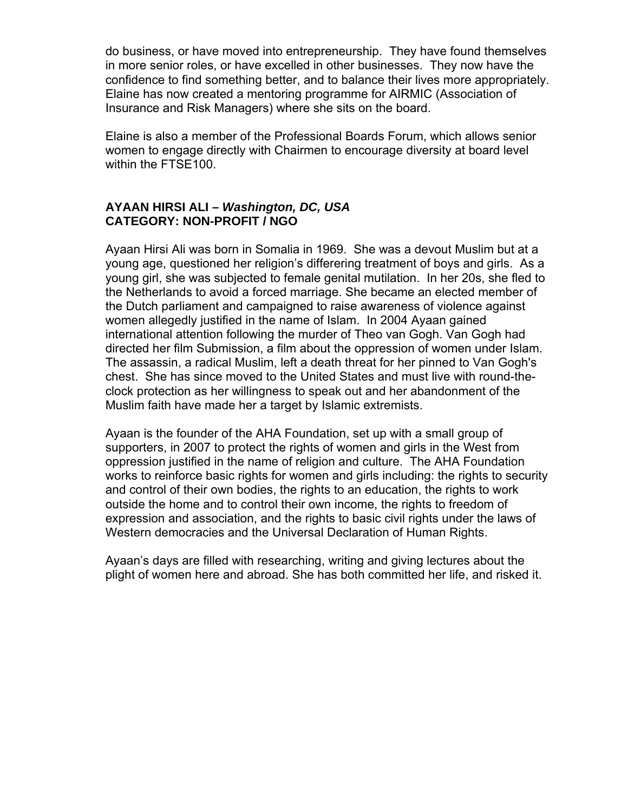do business, or have moved into entrepreneurship. They have found themselves in more senior roles, or have excelled in other businesses. They now have the onfidence to find something better, and to balance their lives more appropriately. c Elaine has now cre ated a mentoring programme for AIRMIC (Association of Insurance and Risk Managers) where she sits on the board.

Elaine is also a member of the Professional Boards Forum, which allows senior women to engage directly with Chairmen to encourage diversity at board level within the FTSE100.

#### **AYAAN HIRSI ALI –** *Washington, DC, USA*  **CATEGORY: NON-PROFIT / NGO**

Ayaan Hirsi Ali was born in Somalia in 1969. She was a devout Muslim but at a young girl, she was subjected to female genital mutilation. In her 20s, she fled to international attention following the murder of Theo van Gogh. Van Gogh had directed her film Submission, a film about the oppression of women under Islam. - chest. She has since moved to the United States and must live with round-the young age, questioned her religion's differering treatment of boys and girls. As a the Netherlands to avoid a forced marriage. She became an elected member of the Dutch parliament and campaigned to raise awareness of violence against women allegedly justified in the name of Islam. In 2004 Ayaan gained The assassin, a radical Muslim, left a death threat for her pinned to Van Gogh's clock protection as her willingness to speak out and her abandonment of the Muslim faith have made her a target by Islamic extremists.

Ayaan is the founder of the AHA Foundation, set up with a small group of works to reinforce basic rights for women and girls including: the rights to security and control of their own bodies, the rights to an education, the rights to work outside the home and to control their own income, the rights to freedom of expression and association, and the rights to basic civil rights under the laws of Western democracies and the Universal Declaration of Human Rights. supporters, in 2007 to protect the rights of women and girls in the West from oppression justified in the name of religion and culture. The AHA Foundation

Ayaan's days are filled with researching, writing and giving lectures about the plight of women he re and abroad. She has both committed her life, and risked it.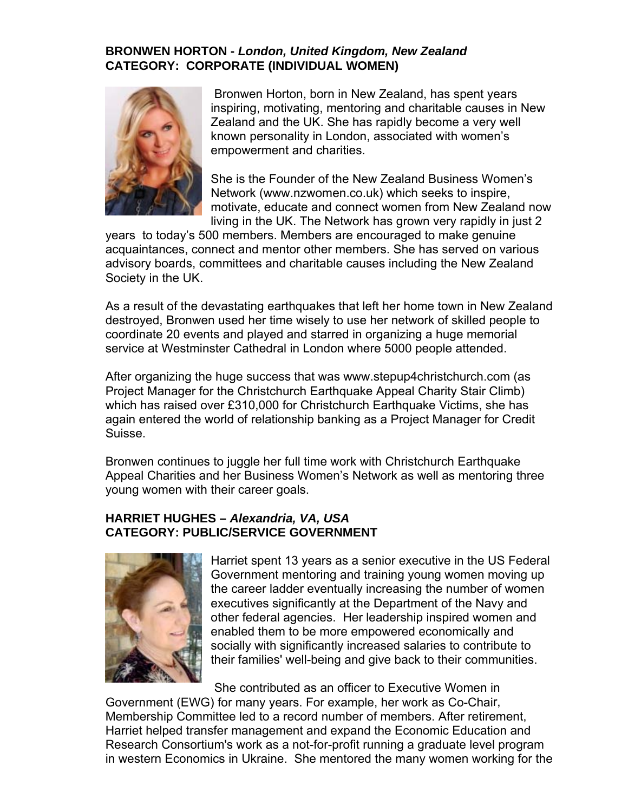### **BRONWEN HORTON -** *London, United Kingdom, New Zealand* **CATEGORY: CORPORATE (INDIVIDUAL WOMEN)**

![](_page_26_Picture_1.jpeg)

Bronwen Horton, born in New Zealand, has spent years inspiring, motivating, mentoring and charitable causes in New Zealand and the UK. She has rapidly become a very well known personality in London, associated with women's empowerment and charities.

She is the Founder of the New Zealand Business Women's Network (www.nzwomen.co.uk) which seeks to inspire, motivate, educate and connect women from New Zealand now living in the UK. The Network has grown very rapidly in just 2

years to today's 500 members. Members are encouraged to make genuine acquaintances, connect and mentor other members. She has served on various advisory boards, co mmittees and charitable causes including the New Zealand Society in the UK.

As a result of the d evastating earthquakes that left her home town in New Zealand destroyed, Bronwen used her time wisely to use her network of skilled people to coordinate 20 events and played and starred in organizing a huge memorial service at Westminster Cathedral in London where 5000 people attended.

After organizing the huge success that was www.stepup4christchurch.com (as Project Manager for the Christchurch Earthquake Appeal Charity Stair Climb) which has raised over £310,000 for Christchurch Earthquake Victims, she has again entered the world of relationship banking as a Project Manager for Credit Suisse.

Appeal Charities and her Business Women's Network as well as mentoring three Bronwen continues to juggle her full time work with Christchurch Earthquake young women with their career goals.

#### **HARRIET HUGHES –** *Alexandria, VA, USA*  **CATEGORY: PUBLIC/SERVICE GOVERNMENT**

![](_page_26_Picture_9.jpeg)

Harriet spent 13 years as a senior executive in the US Federal Government mentoring and training young women moving up the career ladder eventually increasing the number of women executives significantly at the Department of the Navy and other federal agencies. Her leadership inspired women and enabled them to be more empowered economically and socially with significantly increased salaries to contribute to their families' well-being and give back to their communities.

Government (EWG) for many years. For example, her work as Co-Chair, Membership Committee led to a record number of members. After retirement, Harriet helped transfer management and expand the Economic Education and Research Consortium's work as a not-for-profit running a graduate level program in western Economics in Ukraine. She mentored the many women working for the She contributed as an officer to Executive Women in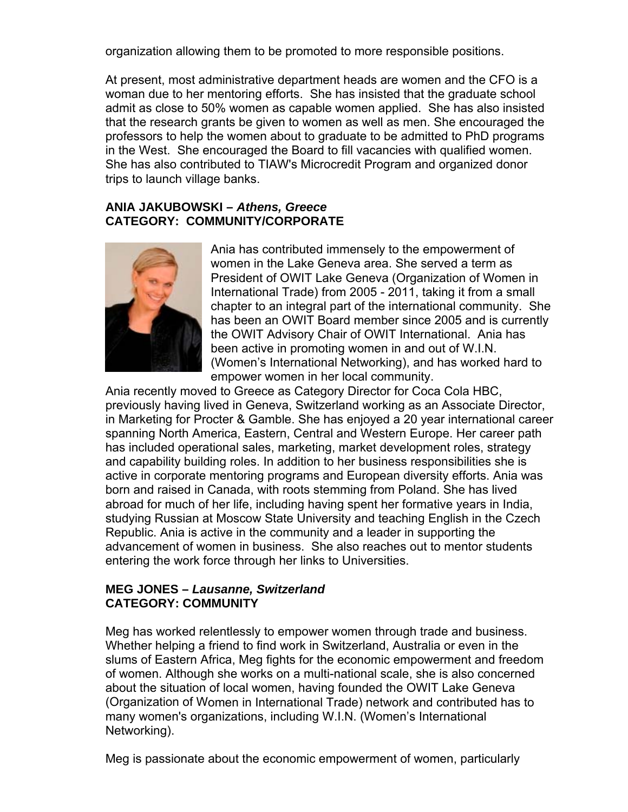organization allowing them to be promoted to more responsible positions.

At present, most administrative department heads are women and the CFO is a woman due to her mentoring efforts. She has insisted that the graduate scho ol admit as close to 50% women as capable women applied. She has also insisted that the research grants be given to women as well as men. She encourag ed the professors to help the women about to graduate to be admitted to PhD progr ams in the West. She encouraged the Board to fill vacancies with qualified w omen. She has also contributed to TIAW's Microcredit Program and organized donor trips to launch village banks.

#### **ANIA JAKUBOWSKI –** *Athens, Greece*  **CATEGORY: COMMUNITY/CORPORATE**

![](_page_27_Picture_3.jpeg)

Ania has contributed immensely to the empowerment of women in the Lake Geneva area. She served a term as President of OWIT Lake Geneva (Organization of Women in International Trade) from 2005 - 2011, taking it from a small chapter to an integral part of the international community. She has been an OWIT Board member since 2005 and is currently the OWIT Advisory Chair of OWIT International. Ania has been active in promoting women in and out of W.I.N. (Women's International Networking), and has worked hard to empower women in her local community.

Ania recently moved to Greece as Category Director for Coca Cola HBC, previously having lived in Geneva, Switzerland working as an Associate Director, in Marketing for Procter & Gamble. She has enjoyed a 20 year international career spanning North America, Eastern, Central and Western Europe. Her career path Republic. Ania is active in the community and a leader in supporting the advancement of women in business. She also reaches out to mentor students has included operational sales, marketing, market development roles, strategy and capability building roles. In addition to her business responsibilities she is active in corporate mentoring programs and European diversity efforts. Ania was born and raised in Canada, with roots stemming from Poland. She has lived abroad for much of her life, including having spent her formative years in India, studying Russian at Moscow State University and teaching English in the Czech entering the work force through her links to Universities.

### **MEG JONES –** *Lausanne, Switzerland*  **CATEGORY: COMMUNITY**

Meg has worked relentlessly to empower women through trade and business. slums of Eastern A frica, Meg fights for the economic empowerment and freedom of women. Althoug h she works on a multi-national scale, she is also concerned about the situation of local women, having founded the OWIT Lake Geneva (Organization of W omen in International Trade) network and contributed has to many women's org anizations, including W.I.N. (Women's International Networking). Whether helping a friend to find work in Switzerland, Australia or even in the

Meg is passionate about the economic empowerment of women, particularly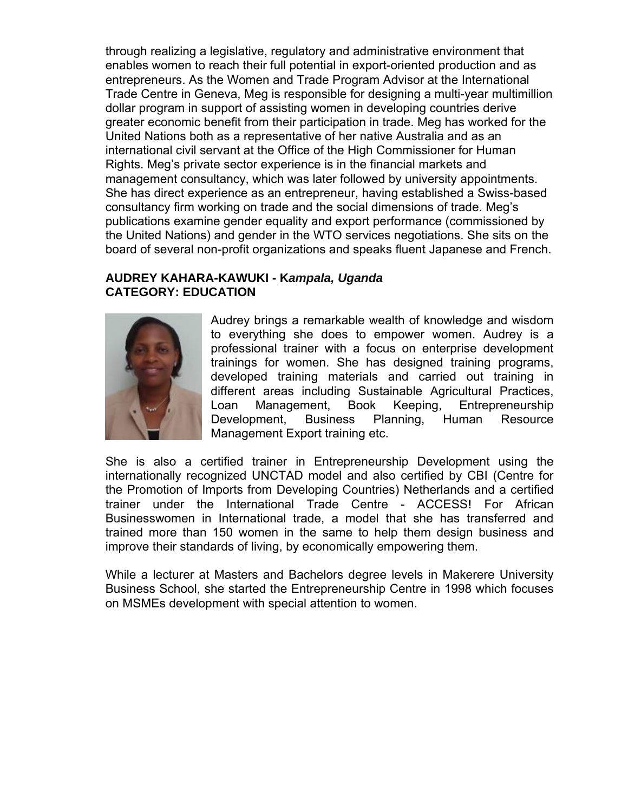through realizing a legislative, regulatory and administrative environment that enables women to reach their full potential in export-oriented production and as entrepreneurs. As the Women and Trade Program Advisor at the International Trade Centre in Geneva, Meg is responsible for designing a multi-year multimillion dollar program in support of assisting women in developing countries derive greater economic benefit from their participation in trade. Meg has worked for the United Nations both as a representative of her native Australia and as an international civil servant at the Office of the High Commissioner for Human Rights. Meg's private sector experience is in the financial markets and management consultancy, which was later followed by university appointments. She has direct experience as an entrepreneur, having established a Swiss-based consultancy firm working on trade and the social dimensions of trade. Meg's publications examine gender equality and export performance (commissioned by the United Nations) and gender in the WTO services negotiations. She sits on the board of several non-profit organizations and speaks fluent Japanese and French.

#### **CATEGORY: EDUCATION AUDREY KAHARA-KAWUKI - K***ampala, Uganda*

![](_page_28_Picture_2.jpeg)

to everything she does to empower women. Audrey is a professional trainer with a focus on enterprise development Entrepreneurship Development, Business Planning, Human Resource Audrey brings a remarkable wealth of knowledge and wisdom trainings for women. She has designed training programs, developed training materials and carried out training in different areas including Sustainable Agricultural Practices, Loan Management, Book Keeping, Management Export training etc.

She is also a certified trainer in Entrepreneurship Development using the internationally recognized UNCTAD model and also certified by CBI (Centre for trainer under the International Trade Centre - ACCESS! For African Businesswomen in International trade, a model that she has transferred and trained more than 150 women in the same to help them design business and improve their standards of living, by economically empowering them. the Promotion of Imports from Developing Countries) Netherlands and a certified

While a lecturer at Masters and Bachelors degree levels in Makerere University Business School, she started the Entrepreneurship Centre in 1998 which focuses on MSMEs development with special attention to women.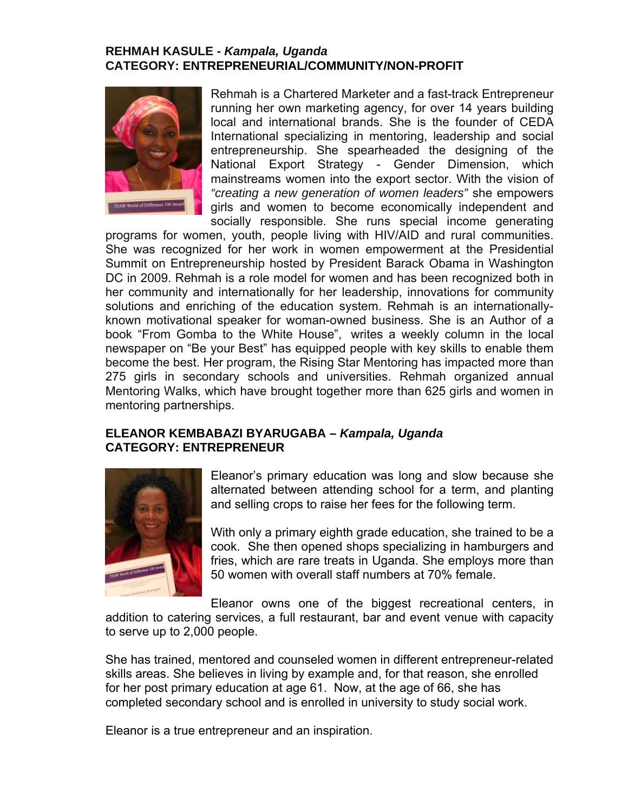### **REHMAH KASULE -** *Kampala, Uganda* **CATEGORY: ENTREPRENEURIAL/COMMUNITY/NON-PROFIT**

![](_page_29_Picture_1.jpeg)

Rehmah is a Chartered Marketer and a fast-track Entrepreneur running her own marketing agency, for over 14 years building local and international brands. She is the founder of CEDA International specializing in mentoring, leadership and social entrepreneurship. She spearheaded the designing of the National Export Strategy - Gender Dimension, which mainstreams women into the export sector. With the vision of *"creating a new generation of women leaders"* she empowers girls and women to become economically independent and socially responsible. She runs special income generating

programs for women, youth, people living with HIV/AID and rural communities. She was recognized for her work in women empowerment at the Presidential Summit on Entrepreneurship hosted by President Barack Obama in Washington DC in 2009. Rehmah is a role model for women and has been recognized both in her community and internationally for her leadership, innovations for community solutions and enriching of the education system. Rehmah is an internationallyknown motivational speaker for woman-owned business. She is an Author of a book "From Gomba to the White House", writes a weekly column in the local newspaper on "Be your Best" has equipped people with key skills to enable them become the best. Her program, the Rising Star Mentoring has impacted more than 275 girls in secondary schools and universities. Rehmah organized annual Mentoring Walks, which have brought together more than 625 girls and women in mentoring partnerships.

## **ELEANOR KEMBA BAZI BYARUGABA –** *Kampala, Uganda* **CATEGORY: ENT REPRENEUR**

![](_page_29_Picture_5.jpeg)

Eleanor's primary education was long and slow because she alternated between attending school for a term, and planting and selling crops to raise her fees for the following term.

With only a primary eighth grade education, she trained to be a cook. She then opened shops specializing in hamburgers and fries, which are rare treats in Uganda. She employs more than 50 women with overall staff numbers at 70% female.

Eleanor owns one of the biggest recreational centers, in addition to catering services, a full restaurant, bar and event venue with capacity to serve up to 2,000 people.

She has trained, mentored and counseled women in different entrepreneur-related skills areas. She believes in living by example and, for that reason, she enrolled for her post primary education at age 61. Now, at the age of 66, she has completed secondary school and is enrolled in university to study social work.

Eleanor is a true entrepreneur and an inspiration.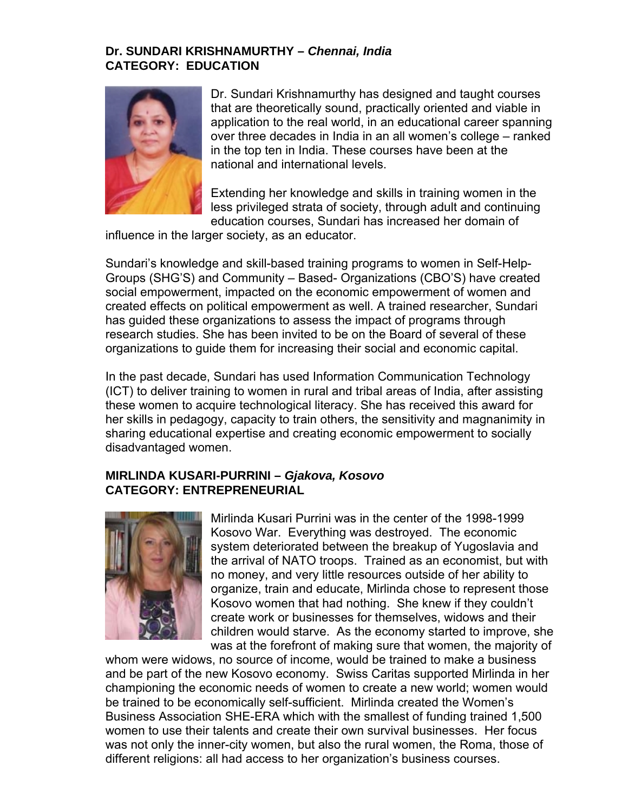### **Dr. SUNDARI KRISHNAMURTHY –** *Chennai, India*  **CATEGORY: EDUCATION**

![](_page_30_Picture_1.jpeg)

th at are theoretically sound, practically oriented and viable in application to the real world, in an educational career spanning over three decades in India in an all women's college – ranked in the top ten in India. These courses have been at the na tional and international levels. Dr. Sundari Krishnamurthy has designed and taught courses

Ex tending her knowledge and skills in training women in the less privileged strata of society, through adult and continuing ed ucation courses, Sundari has increased her domain of

influence in the larger society, as an educator.

Groups (SHG'S) and Community – Based- Organizations (CBO'S) have created created effects on political empowerment as well. A trained researcher, Sundari research studies. She has been invited to be on the Board of several of these Sundari's knowledge and skill-based training programs to women in Self-Helpsocial empowerment, impacted on the economic empowerment of women and has guided these organizations to assess the impact of programs through organizations to guide them for increasing their social and economic capital.

In the past decade, Sundari has used Information Communication Technology these women to acquire technological literacy. She has received this award for her skills in pedagogy, capacity to train others, the sensitivity and magnanimity in (ICT) to deliver training to women in rural and tribal areas of India, after assisting sharing educational expertise and creating economic empowerment to socially disadvantaged women.

## **IRLINDA KUSARI-PURRINI –** *Gjakova, Kosovo*  **M CATEGORY: ENTREPRENEURIAL**

![](_page_30_Picture_8.jpeg)

Mirlinda Kusari Purrini was in the center of the 1998-1999 system deteriorated between the breakup of Yugoslavia and no money, and very little resources outside of her ability to organize, train and educate, Mirlinda chose to represent those Kosovo women that had nothing. She knew if they couldn't children would starve. As the economy started to improve, she was at the forefront of making sure that women, the majority of Kosovo War. Everything was destroyed. The economic the arrival of NATO troops. Trained as an economist, but with create work or businesses for themselves, widows and their

whom were widows, no source of income, would be trained to make a business and be part of the new Kosovo economy. Swiss Caritas supported Mirlinda in her championing the economic needs of women to create a new world; women would be trained to be economically self-sufficient. Mirlinda created the Women's Business Association SHE-ERA which with the smallest of funding trained 1,500 women to use their talents and create their own survival businesses. Her focus was not only the inner-city women, but also the rural women, the Roma, those of different religions: all had access to her organization's business courses.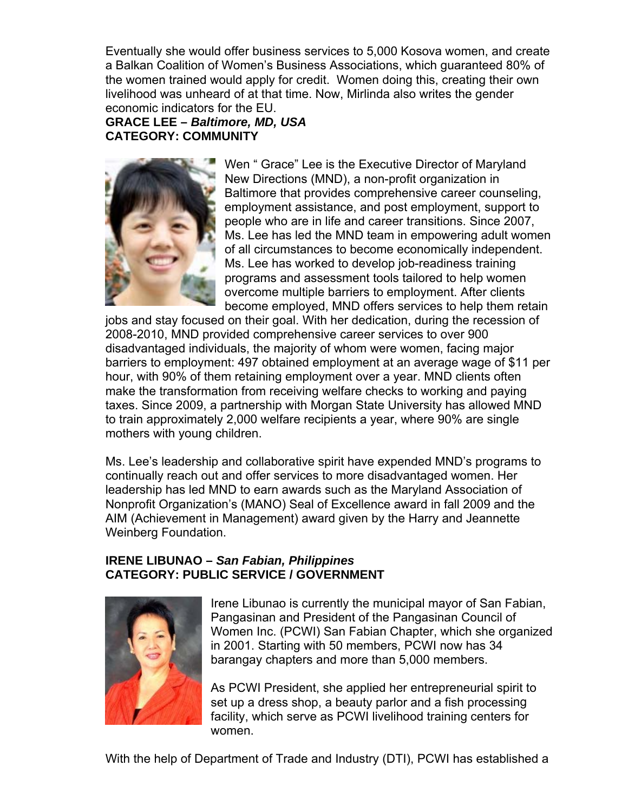Eventually she would offer business services to 5,000 Kosova women, and create a Balkan Coalition of Women's Business Associations, which guaranteed 80% of the women trained would apply for credit. Women doing this, creating their own livelihood was unheard of at that time. Now, Mirlinda also writes the gender economic indicators for the EU.

**GRACE LEE –** *Baltimore, MD, USA*  **CATEGORY: COMMUNITY** 

![](_page_31_Picture_2.jpeg)

Baltimore that provides comprehensive career counseling, employment assistance, and post employment, support to Ms. Lee has led the MND team in empowering adult women of all circumstances to become economically independent. programs and assessment tools tailored to help women overcome multiple barriers to employment. After clients Wen " Grace" Lee is the Executive Director of Maryland New Directions (MND), a non-profit organization in people who are in life and career transitions. Since 2007, Ms. Lee has worked to develop job-readiness training become employed, MND offers services to help them retain

2008-2010, MND provided comprehensive career services to over 900 disadvantaged individuals, the majority of whom were women, facing major barriers to employment: 497 obtained employment at an average wage of \$11 per hour, with 90% of them retaining employment over a year. MND clients often make the transformation from receiving welfare checks to working and paying taxes. Since 2009, a partnership with Morgan State University has allowed MND to train approximately 2,000 welfare recipients a year, where 90% are single mothers with young children. jobs and stay focused on their goal. With her dedication, during the recession of

Ms. Lee's leadersh ip and collaborative spirit have expended MND's programs to continually reach out and offer services to more disadvantaged women. Her leadership has led MND to earn awards such as the Maryland Association of Nonprofit Organization's (MANO) Seal of Excellence award in fall 2009 and the AIM (Achievement in Management) award given by the Harry and Jeannette Weinberg Foundation.

## **IRENE LIBUNAO –** *San Fabian, Philippines*  **CATEGORY: PUBLIC SERVICE / GOVERNMENT**

![](_page_31_Picture_7.jpeg)

Irene Libunao is currently the municipal mayor of San Fabian, Women Inc. (PCWI) San Fabian Chapter, which she organized in 2001. Starting with 50 members, PCWI now has 34 Pangasinan and President of the Pangasinan Council of barangay chapters and more than 5,000 members.

As PCWI President, she applied her entrepreneurial spirit to set up a dress shop, a beauty parlor and a fish processing facility, which serve as PCWI livelihood training centers for women.

With the help of Department of Trade and Industry (DTI), PCWI has established a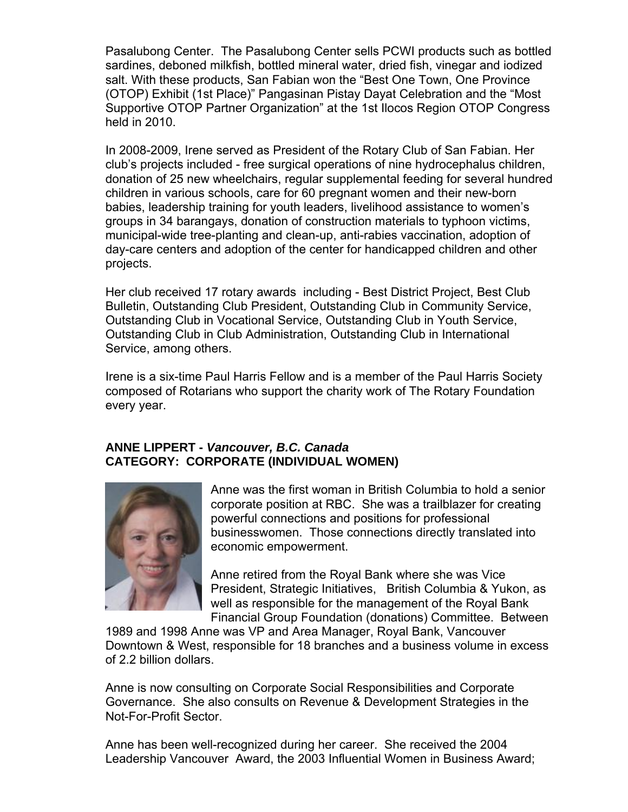Pasalubong Center. The Pasalubong Center sells PCWI products such as bottled sardines, deboned milkfish, bottled mineral water, dried fish, vinegar and iodized salt. With these products, San Fabian won the "Best One Town, One Provinc e (OTOP) Exhibit (1st Place)" Pangasinan Pistay Dayat Celebration and the "Most Supportive OTOP Partner Organization" at the 1st Ilocos Region OTOP Congress held in 2010.

 2008-2009, Irene served as President of the Rotary Club of San Fabian. Her In club's projects included - free surgical operations of nine hydrocephalus children, donation of 25 new wheelchairs, regular supplemental feeding for several hundred children in various schools, care for 60 pregnant women and their new-born babies, leadership training for youth leaders, livelihood assistance to women's groups in 34 barangays, donation of construction materials to typhoon victims, municipal-wide tree-planting and clean-up, anti-rabies vaccination, adoption of day-care centers an d adoption of the center for handicapped children and other projects.

Her club received 17 rotary awards including - Best District Project, Best Club Bulletin, Outstanding Club President, Outstanding Club in Community Service, Outstanding Club in Vocational Service, Outstanding Club in Youth Service, Outstanding Club in Club Administration, Outstanding Club in International Service, among others.

Irene is a six-time Paul Harris Fellow and is a member of the Paul Harris Society composed of Rotarians who support the charity work of The Rotary Foundation ev ery year.

# **A NNE LIPPERT -** *Vancouver, B.C. Canada*  **C ATEGORY: CORPORATE (INDIVIDUAL WOMEN)**

![](_page_32_Picture_5.jpeg)

Anne was the first woman in British Columbia to hold a senior corporate position at RBC. She was a trailblazer for creating businesswomen. Those connections directly translated into economic empowerment. powerful connections and positions for professional

President, Strategic Initiatives, British Columbia & Yukon, as well as responsible for the management of the Royal Bank Financial Group Foundation (donations) Committee. Between Anne retired from the Royal Bank where she was Vice

1989 and 1998 Anne was VP and Area Manager, Royal Bank, Vancouver Downtown & West, responsible for 18 branches and a business volume in excess of 2.2 billion dollars.

Anne is now consulting on Corporate Social Responsibilities and Corporate Governance. She also consults on Revenue & Development Strategies in the Not-For-Profit Sector.

Anne has been well-recognized during her career. She received the 2004 Leadership Vancouver Award, the 2003 Influential Women in Business Award;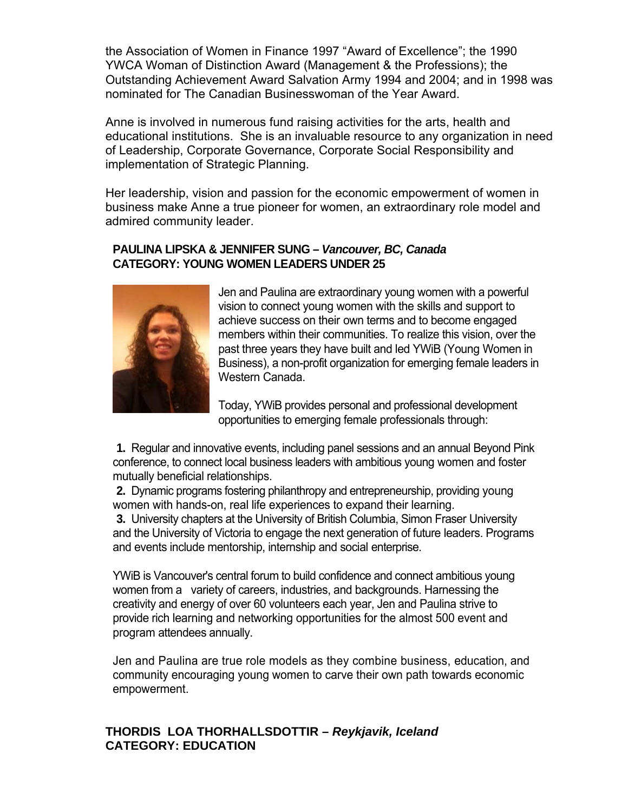the Association of Women in Finance 1997 "Award of Excellence"; the 1990 YWCA Woman of Distinction Award (Management & the Professions); the Outstanding Achievement Award Salvation Army 1994 and 2004; and in 1998 was nominated for The Canadian Businesswoman of the Year Award.

Anne is involved in numerous fund raising activities for the arts, health and educational institutions. She is an invaluable resource to any organization in need of Leadership, Cor porate Governance, Corporate Social Responsibility and implementation of S trategic Planning.

Her leadership, vision and passion for the economic empowerment of women in business make Ann e a true pioneer for women, an extraordinary role model and admired community leader.

### **PAULINA LIPSKA & JENNIFER SUNG –** *Vancouver, BC, Canada*  **CATEGORY: YOUNG WOMEN LEADERS UNDER 25**

![](_page_33_Picture_4.jpeg)

Jen and Paulina are extraordinary young women with a powerful vision to connect young women with the skills and support to members within their communities. To realize this vision, over the past three years they have built and led YWiB (Young Women in Business), a non-profit organization for emerging female leaders in . Western Canada achieve success on their own terms and to become engaged

Today, YWiB provides personal and professional development opportunities to emerging female professionals through:

conference, to connect local business leaders with ambitious young women and foster mutually beneficial relationships. **1.** Regular and innovative events, including panel sessions and an annual Beyond Pink

**2.** Dynamic programs fostering philanthropy and entrepreneurship, providing young women with hands-on, real life experiences to expand their learning.

**3.** University chapters at the University of British Columbia, Simon Fraser University and the University of Victoria to engage the next generation of future leaders. Programs and events include mentorship, internship and social enterprise.

YWiB is Vancouver's central forum to build confidence and connect ambitious young women from a variety of careers, industries, and backgrounds. Harnessing the creativity and energy of over 60 volunteers each year, Jen and Paulina strive to provide rich learning and networking opportunities for the almost 500 event and program attendees annually.

Jen and Paulina are true role models as they combine business, education, and community encouraging young women to carve their own path towards economic empowerment.

## **HORDIS LOA THORHALLSDOTTIR –** *Reykjavik, Iceland*  **T ATEGORY: EDUCATION C**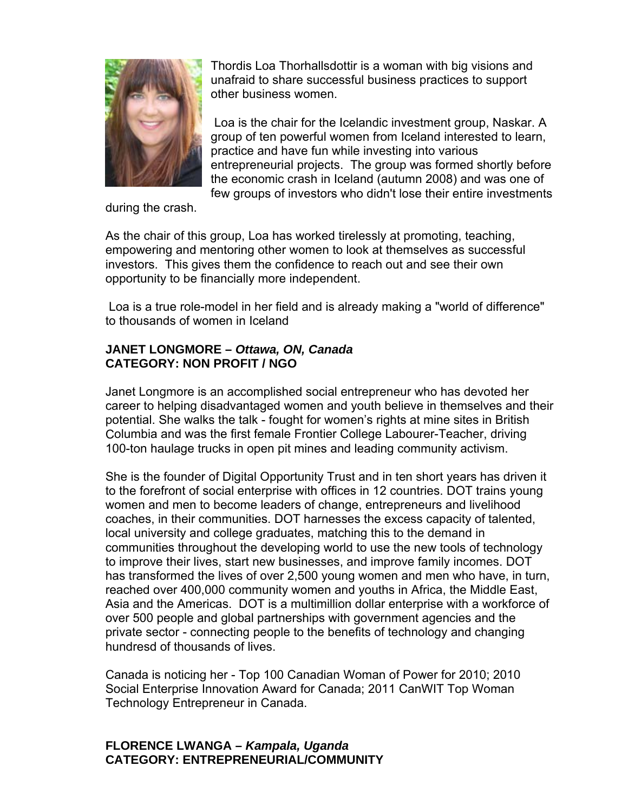![](_page_34_Picture_0.jpeg)

Thordis Loa Thorhallsdottir is a woman with big visions and unafraid to share successful business practices to support other business women.

the economic crash in Iceland (autumn 2008) and was one of few groups of investors who didn't lose their entire investments Loa is the chair for the Icelandic investment group, Naskar. A group of ten powerful women from Iceland interested to learn, practice and have fun while investing into various entrepreneurial projects. The group was formed shortly before

during the crash.

As the chair of this group, Loa has worked tirelessly at promoting, teaching, empowering and mentoring other women to look at themselves as successful investors. This gives them the confidence to reach out and see their own opportunity to be financially more independent.

Loa is a true role-model in her field and is already making a "world of difference" to thousands of women in Iceland

## **JANET LONGMORE –** *Ottawa, ON, Canada*  **CATEGORY: NON PROFIT / NGO**

Janet Longmore is an accomplished social entrepreneur who has devoted her career to helping disadvantaged women and youth believe in themselves and their potential. She walks the talk - fought for women's rights at mine sites in British Columbia and was the first female Frontier College Labourer-Teacher, driving 100-ton haulage trucks in open pit mines and leading community activism.

She is the founder of Digital Opportunity Trust and in ten short years has driven it to the forefront of s ocial enterprise with offices in 12 countries. DOT trains young women and men to become leaders of change, entrepreneurs and livelihood coaches, in their co mmunities. DOT harnesses the excess capacity of talented, local university and college graduates, matching this to the demand in communities throug hout the developing world to use the new tools of technology to improve their live s, start new businesses, and improve family incomes. DOT has transformed the lives of over 2,500 young women and men who have, in turn, reached over 400,000 community women and youths in Africa, the Middle East, Asia and the Americas. DOT is a multimillion dollar enterprise with a workforce of hundresd of thousands of lives. over 500 people and global partnerships with government agencies and the private sector - connecting people to the benefits of technology and changing

Canada is noticing her - Top 100 Canadian Woman of Power for 2010; 2010 Social Enterprise Innovation Award for Canada; 2011 CanWIT Top Woman Technology Entrepreneur in Canada.

## **FLORENCE LWANGA –** *Kampala, Uganda* **CATEGORY: ENTREPRENEURIAL/COMMUNITY**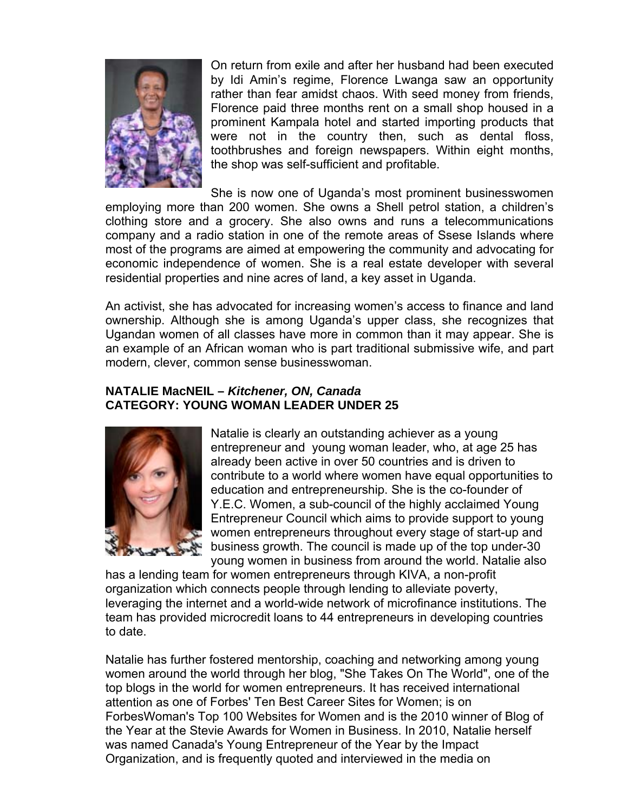![](_page_35_Picture_0.jpeg)

On return from exile and after her husband had been executed by Idi Amin's regime, Florence Lwanga saw an opportunity rather than fear amidst chaos. With seed money from friends, Florence paid three months rent on a small shop housed in a prominent Kampala hotel and started importing products that were not in the country then, such as dental floss, toothbrushes and foreign newspapers. Within eight months, the shop was self-sufficient and profitable.

She is now one of Uganda's most prominent businesswomen employing more than 200 women. She owns a Shell petrol station, a children's most of the programs are aimed at empowering the community and advocating for economic independence of women. She is a real estate developer with several clothing store and a grocery. She also owns and runs a telecommunications company and a radio station in one of the remote areas of Ssese Islands where residential properties and nine acres of land, a key asset in Uganda.

An activist, she has advocated for increasing women's access to finance and land ownership. Although she is among Uganda's upper class, she recognizes that Ugandan women of all classes have more in common than it may appear. She is modern, clever, common sense businesswoman. an example of an African woman who is part traditional submissive wife, and part

#### **5 CATEGORY: YOUNG WOMAN LEADER UNDER 2 NATALIE MacNEIL –** *Kitchener, ON, Canada*

![](_page_35_Picture_5.jpeg)

contribute to a world where women have equal opportunities to education and entrepreneurship. She is the co-founder of Y.E.C. Women, a sub-council of the highly acclaimed Young Entrepreneur Council which aims to provide support to young women entrepreneurs throughout every stage of start-up and business growth. The council is made up of the top under-30 Natalie is clearly an outstanding achiever as a young entrepreneur and young woman leader, who, at age 25 has already been active in over 50 countries and is driven to young women in business from around the world. Natalie also

has a lending team for women entrepreneurs through KIVA, a non-profit organization which connects people through lending to alleviate poverty, leveraging the internet and a world-wide network of microfinance institutions. The team has provided microcredit loans to 44 entrepreneurs in developing countries to date.

attention as one of Forbes' Ten Best Career Sites for Women; is on ForbesWoman's Top 100 Websites for Women and is the 2010 winner of Blog of the Year at the Stevie Awards for Women in Business. In 2010, Natalie herself Natalie has further fostered mentorship, coaching and networking among young women around the world through her blog, "She Takes On The World", one of the top blogs in the world for women entrepreneurs. It has received international was named Canada's Young Entrepreneur of the Year by the Impact Organization, and is frequently quoted and interviewed in the media on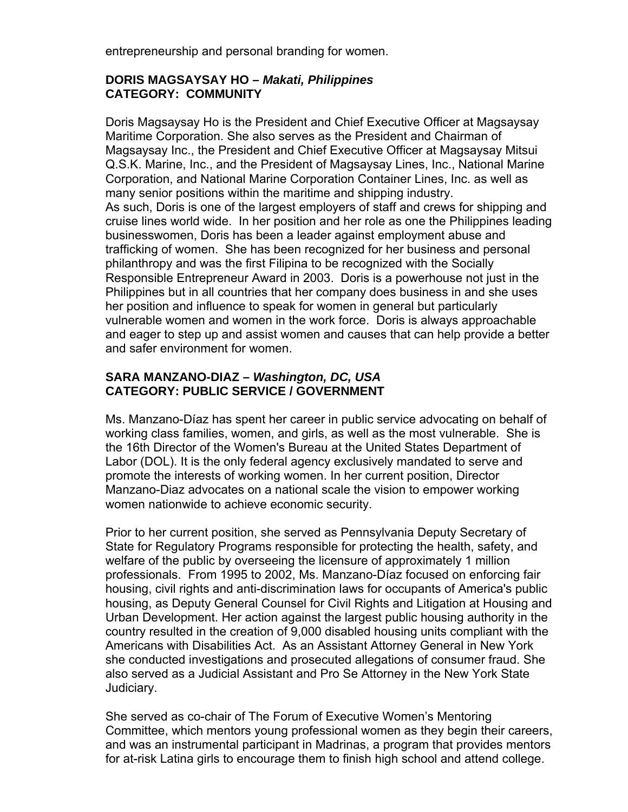entrepreneurship and personal branding for women.

## **DORIS MAGSAYSAY HO –** *Makati, Philippines*  **CATEGORY: COMMUNITY**

Doris Magsaysay H o is the President and Chief Executive Officer at Magsaysay Maritime Corporati on. She also serves as the President and Chairman of Magsaysay Inc., the President and Chief Executive Officer at Magsaysay Mitsui Q.S.K. Marine, Inc., and the President of Magsaysay Lines, Inc., National Marine Corporation, and National Marine Corporation Container Lines, Inc. as well as many senior positions within the maritime and shipping industry. As such, Doris is one of the largest employers of staff and crews for shipping and cruise lines world w ide. In her position and her role as one the Philippines leading businesswomen, D oris has been a leader against employment abuse and Responsible Entrepreneur Award in 2003. Doris is a powerhouse not just in the vulnerable women and women in the work force. Doris is always approachable and eager to step up and assist women and causes that can help provide a better trafficking of women. She has been recognized for her business and personal philanthropy and was the first Filipina to be recognized with the Socially Philippines but in all countries that her company does business in and she uses her position and influence to speak for women in general but particularly and safer environment for women.

## **SARA MANZANO-DIAZ –** *Washington, DC, USA*  **CATEGORY: PUBLIC SERVICE / GOVERNMENT**

working class families, women, and girls, as well as the most vulnerable. She is the 16th Director of the Women's Bureau at the United States Department of Labor (DOL). It is the only federal agency exclusively mandated to serve and promote the interests of working women. In her current position, Director Manzano-Diaz advocates on a national scale the vision to empower working women nationwide to achieve economic security. Ms. Manzano-Díaz has spent her career in public service advocating on behalf of

Prior to her current position, she served as Pennsylvania Deputy Secretary of State for Regulator y Programs responsible for protecting the health, safety, and welfare of the public by overseeing the licensure of approximately 1 million professionals. From 1995 to 2002, Ms. Manzano-Díaz focused on enforcing fair housing, civil rights and anti-discrimination laws for occupants of America's public housing, as Deputy General Counsel for Civil Rights and Litigation at Housing and Urban Developmen t. Her action against the largest public housing authority in the Americans with Disabilities Act. As an Assistant Attorney General in New York she conducted investigations and prosecuted allegations of consumer fraud. She country resulted in the creation of 9,000 disabled housing units compliant with the also served as a Judicial Assistant and Pro Se Attorney in the New York State Judiciary.

Committee, which mentors young professional women as they begin their careers, and was an instrumental participant in Madrinas, a program that provides mentors She served as co-chair of The Forum of Executive Women's Mentoring for at-risk Latina girls to encourage them to finish high school and attend college.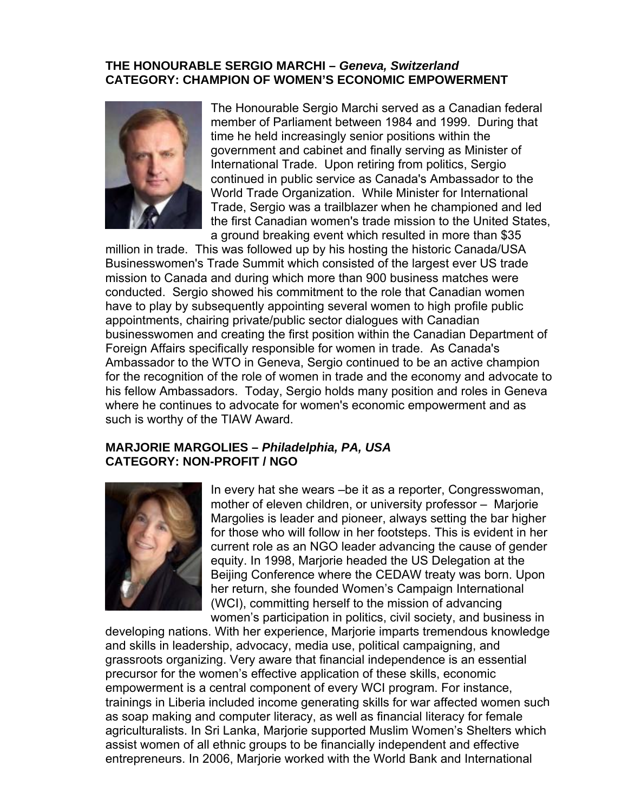#### **THE HONOURABLE SERGIO MARCHI –** *Geneva, Switzerland*  **CATEGORY: CHAMPION OF WOMEN'S ECONOMIC EMPOWERMENT**

![](_page_37_Picture_1.jpeg)

The Honourable Sergio Marchi served as a Canadian federal member of Parliament between 1984 and 1999. During that time he held increasingly senior positions within the government and cabinet and finally serving as Minister of International Trade. Upon retiring from politics, Sergio continued in public service as Canada's Ambassador to the World Trade Organization. While Minister for International Trade, Sergio was a trailblazer when he championed and led the first Canadian women's trade mission to the United States, a ground breaking event which resulted in more than \$35

million in trade. This was followed up by his hosting the historic Canada/USA Businesswomen's Trade Summit which consisted of the largest ever US trade mission to Canada and during which more than 900 business matches were conducted. Sergio showed his commitment to the role that Canadian women have to play by subsequently appointing several women to high profile public appointments, chairing private/public sector dialogues with Canadian businesswomen and creating the first position within the Canadian Department of Foreign Affairs specifically responsible for women in trade. As Canada's Ambassador to the WTO in Geneva, Sergio continued to be an active champion for the recognition of the role of women in trade and the economy and advocate to his fellow Ambassadors. Today, Sergio holds many position and roles in Geneva where he continues to advocate for women's economic empowerment and as such is worthy of the TIAW Award.

#### **MARJORIE MARGOLIES –** *Philadelphia, PA, USA*  **CATEGORY: NON-PROFIT / NGO**

![](_page_37_Picture_5.jpeg)

In every hat she wears –be it as a reporter, Congresswoman, mother of eleven children, or university professor – Marjorie Margolies is leader and pioneer, always setting the bar higher for those who will follow in her footsteps. This is evident in her current role as an NGO leader advancing the cause of gender Beijing Conference where the CEDAW treaty was born. Upon equity. In 1998, Marjorie headed the US Delegation at the her return, she founded Women's Campaign International (WCI), committing herself to the mission of advancing women's participation in politics, civil society, and business in

developing nations . With her experience, Marjorie imparts tremendous knowledge and skills in leader ship, advocacy, media use, political campaigning, and grassroots organiz ing. Very aware that financial independence is an essential precursor for the w omen's effective application of these skills, economic trainings in Liberia included income generating skills for war affected women such agriculturalists. In Sri Lanka, Marjorie supported Muslim Women's Shelters which empowerment is a central component of every WCI program. For instance, as soap making and computer literacy, as well as financial literacy for female assist women of all ethnic groups to be financially independent and effective entrepreneurs. In 2006, Marjorie worked with the World Bank and International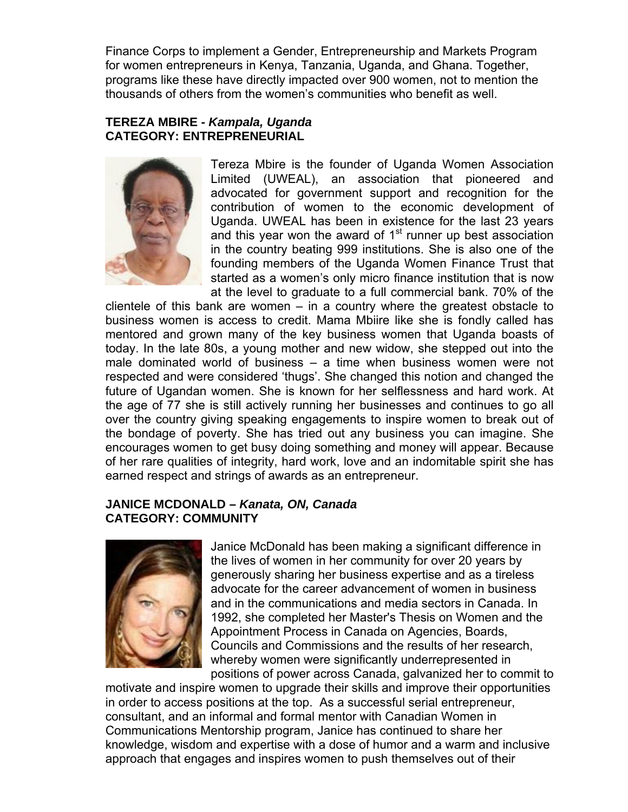Finance Corps to implement a Gender, Entrepreneurship and Markets Program for women entrepreneurs in Kenya, Tanzania, Uganda, and Ghana. Together , programs like these have directly impacted over 900 women, not to mention the thousands of others from the women's communities who benefit as well.

## **TEREZA MBIRE -** *Kampala, Uganda* **CATEGORY: ENTREPRENEURIAL**

![](_page_38_Picture_2.jpeg)

Tereza Mbire is the founder of Uganda Women Association Limited (UWEAL), an association that pioneered and advocated for government support and recognition for the contribution of women to the economic development of Uganda. UWEAL has been in existence for the last 23 years and this year won the award of  $1<sup>st</sup>$  runner up best association in the country beating 999 institutions. She is also one of the founding members of the Uganda Women Finance Trust that started as a women's only micro finance institution that is now at the level to graduate to a full commercial bank. 70% of the

clientele of this bank are women  $-$  in a country where the greatest obstacle to business women is access to credit. Mama Mbiire like she is fondly called has mentored and grown many of the key business women that Uganda boasts of today. In the late 80s, a young mother and new widow, she stepped out into the male dominated world of business – a time when business women were not respected and were considered 'thugs'. She changed this notion and changed the future of Ugandan women. She is known for her selflessness and hard work. At the age of 77 she is still actively running her businesses and continues to go all over the country giving speaking engagements to inspire women to break out of the bondage of poverty. She has tried out any business you can imagine. She encourages women to get busy doing something and money will appear. Because of her rare qualities of integrity, hard work, love and an indomitable spirit she has earned respect and strings of awards as an entrepreneur.

## **JANICE MCDONALD –** *Kanata, ON, Canada*  **CATEGORY: COMMUNITY**

![](_page_38_Picture_6.jpeg)

Janice McDonald has been making a significant difference in the lives of women in her community for over 20 years by generously sharing her business expertise and as a tireless advocate for the career advancement of women in business and in the communications and media sectors in Canada. In 1992, she completed her Master's Thesis on Women and the Appointment Process in Canada on Agencies, Boards, , Councils and Commissions and the results of her research whereby women were significantly underrepresented in positions of power across Canada, galvanized her to commit to

motivate and inspire women to upgrade their skills and improve their opportunities in order to access p ositions at the top. As a successful serial entrepreneur, consultant, and an informal and formal mentor with Canadian Women in Communications Mentorship program, Janice has continued to share her knowledge, wisdom and expertise with a dose of humor and a warm and inclusive approach that engages and inspires women to push themselves out of their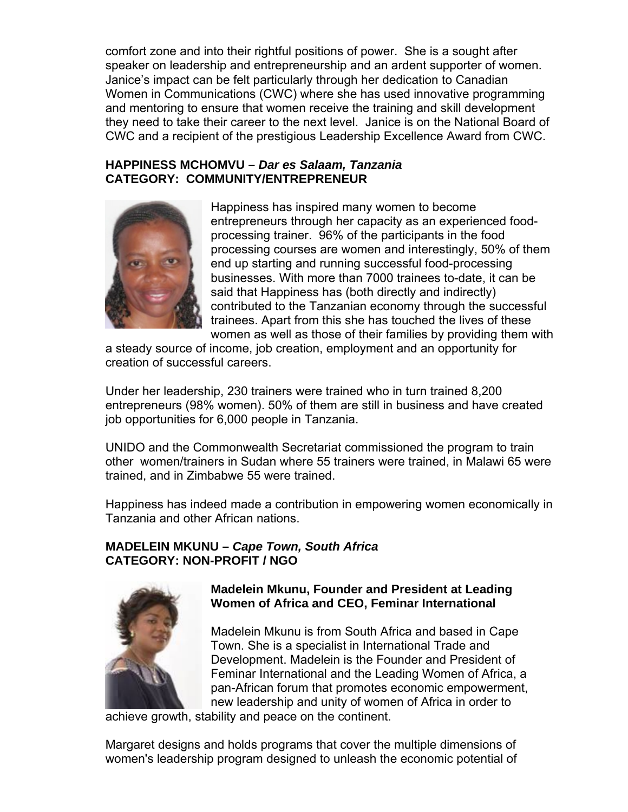comfort zone and into their rightful positions of power. She is a sought after speaker on leadership and entrepreneurship and an ardent supporter o f women. Janice's impact can be felt particularly through her dedication to Canadian Women in Communications (CWC ) where she has used innovative programming and mentoring to ensure that women receive the training and skill development they need to take their career to the next level. Janice is on the National Board of CWC and a recipient of the prestigious Leadership Excellence Award from CWC.

### **HAPPINESS MCHOMVU –** *Dar es Salaam, Tanzania*  **CATEGORY: COMMUNITY/ENTREPRENEUR**

![](_page_39_Picture_2.jpeg)

processing courses are women and interestingly, 50% of them trainees. Apart from this she has touched the lives of these women as well as those of their families by providing them with Happiness has inspired many women to become entrepreneurs through her capacity as an experienced foodprocessing trainer. 96% of the participants in the food end up starting and running successful food-processing businesses. With more than 7000 trainees to-date, it can be said that Happiness has (both directly and indirectly) contributed to the Tanzanian economy through the successful

a steady source of income, job creation, employment and an opportunity for creation of successful careers.

Under her leadership, 230 trainers were trained who in turn trained 8,200 entrepreneurs (98% women). 50% of them are still in business and have created job opportunities for 6,000 people in Tanzania.

UNIDO and the Commonwealth Secretariat commissioned the program to train other women/trainers in Sudan where 55 trainers were trained, in Malawi 65 were trained, and in Zim babwe 55 were trained.

Happiness has indeed made a contribution in empowering women economically in Tanzania and othe r African nations.

# **MADELEIN MKUNU - Cape Town, South Africa CATEGORY: NON-PROFIT / NGO**

![](_page_39_Picture_9.jpeg)

## **Madelein Mkunu, Founder and President at Leading Women of Africa and CEO, Feminar International**

Development. Madelein is the Founder and President of pan-African forum that promotes economic empowerment, new leadership and unity of women of Africa in order to Madelein Mkunu is from South Africa and based in Cape Town. She is a specialist in International Trade and Feminar International and the Leading Women of Africa, a

achieve growth, stability and peace on the continent.

women's leadership program designed to unleash the economic potential of Margaret designs and holds programs that cover the multiple dimensions of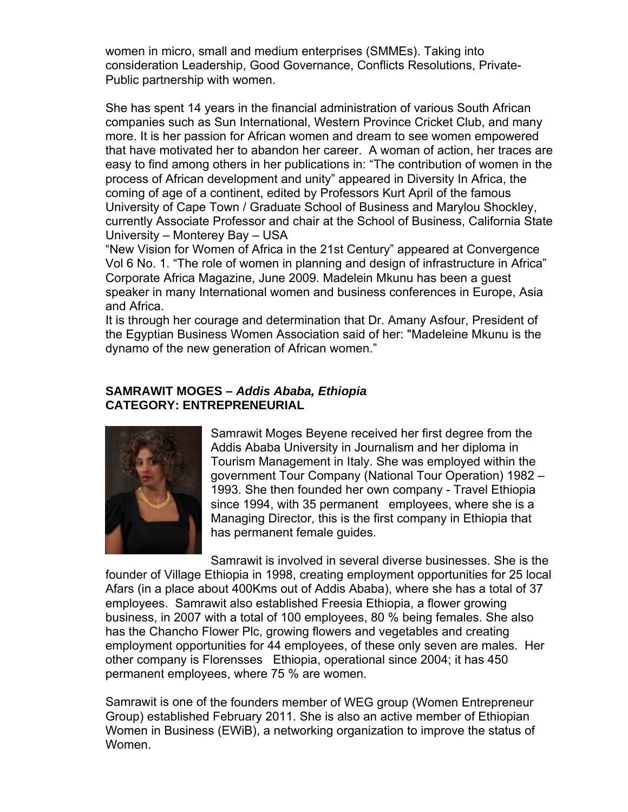women in micro, small and medium enterprises (SMMEs). Taking into consideration Leadership, Good Governance, Conflicts Resolutions, Private-Public partnership with women.

more. It is her passion for African women and dream to see women empowered that have motivated her to abandon her career. A woman of action, her traces are easy to find among others in her publications in: "The contribution of women in the process of African development and unity" appeared in Diversity In Africa, the oming of age of a continent, edited by Professors Kurt April of the famous c University of Cape Town / Graduate School of Business and Marylou Shockley, currently Associate Professor and chair at the School of Business, California State University – Monter ey Bay – USA She has spent 14 years in the financial administration of various South African companies such as Sun International, Western Province Cricket Club, and many

"New Vision for Women of Africa in the 21st Century" appeared at Convergence Vol 6 No. 1. "The ro le of women in planning and design of infrastructure in Africa" Corporate Africa M agazine, June 2009. Madelein Mkunu has been a guest speaker in many International women and business conferences in Europe, Asia and Africa.

It is through her courage and determination that Dr. Amany Asfour, President of the Egyptian Business Women Association said of her: "Madeleine Mkunu is the dynamo of the new generation of African women."

### **SAMRAWIT MOGES –** *Addis Ababa, Ethiopia*  **CATEGORY: ENTREPRENEURIAL**

![](_page_40_Picture_5.jpeg)

Samrawit Moges Beyene received her first degree from the 2 – government Tour Company (National Tour Operation) 198 Managing Director, this is the first company in Ethiopia that Addis Ababa University in Journalism and her diploma in Tourism Management in Italy. She was employed within the 1993. She then founded her own company - Travel Ethiopia since 1994, with 35 permanent employees, where she is a has permanent female guides.

Samrawit is involved in several diverse businesses. She is the founder of Village Ethiopia in 1998, creating employment opportunities for 25 local Afars (in a place about 400Kms out of Addis Ababa), where she has a total of 37 employees. Samrawit also established Freesia Ethiopia, a flower growing business, in 2007 with a total of 100 employees, 80 % being females. She also has the Chancho Flower Plc, growing flowers and vegetables and creating employment opportunities for 44 employees, of these only seven are males. Her other company is F lorensses Ethiopia, operational since 2004; it has 450 permanent employ ees, where 75 % are women.

Samrawit is one of the founders member of WEG group (Women Entrepreneur Group) established February 2011. She is also an active member of Ethiopian Women in Busines s (EWiB), a networking organization to improve the status ofWomen.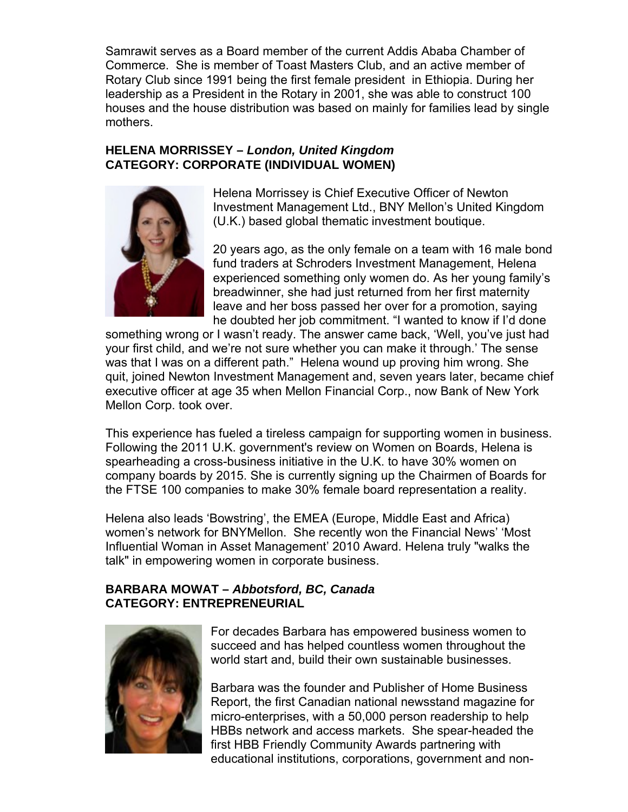Samrawit serves as a Board member of the current Addis Ababa Chamber of Commerce. She is member of Toast Masters Club, and an active member of Rotary Club since 1991 being the first female president in Ethiopia. During her houses and the house distribution was based on mainly for families lead by single leadership as a President in the Rotary in 2001, she was able to construct 100 mothers.

## **HELENA MORRISSEY –** *London, United Kingdom*  **CATEGORY: CORPORATE (INDIVIDUAL WOMEN)**

![](_page_41_Picture_2.jpeg)

Helena Morrissey is Chief Executive Officer of Newton Investment Management Ltd., BNY Mellon's United Kingdom (U.K.) based global thematic investment boutique.

20 years ago, as the only female on a team with 16 male bond experienced something only women do. As her young family's leave and her boss passed her over for a promotion, saying he doubted her job commitment. "I wanted to know if I'd done fund traders at Schroders Investment Management, Helena breadwinner, she had just returned from her first maternity

something wrong or I wasn't ready. The answer came back, 'Well, you've just had was that I was on a different path." Helena wound up proving him wrong. She quit, joined Newton Investment Management and, seven years later, became chief executive officer at age 35 when Mellon Financial Corp., now Bank of New York your first child, and we're not sure whether you can make it through.' The sense Mellon Corp. took over.

This experience has fueled a tireless campaign for supporting women in business. Following the 2011 U.K. government's review on Women on Boards, Helena is spearheading a cross-business initiative in the U.K. to have 30% women on company boards by 2015. She is currently signing up the Chairmen of Boards for the FTSE 100 companies to make 30% female board representation a reality.

Helena also leads 'Bowstring', the EMEA (Europe, Middle East and Africa) women's network for BNYMellon. She recently won the Financial News' 'Most Influential Woman in Asset Management' 2010 Award. Helena truly "walks the talk" in empowering women in corporate business.

## **BARBARA MOWAT –** *Abbotsford, BC, Canada*  **CATEGORY: ENTREPRENEURIAL**

![](_page_41_Picture_9.jpeg)

For decades Barbara has empowered business women to succeed and has helped countless women throughout the world start and, build their own sustainable businesses.

Report, the first Canadian national newsstand magazine for micro-enterprises, with a 50,000 person readership to help HBBs network and access markets. She spear-headed the first HBB Friendly Community Awards partnering with educational institutions, corporations, government and non-Barbara was the founder and Publisher of Home Business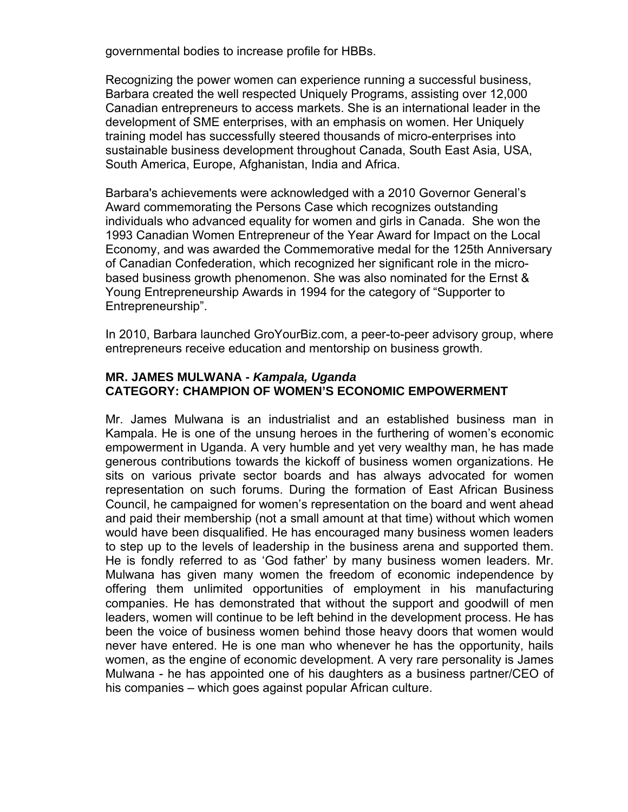governmental bodi es to increase profile for HBBs.

Recognizing the po wer women can experience running a successful business, Barbara created the well respected Uniquely Programs, assisting over 12,000 Canadian entrepre neurs to access markets. She is an international leader in the development of SM E enterprises, with an emphasis on women. Her Uniquely training model has successfully steered thousands of micro-enterprises into sustainable business development throughout Canada, South East Asia, USA, South America, Europe, Afghanistan, India and Africa.

Economy, and was awarded the Commemorative medal for the 125th Anniversary of Canadian Confederation, which recognized her significant role in the microbased business growth phenomenon. She was also nominated for the Ernst & Barbara's achievements were acknowledged with a 2010 Governor General's Award commemorating the Persons Case which recognizes outstanding individuals who advanced equality for women and girls in Canada. She won the 1993 Canadian Women Entrepreneur of the Year Award for Impact on the Local Young Entrepreneurship Awards in 1994 for the category of "Supporter to Entrepreneurship".

In 2010, Barbara launched GroYourBiz.com, a peer-to-peer advisory group, where entrepreneurs receive education and mentorship on business growth.

### **MR. JAMES MULWANA -** *Kampala, Uganda* **CATEGORY: CHAMPION OF WOMEN'S ECONOMIC EMPOWERMENT**

Mr. James Mulwana is an industrialist and an established business man in Kampala. He is one of the unsung heroes in the furthering of women's economic empowerment in Uganda. A very humble and yet very wealthy man, he has made generous contributions towards the kickoff of business women organizations. He sits on various private sector boards and has always advocated for women representation on such forums. During the formation of East African Business Council, he campaigned for women's representation on the board and went ahead and paid their membership (not a small amount at that time) without which women would have been disqualified. He has encouraged many business women leaders to step up to the levels of leadership in the business arena and supported them. He is fondly referred to as 'God father' by many business women leaders. Mr. Mulwana has given many women the freedom of economic independence by offering them unlimited opportunities of employment in his manufacturing companies. He has demonstrated that without the support and goodwill of men leaders, women will continue to be left behind in the development process. He has been the voice of business women behind those heavy doors that women would never have entered. He is one man who whenever he has the opportunity, hails women, as the engine of economic development. A very rare personality is James Mulwana - he has appointed one of his daughters as a business partner/CEO of his companies – which goes against popular African culture.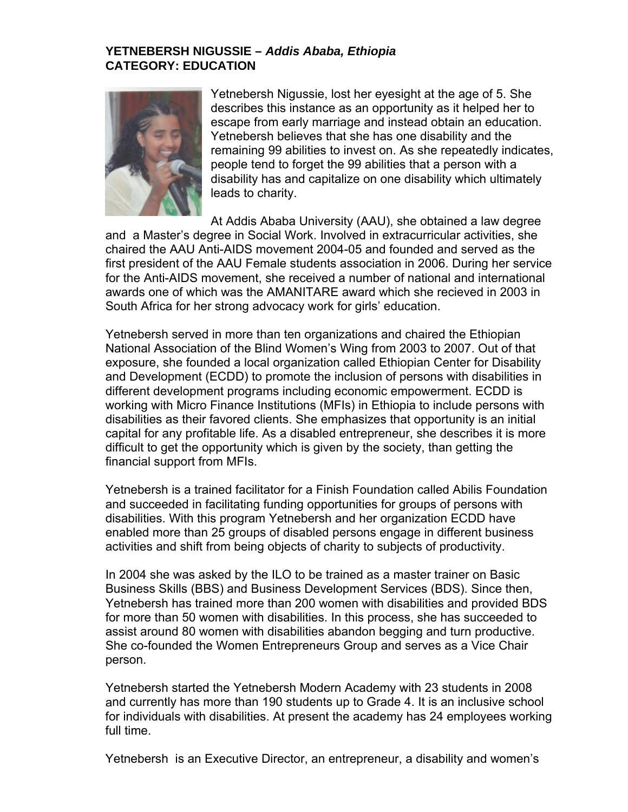### **YETNEBERSH NIGUSSIE –** *Addis Ababa, Ethiopia*  **CATEGORY: EDUCATION**

![](_page_43_Picture_1.jpeg)

Yetnebersh Nigussie, lost her eyesight at the age of 5. She describes this instance as an opportunity as it helped her to escape from early marriage and instead obtain an education. Yetnebersh believes that she has one disability and the remaining 99 abilities to invest on. As she repeatedly indicates, people tend to forget the 99 abilities that a person with a disability has and capitalize on one disability which ultimately leads to charity.

At Addis Ababa University (AAU), she obtained a law degree and a Master's degree in Social Work. Involved in extracurricular activities, she chaired the AAU Anti-AIDS movement 2004-05 and founded and served as the first president of the AAU Female students association in 2006. During her service for the Anti-AIDS movement, she received a number of national and international awards one of which was the AMANITARE award which she recieved in 2003 in South Africa for her strong advocacy work for girls' education.

and Development (ECDD) to promote the inclusion of persons with disabilities in different development programs including economic empowerment. ECDD is capital for any profitable life. As a disabled entrepreneur, she describes it is more difficult to get the opportunity which is given by the society, than getting the Yetnebersh served in more than ten organizations and chaired the Ethiopian National Association of the Blind Women's Wing from 2003 to 2007. Out of that exposure, she founded a local organization called Ethiopian Center for Disability working with Micro Finance Institutions (MFIs) in Ethiopia to include persons with disabilities as their favored clients. She emphasizes that opportunity is an initial financial support from MFIs.

Yetnebersh is a trained facilitator for a Finish Foundation called Abilis Foundation and succeeded in facilitating funding opportunities for groups of persons with disabilities. With this program Yetnebersh and her organization ECDD have enabled more than 25 groups of disabled persons engage in different business activities and shift from being objects of charity to subjects of productivity.

, Business Skills (BBS) and Business Development Services (BDS). Since then She co-founded the Women Entrepreneurs Group and serves as a Vice Chair person. In 2004 she was asked by the ILO to be trained as a master trainer on Basic Yetnebersh has trained more than 200 women with disabilities and provided BDS for more than 50 women with disabilities. In this process, she has succeeded to assist around 80 women with disabilities abandon begging and turn productive.

Yetnebersh started the Yetnebersh Modern Academy with 23 students in 2008 and currently has more than 190 students up to Grade 4. It is an inclusive school for individuals with disabilities. At present the academy has 24 employees working full time.

Yetnebersh is an Executive Director, an entrepreneur, a disability and women's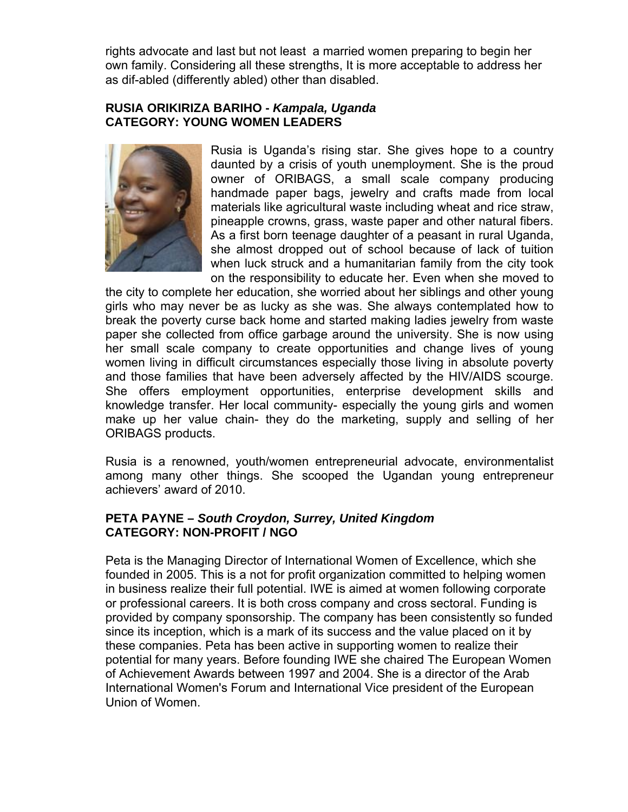rights advocate and last but not least a married women preparing to begin her own family. Considering all these strengths, It is more acceptable to address her as dif-abled (differently abled) other than disabled.

#### **RUSIA ORIKIRIZA BARIHO -** *Kampala, Uganda* **CATEGORY: YOUNG WOMEN LEADERS**

![](_page_44_Picture_2.jpeg)

Rusia is Uganda's rising star. She gives hope to a country daunted by a crisis of youth unemployment. She is the proud owner of ORIBAGS, a small scale company producing handmade paper bags, jewelry and crafts made from local materials like agricultural waste including wheat and rice straw, pineapple crowns, grass, waste paper and other natural fibers. As a first born teenage daughter of a peasant in rural Uganda, she almost dropped out of school because of lack of tuition when luck struck and a humanitarian family from the city took on the responsibility to educate her. Even when she moved to

the city to complete her education, she worried about her siblings and other young girls who may never be as lucky as she was. She always contemplated how to break the poverty curse back home and started making ladies jewelry from waste paper she collected from office garbage around the university. She is now using her small scale company to create opportunities and change lives of young women living in difficult circumstances especially those living in absolute poverty and those families that have been adversely affected by the HIV/AIDS scourge. She offers employment opportunities, enterprise development skills and knowledge transfer. Her local community- especially the young girls and women make up her value chain- they do the marketing, supply and selling of her ORIBAGS products.

Rusia is a renowned, youth/women entrepreneurial advocate, environmentalist among many other things. She scooped the Ugandan young entrepreneur achievers' award of 2010.

### **PETA PAYNE - South Croydon, Surrey, United Kingdom CATEGORY: NON -PROFIT / NGO**

Peta is the Managing Director of International Women of Excellence, which she founded in 2005. This is a not for profit organization committed to helping women in business realize their full potential. IWE is aimed at women following corporate or professional car eers. It is both cross company and cross sectoral. Funding is provided by company sponsorship. The company has been consistently so funded since its inception, which is a mark of its success and the value placed on it by International Women's Forum and International Vice president of the European these companies. Peta has been active in supporting women to realize their potential for many years. Before founding IWE she chaired The European Women of Achievement Awards between 1997 and 2004. She is a director of the Arab Union of Women.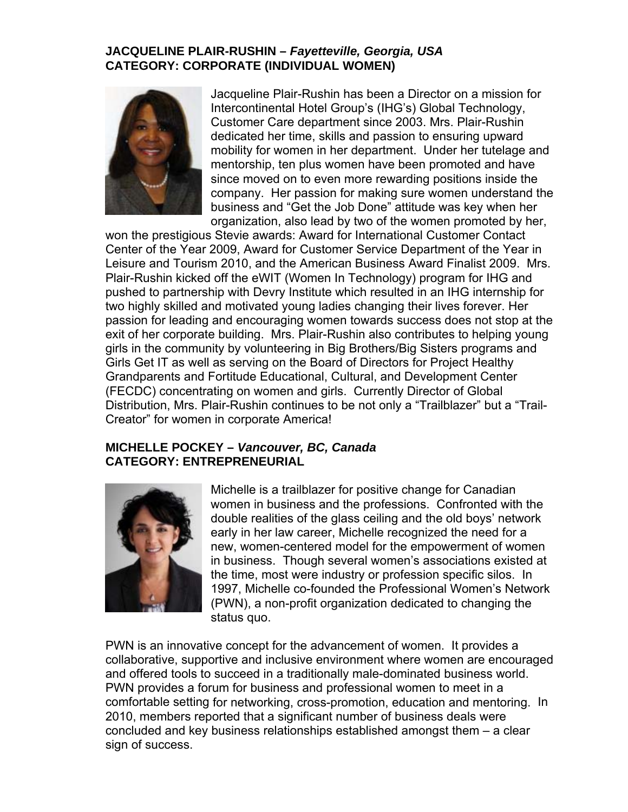## **JACQUELINE PLAIR-RUSHIN –** *Fayetteville, Georgia, USA*  **CATEGORY: CORPORATE (INDIVIDUAL WOMEN)**

![](_page_45_Picture_1.jpeg)

Jacqueline Plair-Rushin has been a Director on a mission for Intercontinental Hotel Group's (IHG's) Global Technology , Customer Care de partment since 2003. Mrs. Plair-Rushin dedicated her time, skills and passion to ensuring upward mobility for women in her department. Under her tutelage and mentorship, ten plus women have been promoted and have since moved on to even more rewarding positions inside the company. Her passion for making sure women understand the business and "Get the Job Done" attitude was key when her organization, also lead by two of the women promoted by her,

won the prestigious Stevie awards: Award for International Customer Contact Center of the Year 2009, Award for Customer Service Department of the Year in Leisure and Tourism 2010, and the American Business Award Finalist 2009. Mrs. Plair-Rushin kicked off the eWIT (Women In Technology) program for IHG and pushed to partnership with Devry Institute which resulted in an IHG internship for two highly skilled and motivated young ladies changing their lives forever. Her passion for leading and encouraging women towards success does not stop at the exit of her corporate building. Mrs. Plair-Rushin also contributes to helping young girls in the commun ity by volunteering in Big Brothers/Big Sisters programs and Girls Get IT as well as serving on the Board of Directors for Project Healthy Distribution, Mrs. Plair-Rushin continues to be not only a "Trailblazer" but a "Trail-Grandparents and Fortitude Educational, Cultural, and Development Center (FECDC) concentrating on women and girls. Currently Director of Global Creator" for women in corporate America!

### **MICHELLE POCKEY –** *Vancouver, BC, Canada*  **CATEGORY: ENTREPRENEURIAL**

![](_page_45_Picture_5.jpeg)

double realities of the glass ceiling and the old boys' network early in her law career, Michelle recognized the need for a new, women-centered model for the empowerment of women in business. Though several women's associations existed at the time, most were industry or profession specific silos. In Michelle is a trailblazer for positive change for Canadian women in business and the professions. Confronted with the 1997, Michelle co-founded the Professional Women's Network (PWN), a non-profit organization dedicated to changing the status quo.

PWN is an innovative concept for the advancement of women. It provides a collaborative, supportive and inclusive environment where women are encouraged and offered tools to succeed in a traditionally male-dominated business world. PWN provides a forum for business and professional women to meet in a comfortable setting for networking, cross-promotion, education and mentoring. In 2010, members reported that a significant number of business deals were concluded and key business relationships established amongst them – a clear sign of success.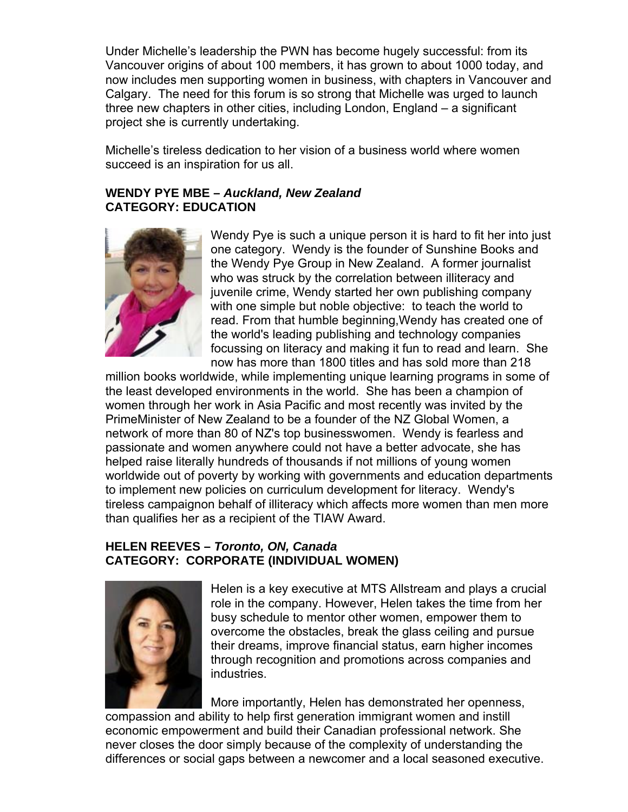Under Michelle's leadership the PWN has become hugely successful: from its now includes men supporting women in business, with chapters in Vancouver and Calgary. The need for this forum is so strong that Michelle was urged to launch three new chapters in other cities, including London, England – a significant roject she is currently undertaking. p Vancouver origins of about 100 members, it has grown to about 1000 today, and

Michelle's tireless dedication to her vision of a business world where women succeed is an inspiration for us all.

### WENDY PYE MBE - Auckland, New Zealand **CATEGORY: EDU CATION**

![](_page_46_Picture_3.jpeg)

Wendy Pye is such a unique person it is hard to fit her into just one category. Wendy is the founder of Sunshine Books and the Wendy Pye Group in New Zealand. A former journalist who was struck by the correlation between illiteracy and juvenile crime, Wendy started her own publishing company with one simple but noble objective: to teach the world to read. From that humble beginning,Wendy has created one of the world's leading publishing and technology companies focussing on literacy and making it fun to read and learn. She now has more than 1800 titles and has sold more than 218

million books worldwide, while implementing unique learning programs in some of the least developed environments in the world. She has been a champion of helped raise literally hundreds of thousands if not millions of young women worldwide out of poverty by working with governments and education departments tireless campaignon behalf of illiteracy which affects more women than men more women through her work in Asia Pacific and most recently was invited by the PrimeMinister of New Zealand to be a founder of the NZ Global Women, a network of more than 80 of NZ's top businesswomen. Wendy is fearless and passionate and women anywhere could not have a better advocate, she has to implement new policies on curriculum development for literacy. Wendy's than qualifies her as a recipient of the TIAW Award.

## **RY: CORPORATE (INDIVIDUAL WOMEN) CATEGO HELEN REEVES –** *Toronto, ON, Canada*

![](_page_46_Picture_7.jpeg)

Helen is a key executive at MTS Allstream and plays a crucial role in the company. However, Helen takes the time from her busy schedule to mentor other women, empower them to overcome the obstacles, break the glass ceiling and pursue through recognition and promotions across companies and their dreams, improve financial status, earn higher incomes industries.

compassion and ability to help first generation immigrant women and instill economic empowe rment and build their Canadian professional network. She never closes the door simply because of the complexity of understanding the differences or social gaps between a newcomer and a local seasoned executive. More importantly, Helen has demonstrated her openness,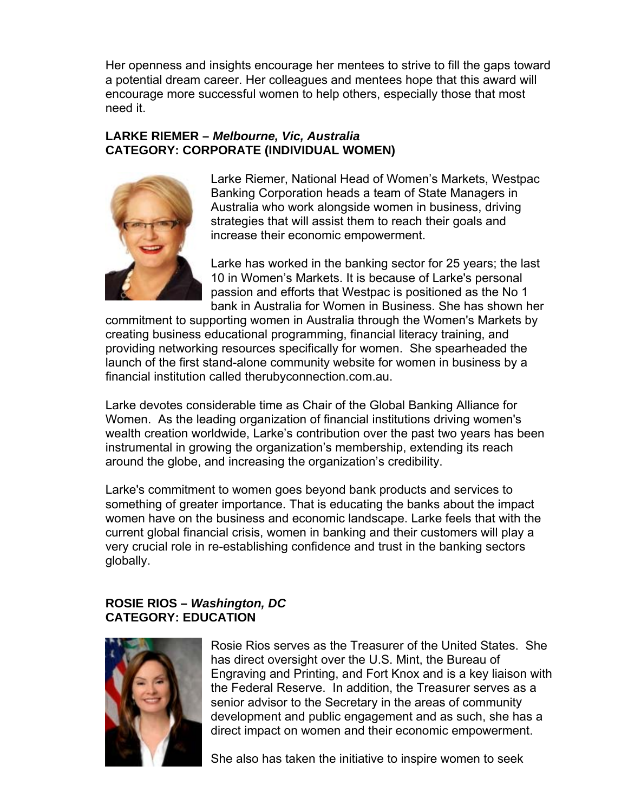Her openness and insights encourage her mentees to strive to fill the gaps toward a potential dream career. Her colleagues and mentees hope that this award will encourage more successful women to help others, especially those that most need it.

## **LARKE RIEMER –** *Melbourne, Vic, Australia*  **CATEGORY: CORPORATE (INDIVIDUAL WOMEN)**

![](_page_47_Picture_2.jpeg)

Larke Riemer, National Head of Women's Markets, Westpac Banking Corporation heads a team of State Managers in Australia who work alongside women in business, driving strategies that will assist them to reach their goals and increase their economic empowerment.

Larke has worked in the banking sector for 25 years; the last bank in Australia for Women in Business. She has shown her 10 in Women's Markets. It is because of Larke's personal passion and efforts that Westpac is positioned as the No 1

commitment to supporting women in Australia through the Women's Markets by creating business educational programming, financial literacy training, and providing networking resources specifically for women. She spearheaded the launch of the first stand-alone community website for women in business by a financial institution called therubyconnection.com.au.

Larke devotes considerable time as Chair of the Global Banking Alliance for wealth creation worldwide, Larke's contribution over the past two years has been instrumental in growing the organization's membership, extending its reach Women. As the leading organization of financial institutions driving women's around the globe, and increasing the organization's credibility.

Larke's commitment to women goes beyond bank products and services to something of greater importance. That is educating the banks about the impact women have on the business and economic landscape. Larke feels that with the current global financial crisis, women in banking and their customers will play a very crucial role in re-establishing confidence and trust in the banking sectors globally.

## *a* **ROSIE RIOS –** *W shington, DC*  **CATEGORY: EDU CATION**

![](_page_47_Picture_9.jpeg)

Engraving and Printing, and Fort Knox and is a key liaison with the Federal Reserve. In addition, the Treasurer serves as a senior advisor to the Secretary in the areas of community Rosie Rios serves as the Treasurer of the United States. She has direct oversight over the U.S. Mint, the Bureau of development and public engagement and as such, she has a direct impact on women and their economic empowerment.

She also has taken the initiative to inspire women to seek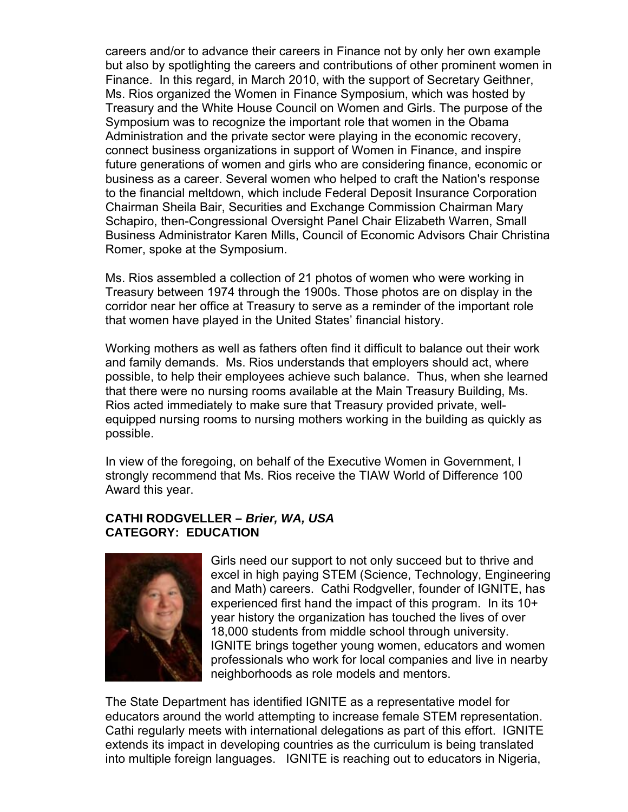careers and/or to advance their careers in Finance not by only her own example but also by spotlighting the careers and contributions of other prominent women in Finance. In this regard, in March 2010, with the support of Secretary Geithner, future generations of women and girls who are considering finance, economic or to the financial meltdown, which include Federal Deposit Insurance Corporation Chairman Sheila Bair, Securities and Exchange Commission Chairman Mary Schapiro, then-Congressional Oversight Panel Chair Elizabeth Warren, Small Business Administrator Karen Mills, Council of Economic Advisors Chair Christina Romer, spoke at the Symposium. Ms. Rios organized the Women in Finance Symposium, which was hosted by Treasury and the White House Council on Women and Girls. The purpose of the Symposium was to recognize the important role that women in the Obama Administration and the private sector were playing in the economic recovery, connect business organizations in support of Women in Finance, and inspire business as a career. Several women who helped to craft the Nation's response

Ms. Rios assembled a collection of 21 photos of women who were working in Treasury between 1974 through the 1900s. Those photos are on display in the corridor near her office at Treasury to serve as a reminder of the important role that women have p layed in the United States' financial history.

Working mothers a s well as fathers often find it difficult to balance out their work and family demand s. Ms. Rios understands that employers should act, where possible, to help th eir employees achieve such balance. Thus, when she learned possible. that there were no nursing rooms available at the Main Treasury Building, Ms. Rios acted immediately to make sure that Treasury provided private, wellequipped nursing rooms to nursing mothers working in the building as quickly as

In view of the foregoing, on behalf of the Executive Women in Government, I strongly recommend that Ms. Rios receive the TIAW World of Difference 100 Award this year.

#### **ATHI RODGVELLER –** *Brier, WA, USA*  **C CATEGORY: EDUCATION**

![](_page_48_Picture_5.jpeg)

Girls need our support to not only succeed but to thrive and excel in high paying STEM (Science, Technology, Engineering experienced first hand the impact of this program. In its 10+ year history the organization has touched the lives of over 18,000 students from middle school through university. IGNITE brings together young women, educators and women professionals who work for local companies and live in nearby neighborhoods as role models and mentors. and Math) careers. Cathi Rodgveller, founder of IGNITE, has

The State Department has identified IGNITE as a representative model for educators around the world attempting to increase female STEM representation. Cathi regularly meets with international delegations as part of this effort. IGNITE extends its impact in developing countries as the curriculum is being translated into multiple foreign languages. IGNITE is reaching out to educators in Nigeria,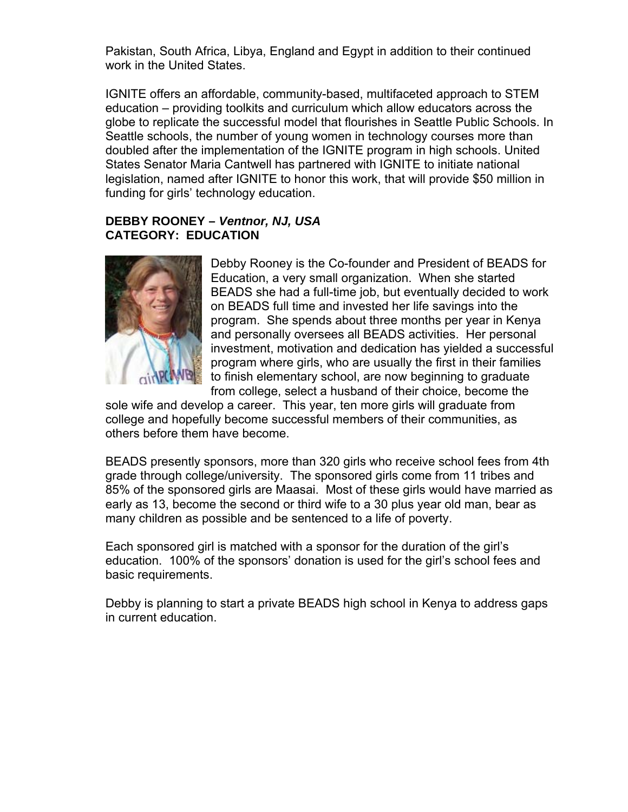Pakistan, South Africa, Libya, England and Egypt in addition to their continued work in the United States.

IGNITE offers an affordable, community-based, multifaceted approach to STEM education – providing toolkits and curriculum which allow educators across the globe to replicate th e successful model that flourishes in Seattle Public Schools. In Seattle schools, the number of young women in technology courses more than doubled after the im plementation of the IGNITE program in high schools. United States Senator Ma ria Cantwell has partnered with IGNITE to initiate national legislation, named after IGNITE to honor this work, that will provide \$50 million in funding for girls' tec hnology education.

## **DEBBY ROONEY –** *Ventnor, NJ, USA*  **CATEGORY: EDUCATION**

![](_page_49_Picture_3.jpeg)

Debby Rooney is the Co-founder and President of BEADS for Education, a very small organization. When she started BEADS she had a full-time job, but eventually decided to work on BEADS full time and invested her life savings into the program. She spends about three months per year in Kenya investment, motivation and dedication has yielded a successful and personally oversees all BEADS activities. Her personal program where girls, who are usually the first in their families to finish elementary school, are now beginning to graduate from college, select a husband of their choice, become the

sole wife and develop a career. This year, ten more girls will graduate from college and hopefully become successful members of their communities, as others before them have become.

grade through college/university. The sponsored girls come from 11 tribes and 85% of the sponsored girls are Maasai. Most of these girls would have married as early as 13, become the second or third wife to a 30 plus year old man, bear as BEADS presently sponsors, more than 320 girls who receive school fees from 4th many children as possible and be sentenced to a life of poverty.

education. 100% of the sponsors' donation is used for the girl's school fees and basic requirements. Each sponsored girl is matched with a sponsor for the duration of the girl's

Debby is planning to start a private BEADS high school in Kenya to address gaps in current education.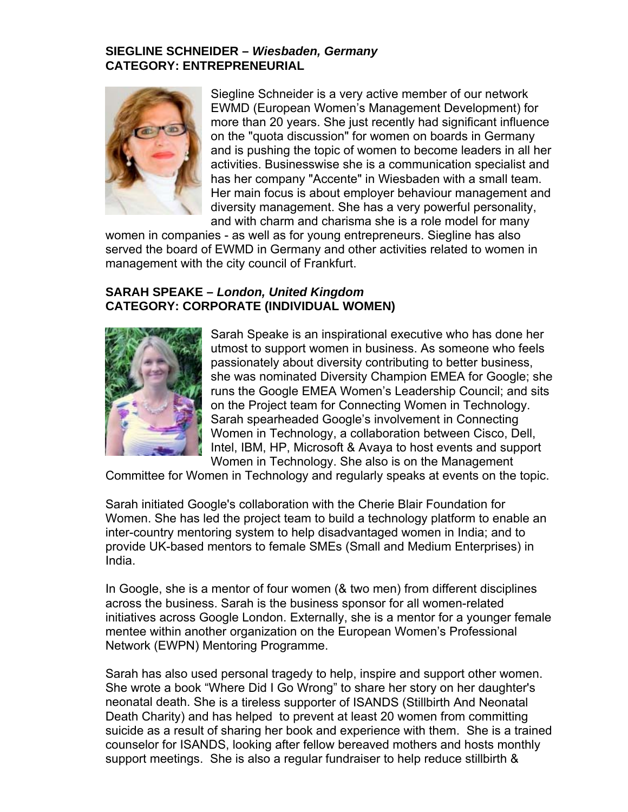### **SIEGLINE SCHNEIDER –** *Wiesbaden, Germany*  **ATEGORY: ENTREPRENEURIAL C**

![](_page_50_Picture_1.jpeg)

more than 20 years. She just recently had significant influence on the "quota discussion" for women on boards in Germany and is pushing the topic of women to become leaders in all her activities. Businesswise she is a communication specialist and has her company "Accente" in Wiesbaden with a small team. Her main focus is about employer behaviour management and Siegline Schneider is a very active member of our network EWMD (European Women's Management Development) for diversity management. She has a very powerful personality, and with charm and charisma she is a role model for many

women in companies - as well as for young entrepreneurs. Siegline has also served the board of EWMD in Germany and other activities related to women in management with the city council of Frankfurt.

## **CATEGORY: COR PORATE (INDIVIDUAL WOMEN) SARAH SPEAKE –** *London, United Kingdom*

![](_page_50_Picture_5.jpeg)

utmost to support women in business. As someone who feels passionately about diversity contributing to better business, runs the Google EMEA Women's Leadership Council; and sits Intel, IBM, HP, Microsoft & Avaya to host events and support Women in Technology. She also is on the Management Sarah Speake is an inspirational executive who has done her she was nominated Diversity Champion EMEA for Google; she on the Project team for Connecting Women in Technology. Sarah spearheaded Google's involvement in Connecting Women in Technology, a collaboration between Cisco, Dell,

Committee for Women in Technology and regularly speaks at events on the topic.

Women. She has led the project team to build a technology platform to enable an inter-country mentoring system to help disadvantaged women in India; and to provide UK-based mentors to female SMEs (Small and Medium Enterprises) in Sarah initiated Google's collaboration with the Cherie Blair Foundation for India.

 Google, she is a mentor of four women (& two men) from different disciplines In across the business. Sarah is the business sponsor for all women-related initiatives across Google London. Externally, she is a mentor for a younger female mentee within another organization on the European Women's Professional Network (EWPN) Mentoring Programme.

Sarah has also used personal tragedy to help, inspire and support other women. She wrote a book " Where Did I Go Wrong" to share her story on her daughter's neonatal death. She is a tireless supporter of ISANDS (Stillbirth And Neonatal Death Charity) and has helped to prevent at least 20 women from committing suicide as a result of sharing her book and experience with them. She is a trained counselor for ISANDS, looking after fellow bereaved mothers and hosts monthly support meetings. She is also a regular fundraiser to help reduce stillbirth &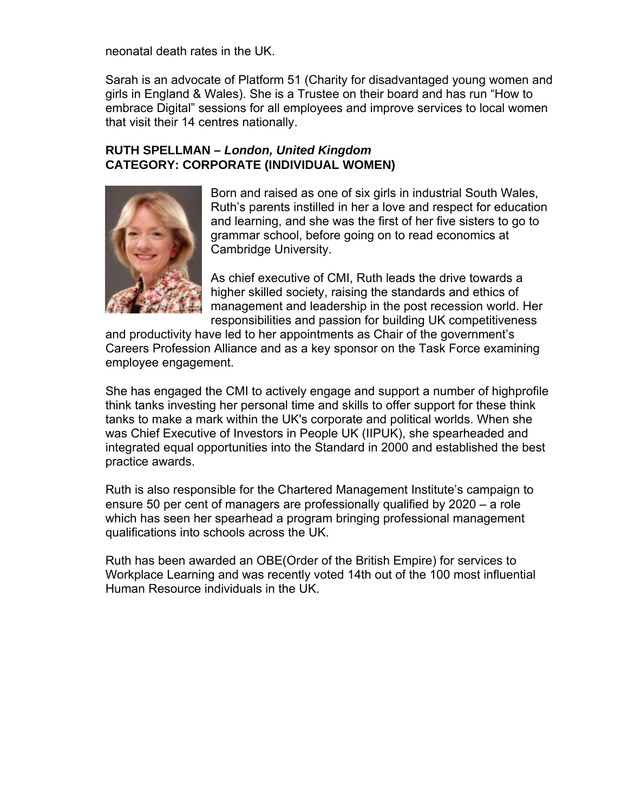neonatal death rates in the UK.

Sarah is an advocate of Platform 51 (Charity for disadvantaged young women and girls in England & Wales). She is a Trustee on their board and has run "How to embrace Digital" sessions for all employees and improve services to local women that visit their 14 centres nationally.

### **RUTH SPELLMAN –** *London, United Kingdom*  **CATEGORY: CORPORATE (INDIVIDUAL WOMEN)**

![](_page_51_Picture_3.jpeg)

Born and raised as one of six girls in industrial South Wales, Ruth's parents instilled in her a love and respect for education and learning, and she was the first of her five sisters to go to grammar school, before going on to read economics at Cambridge University.

As chief executive of CMI, Ruth leads the drive towards a higher skilled society, raising the standards and ethics of management and leadership in the post recession world. Her responsibilities and passion for building UK competitiveness

and productivity have led to her appointments as Chair of the government's Careers Profession Alliance and as a key sponsor on the Task Force examining employee engagement.

She has engaged the CMI to actively engage and support a number of highprofile think tanks investin g her personal time and skills to offer support for these think tanks to make a mark within the UK's corporate and political worlds. When she was Chief Executive of Investors in People UK (IIPUK), she spearheaded and integrated equal op portunities into the Standard in 2000 and established the best practice awards.

Ruth is also responsible for the Chartered Management Institute's campaign to ensure 50 per cent of managers are professionally qualified by 2020 – a role which has seen her spearhead a program bringing professional management qualifications into schools across the UK.

Ruth has been awarded an OBE(Order of the British Empire) for services to Workplace Learning and was recently voted 14th out of the 100 most influential Human Resource individuals in the UK.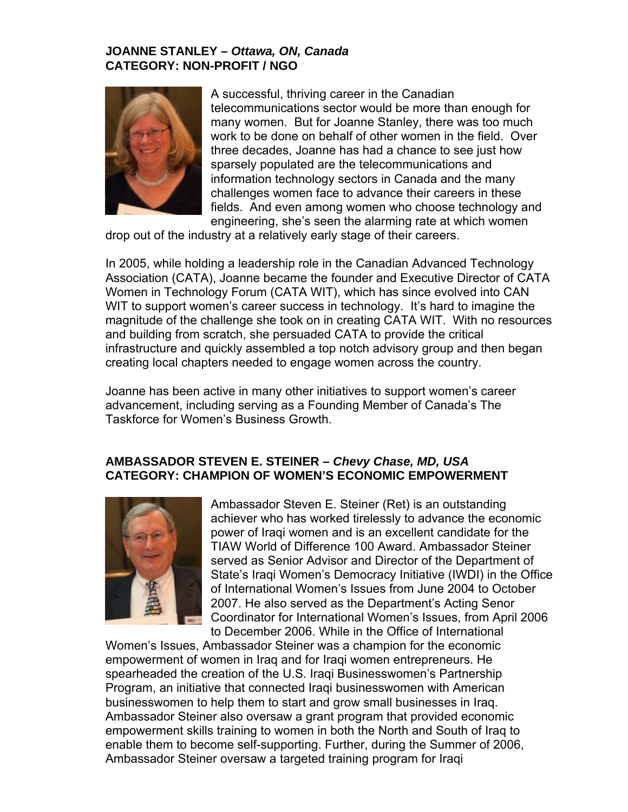### **JOANNE STANLEY –** *Ottawa, ON, Canada*  **CATEGORY: NON-PROFIT / NGO**

![](_page_52_Picture_1.jpeg)

A successful, thriving career in the Canadian telecommunications sector would be more than enough for many women. But for Joanne Stanley, there was too much work to be done on behalf of other women in the field. O ver three decades, Joanne has had a chance to see just how sparsely populated are the telecommunications and information technology sectors in Canada and the many challenges women face to advance their careers in these fields. And even among women who choose technology and engineering, she's seen the alarming rate at which women

drop out of the industry at a relatively early stage of their careers.

 2005, while holding a leadership role in the Canadian Advanced Technology In Association (CATA), Joanne became the founder and Executive Director of CATA WIT to support women's career success in technology. It's hard to imagine the magnitude of the challenge she took on in creating CATA WIT. With no resources Women in Technology Forum (CATA WIT), which has since evolved into CAN and building from scratch, she persuaded CATA to provide the critical infrastructure and quickly assembled a top notch advisory group and then began creating local chapters needed to engage women across the country.

Joanne has been active in many other initiatives to support women's career advancement, including serving as a Founding Member of Canada's The Taskforce for Women's Business Growth.

### **ATEGORY: CHAMPION OF WOMEN'S ECONOMIC EMPOWERMENT C AMBASSADOR STEVEN E. STEINER –** *Chevy Chase, MD, USA*

![](_page_52_Picture_7.jpeg)

Ambassador Steven E. Steiner (Ret) is an outstanding achiever who has worked tirelessly to advance the economic Coordinator for International Women's Issues, from April 2006 power of Iraqi women and is an excellent candidate for the TIAW World of Difference 100 Award. Ambassador Steiner served as Senior Advisor and Director of the Department of State's Iraqi Women's Democracy Initiative (IWDI) in the Office of International Women's Issues from June 2004 to October 2007. He also served as the Department's Acting Senor to December 2006. While in the Office of International

Women's Issues, Ambassador Steiner was a champion for the economic empowerment of w omen in Iraq and for Iraqi women entrepreneurs. He spearheaded the creation of the U.S. Iraqi Businesswomen's Partnership Program, an initiative that connected Iraqi businesswomen with American businesswomen to help them to start and grow small businesses in Iraq. Ambassador Steiner also oversaw a grant program that provided economic empowerment skills training to women in both the North and South of Iraq to enable them to become self-supporting. Further, during the Summer of 2006, Ambassador Steiner oversaw a targeted training program for Iraqi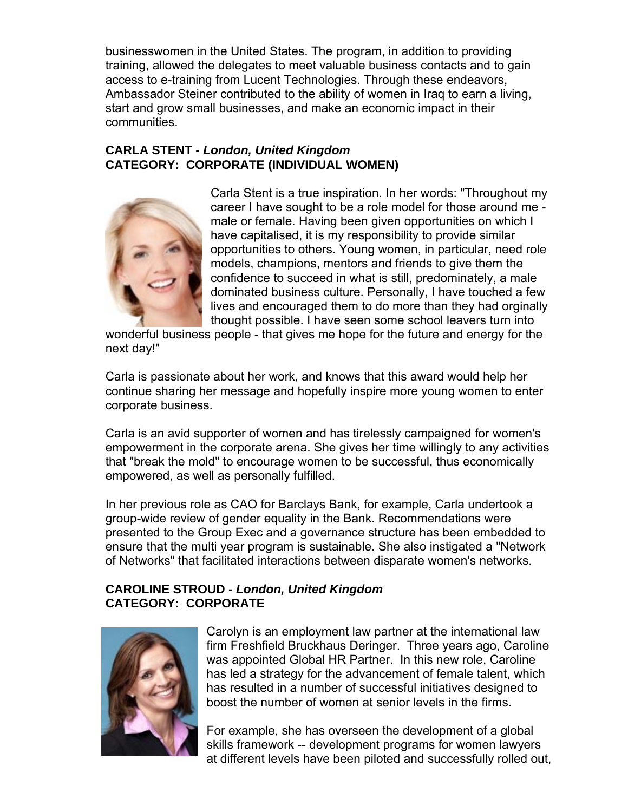businesswomen in the United States. The program, in addition to providing training, allowed the delegates to meet valuable bus iness contacts and to gain access to e-training from Lucent Technologies. Through these endeavors, Ambassador Steiner contributed to the ability of women in Iraq to earn a living, start and grow sma ll businesses, and make an economic impact in their communities.

# **CARLA STENT -** *L ondon, United Kingdom* **CATEGORY: COR PORATE (INDIVIDUAL WOMEN)**

![](_page_53_Picture_2.jpeg)

Carla Stent is a true inspiration. In her words: "Throughout my career I have sought to be a role model for those around me male or female. Having been given opportunities on which I have capitalised, it is my responsibility to provide similar opportunities to others. Young women, in particular, need role models, champions, mentors and friends to give them the confidence to succeed in what is still, predominately, a male dominated business culture. Personally, I have touched a few lives and encouraged them to do more than they had orginally thought possible. I have seen some school leavers turn into

wonderful business people - that gives me hope for the future and energy for the next d ay!"

continue sharing her message and hopefully inspire more young women to enter Carla is passionate about her work, and knows that this award would help her corporate business.

empowerment in the corporate arena. She gives her time willingly to any activities that "break the mold" to encourage women to be successful, thus economically e mpowered, as well as personally fulfilled. Carla is an avid supporter of women and has tirelessly campaigned for women's

In her previous role as CAO for Barclays Bank, for example, Carla undertook a group-wide review of gender equality in the Bank. Recommendations were presented to the Group Exec and a governance structure has been embedded to ensure that the multi year program is sustainable. She also instigated a "Network of Networks" that facilitated interactions between disparate women's networks.

## **CATEGORY: COR PORATE CAROLINE STROUD -** *London, United Kingdom*

![](_page_53_Picture_9.jpeg)

Carolyn is an employment law partner at the international law firm Freshfield Bruckhaus Deringer. Three years ago, Caroline was appointed Global HR Partner. In this new role, Caroline has led a strategy for the advancement of female talent, which has resulted in a number of successful initiatives designed to boost the number of women at senior levels in the firms.

For example, she has overseen the development of a global skills framework -- development programs for women lawyers at different levels have been piloted and successfully rolled out,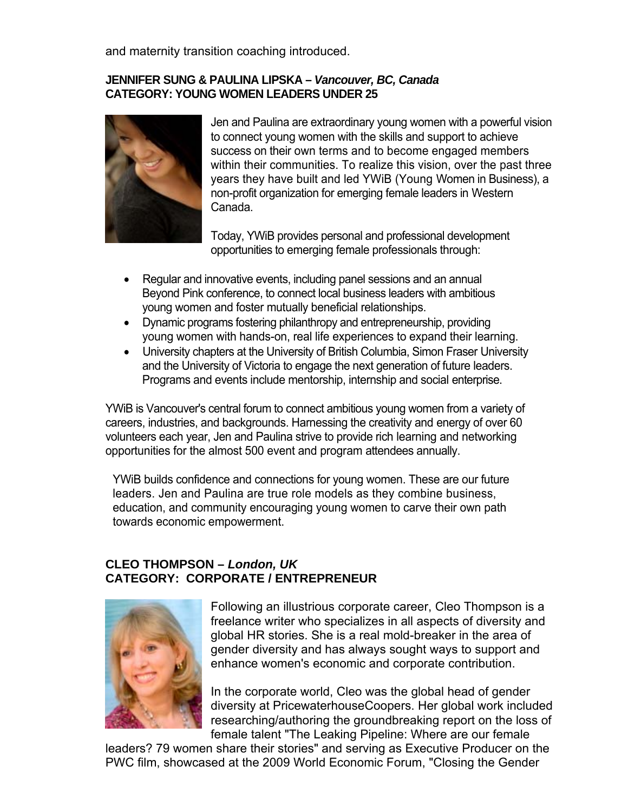and maternity transition coaching introduced.

### **JENNIFER SUNG & PAULINA LIPSKA –** *Vancouver, BC, Canada*  **CATEGORY: YOUNG WOMEN LEADERS UNDER 25**

![](_page_54_Picture_2.jpeg)

Jen and Paulina are extraordinary young women with a powerful vision success on their own terms and to become engaged members within their communities. To realize this vision, over the past three years they have built and led YWiB (Young Women in Business), a non-profit organization for emerging female leaders in Western to connect young women with the skills and support to achieve Canada.

Today, YWiB provides personal and professional development opportunities to emerging female professionals through:

- Regular and innovative events, including panel sessions and an annual young women and foster mutually beneficial relationships. Beyond Pink conference, to connect local business leaders with ambitious
- Dynamic programs fostering philanthropy and entrepreneurship, providing young wome n with hands-on, real life experiences to expand their learning.
- University chapters at the University of British Columbia, Simon Fraser University and the University of Victoria to engage the next generation of future leaders. Programs and events include mentorship, internship and social enterprise.

YWiB is Vancouver's central forum to connect ambitious young women from a variety of careers, industries, and backgrounds. Harnessing the creativity and energy of over 60 volunteers each year, Jen and Paulina strive to provide rich learning and networking opportunities for the almost 500 event and program attendees annually.

YWiB builds confidence and connections for young women. These are our future leaders. Jen and Paulina are true role models as they combine business, education, and community encouraging young women to carve their own path towards economic empowerment.

# **CLEO THOMPSON –** *London, UK*  **CATEGORY: CORPORATE / ENTREPRENEUR**

![](_page_54_Picture_11.jpeg)

Following an illustrious corporate career, Cleo Thompson is a enhance women's economic and corporate contribution. freelance writer who specializes in all aspects of diversity and global HR stories. She is a real mold-breaker in the area of gender diversity and has always sought ways to support and

In the corporate world, Cleo was the global head of gender diversity at PricewaterhouseCoopers. Her global work included researching/authoring the groundbreaking report on the loss of female talent "The Leaking Pipeline: Where are our female

leaders? 79 women share their stories" and serving as Executive Producer on the PWC film, showcased at the 2009 World Economic Forum, "Closing the Gender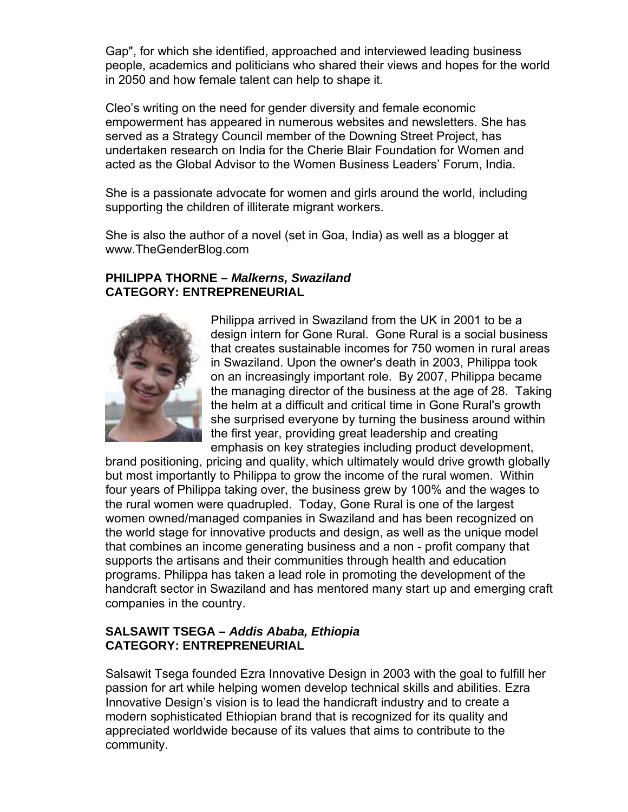Gap", for which she identified, approached and interviewed leading business people, academics and politicians who shared their views and hopes for the world in 2050 and how female talent can help to shape it.

Cleo's writing on the need for gender diversity and female economic undertaken research on India for the Cherie Blair Foundation for Women and acted as the Global Advisor to the Women Business Leaders' Forum, India. empowerment has appeared in numerous websites and newsletters. She has served as a Strategy Council member of the Downing Street Project, has

She is a passionate advocate for women and girls around the world, including supporting the children of illiterate migrant workers.

www.TheGenderBlog.com She is also the author of a novel (set in Goa, India) as well as a blogger at

#### **PHILIPPA THORNE –** *Malkerns, Swaziland*  **CATEGORY: ENTREPRENEURIAL**

![](_page_55_Picture_5.jpeg)

design intern for Gone Rural. Gone Rural is a social business that creates sustainable incomes for 750 women in rural areas the managing director of the business at the age of 28. Taking the helm at a difficult and critical time in Gone Rural's growth she surprised everyone by turning the business around within the first year, providing great leadership and creating emphasis on key strategies including product development, Philippa arrived in Swaziland from the UK in 2001 to be a in Swaziland. Upon the owner's death in 2003, Philippa took on an increasingly important role. By 2007, Philippa became

brand positioning, pricing and quality, which ultimately would drive growth globally but most importantly to Philippa to grow the income of the rural women. Within the rural women we re quadrupled. Today, Gone Rural is one of the largest women owned/man aged companies in Swaziland and has been recognized on the world stage for innovative products and design, as well as the unique model that combines an in come generating business and a non - profit company that supports the artisans and their communities through health and education programs. Philippa has taken a lead role in promoting the development of the handcraft sector in Swaziland and has mentored many start up and emerging craft companies in the c ountry. four years of Philippa taking over, the business grew by 100% and the wages to

### SALSAWIT TSEGA – Addis Ababa, Ethiopia **CATEGORY: ENTREPRENEURIAL**

Innovative Design's vision is to lead the handicraft industry and to create a modern sophisticated Ethiopian brand that is recognized for its quality and Salsawit Tsega founded Ezra Innovative Design in 2003 with the goal to fulfill her passion for art while helping women develop technical skills and abilities. Ezra appreciated worldwide because of its values that aims to contribute to the community.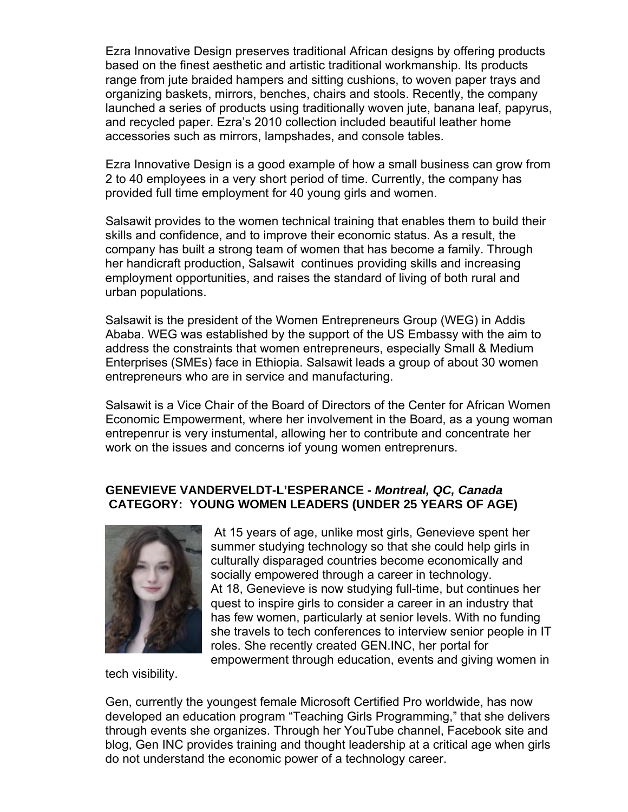Ezra Innovative Design preserves traditional African designs by offering products based on the finest aesthetic and artistic traditional workmanship. Its products range from jute braided hampers and sitting cushions, to woven paper trays and accessories such as mirrors, lampshades, and console tables. organizing baskets, mirrors, benches, chairs and stools. Recently, the company launched a series of products using traditionally woven jute, banana leaf, papyrus, and recycled paper. Ezra's 2010 collection included beautiful leather home

Ezra Innovative Design is a good example of how a small business can grow from 2 to 40 employees in a very short period of time. Currently, the company has provided full time employment for 40 young girls and women.

Salsawit provides to the women technical training that enables them to build their skills and confidence, and to improve their economic status. As a result, the company has built a strong team of women that has become a family. Through her handicraft production, Salsawit continues providing skills and increasing employment opportunities, and raises the standard of living of both rural and urban populations.

Salsawit is the president of the Women Entrepreneurs Group (WEG) in Addis address the constraints that women entrepreneurs, especially Small & Medium Enterprises (SMEs) face in Ethiopia. Salsawit leads a group of about 30 women Ababa. WEG was established by the support of the US Embassy with the aim to entrepreneurs who are in service and manufacturing.

Salsawit is a Vice Chair of the Board of Directors of the Center for African Women Economic Empowerment, where her involvement in the Board, as a young woman entrepenrur is very instumental, allowing her to contribute and concentrate her work on the issues and concerns iof young women entreprenurs.

### **) CATEGORY: YOUNG WOMEN LEADERS (UNDER 25 YEARS OF AGE GENEVIEVE VANDERVELDT-L'ESPERANCE -** *Montreal, QC, Canada*

![](_page_56_Picture_6.jpeg)

 At 15 years of age, unlike most girls, Genevieve spent her summer studying technology so that she could help girls in culturally disparaged countries become economically and quest to inspire girls to consider a career in an industry that she travels to tech conferences to interview senior people in IT roles. She recently created GEN.INC, her portal for empowerment through education, events and giving women in socially empowered through a career in technology. At 18, Genevieve is now studying full-time, but continues her has few women, particularly at senior levels. With no funding

tech visibility.

Gen, currently the youngest female Microsoft Certified Pro worldwide, has now developed an education program "Teaching Girls Programming," that she delivers through events she organizes. Through her YouTube channel, Facebook site and blog, Gen INC provides training and thought leadership at a critical age when girls do not understand the economic power of a technology career.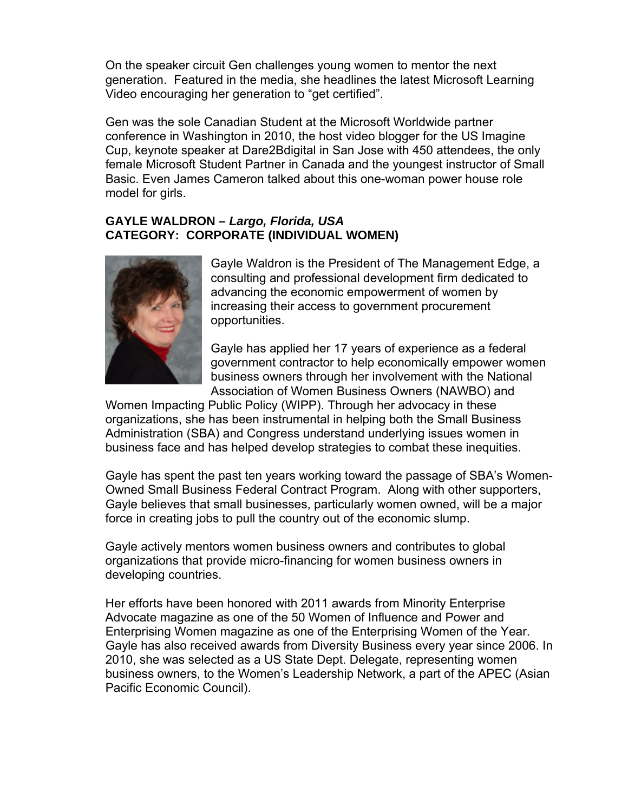On the speaker circuit Gen challenges young women to mentor the next generation. Featured in the media, she headlines the latest Microsoft Learning Video encouragin g her generation to "get certified".

Gen was the sole Canadian Student at the Microsoft Worldwide partner conference in Wa shington in 2010, the host video blogger for the US Imagine Cup, keynote spe aker at Dare2Bdigital in San Jose with 450 attendees, the only female Microsoft Student Partner in Canada and the youngest instructor of Small Basic. Even James Cameron talked about this one-woman power house role model for girls.

## **GAYLE WALDRO N –** *Largo, Florida, USA*  **MEN) CATEGORY: CORPORATE (INDIVIDUAL WO**

![](_page_57_Picture_3.jpeg)

Gayle Waldron is the President of The Management Edge, a consulting and professional development firm dedicated to advancing the economic empowerment of women by increasing their access to government procurement opportunities.

Gayle has applied her 17 years of experience as a federal government contractor to help economically empower women business owners through her involvement with the National Association of Women Business Owners (NAWBO) and

Administration (SBA) and Congress understand underlying issues women in business face and has helped develop strategies to combat these inequities. Women Impacting Public Policy (WIPP). Through her advocacy in these organizations, she has been instrumental in helping both the Small Business

Gayle has spent the past ten years working toward the passage of SBA's Women-Owned Small Business Federal Contract Program. Along with other supporters, Gayle believes that small businesses, particularly women owned, will be a major force in creating jobs to pull the country out of the economic slump.

Gayle actively mentors women business owners and contributes to global organizations that p rovide micro-financing for women business owners in developing countrie s.

Her efforts have be en honored with 2011 awards from Minority Enterprise Advocate magazine as one of the 50 Women of Influence and Power and Gayle has also received awards from Diversity Business every year since 2006. In 2010, she was selected as a US State Dept. Delegate, representing women business owners, to the Women's Leadership Network, a part of the APEC (Asian Enterprising Women magazine as one of the Enterprising Women of the Year. Pacific Economic Council).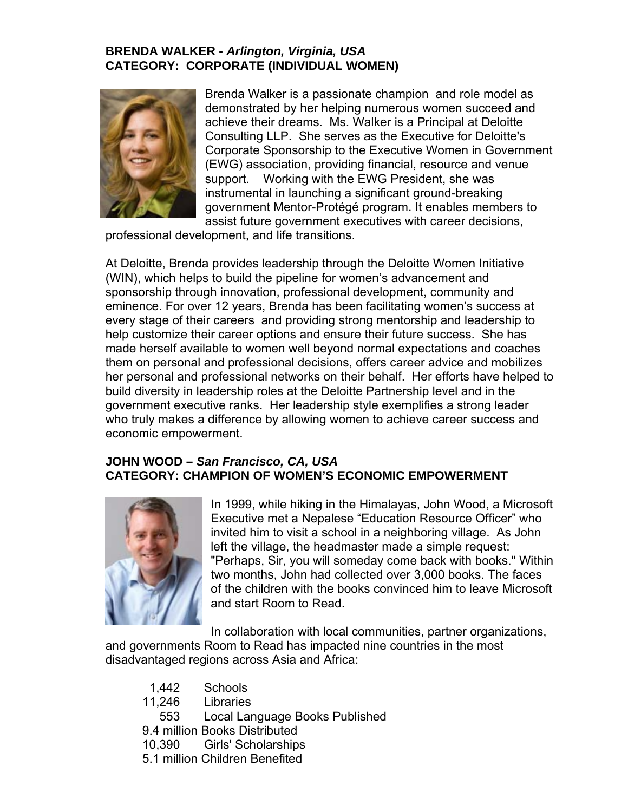### **BRENDA WALKER -** *Arlington, Virginia, USA* **CATEGORY: CORPORATE (INDIVIDUAL WOMEN)**

![](_page_58_Picture_1.jpeg)

instrumental in launching a significant ground-breaking Brenda Walker is a passionate champion and role model as demonstrated by her helping numerous women succeed and achieve their dreams. Ms. Walker is a Principal at Deloitte Consulting LLP. She serves as the Executive for Deloitte's Corporate Sponsorship to the Executive Women in Government (EWG) association, providing financial, resource and venue support. Working with the EWG President, she was government Mentor-Protégé program. It enables members to assist future government executives with career decisions,

professional development, and life transitions.

At Deloitte, Brenda provides leadership through the Deloitte Women Initiative (WIN), which helps to build the pipeline for women's advancement and sponsorship through innovation, professional development, community and eminence. For over 12 years, Brenda has been facilitating women's success at every stage of their careers and providing strong mentorship and leadership to help customize their career options and ensure their future success. She has made herself available to women well beyond normal expectations and coaches them on personal and professional decisions, offers career advice and mobilizes her personal and professional networks on their behalf. Her efforts have helped to build diversity in leadership roles at the Deloitte Partnership level and in the government executive ranks. Her leadership style exemplifies a strong leader who truly makes a difference by allowing women to achieve career success and economic empowe rment.

### **JOHN WOOD –** *San Francisco, CA, USA*  **CATEGORY: CHAMPION OF WOMEN'S ECONOMIC EMPOWERMENT**

![](_page_58_Picture_6.jpeg)

In 1999, while hiking in the Himalayas, John Wood, a Microsoft "Perhaps, Sir, you will someday come back with books." Within two months, John had collected over 3,000 books. The faces of the children with the books convinced him to leave Microsoft Executive met a Nepalese "Education Resource Officer" who invited him to visit a school in a neighboring village. As John left the village, the headmaster made a simple request: and start Room to Read.

In collaboration with local communities, partner organizations, and governments Room to Read has impacted nine countries in the most disadvantaged regions across Asia and Africa:

 1,442 Schools 11,246 Libraries 553 Local Language Books Published 9.4 million Books Distributed 10,390 Girls' Scholarships 5.1 million Children Benefited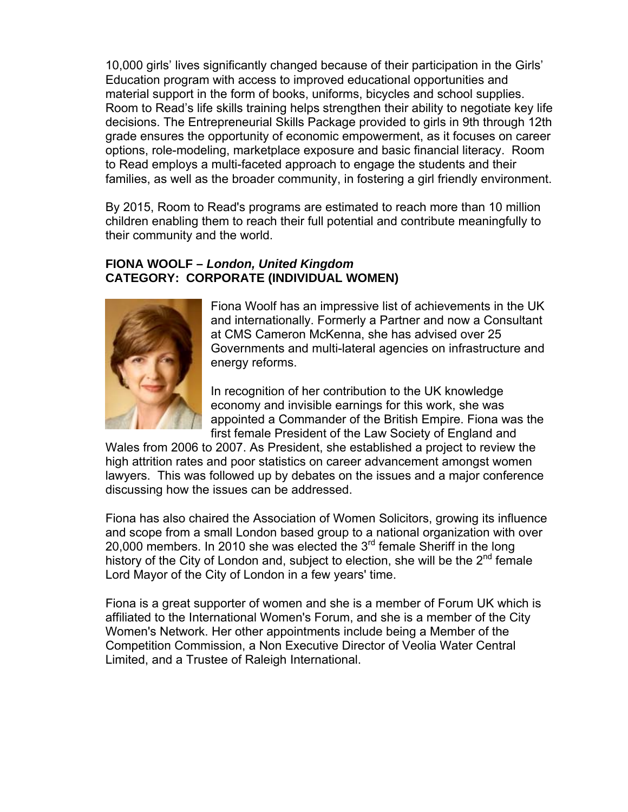10,000 girls' lives significantly changed because of their participation in the Girls' Education program with access to improved educational opportunities and material support in the form of books, uniforms, bicycles and school supplies. Room to Read's life skills training helps strengthen their ability to negotiate key life decisions. The Entrepreneurial Skills Package provided to girls in 9th through 12th grade ensures the opportunity of economic empowerment, as it focuses on career options, role-modeling, marketplace exposure and basic financial literacy. Room to Read employs a multi-faceted approach to engage the students and their families, as well as the broader community, in fostering a girl friendly environment.

By 2015, Room to Read's programs are estimated to reach more than 10 million children enabling them to reach their full potential and contribute meaningfully to their community and the world.

## **FIONA WOOLF –** *London, United Kingdom*  **CATEGORY: CORPORATE (INDIVIDUAL WOMEN)**

![](_page_59_Picture_3.jpeg)

Fiona Woolf has an impressive list of achievements in the UK and internationally. Formerly a Partner and now a Consultant Governments and multi-lateral agencies on infrastructure and energy reforms. at CMS Cameron McKenna, she has advised over 25

appointed a Commander of the British Empire. Fiona was the first female President of the Law Society of England and In recognition of her contribution to the UK knowledge economy and invisible earnings for this work, she was

Wales from 2006 to 2007. As President, she established a project to review the lawyers. This was followed up by debates on the issues and a major conference high attrition rates and poor statistics on career advancement amongst women discussing how the issues can be addressed.

20,000 members. In 2010 she was elected the  $3<sup>rd</sup>$  female Sheriff in the long history of the City of London and, subject to election, she will be the 2<sup>nd</sup> female Fiona has also chaired the Association of Women Solicitors, growing its influence and scope from a small London based group to a national organization with over Lord Mayor of the City of London in a few years' time.

Fiona is a great supporter of women and she is a member of Forum UK which is ffiliated to the International Women's Forum, and she is a member of the City a Women's Network. Her other appointments include being a Member of the Competition Commission, a Non Executive Director of Veolia Water Central Limited, and a Trustee of Raleigh International.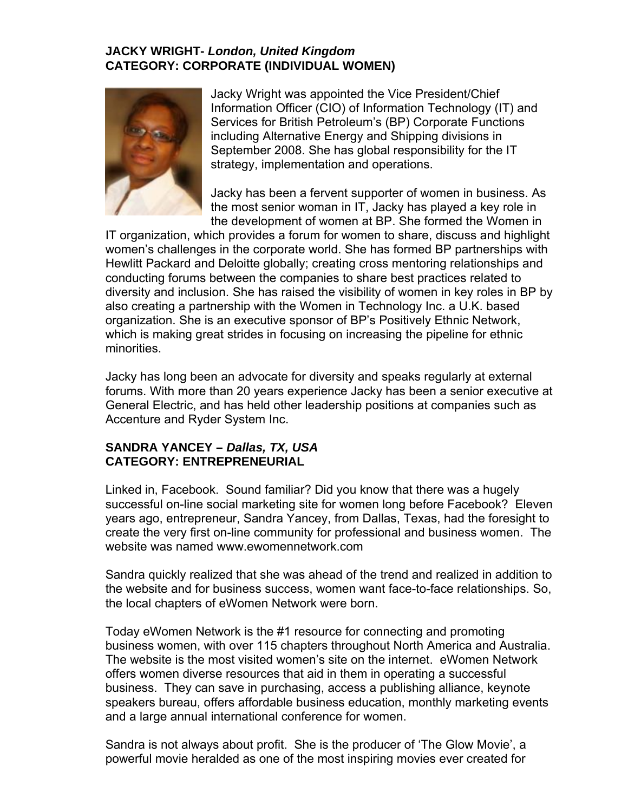## **JACKY WRIGHT-** *London, United Kingdom*  **CATEGORY: CORPORATE (INDIVIDUAL WOMEN)**

![](_page_60_Picture_1.jpeg)

including Alternative Energy and Shipping divisions in September 2008. She has global responsibility for the IT Jacky Wright was appointed the Vice President/Chief Information Officer (CIO) of Information Technology (IT) and Services for British Petroleum's (BP) Corporate Functions strategy, implementation and operations.

Jacky has been a fervent supporter of women in business. As the most senior woman in IT, Jacky has played a key role in the development of women at BP. She formed the Women in

IT organization, which provides a forum for women to share, discuss and highlight women's challenges in the corporate world. She has formed BP partnerships with Hewlitt Packard an d Deloitte globally; creating cross mentoring relationships and conducting forums between the companies to share best practices related to diversity and inclusion. She has raised the visibility of women in key roles in BP by also creating a partnership with the Women in Technology Inc. a U.K. based organization. She is an executive sponsor of BP's Positively Ethnic Network, which is making great strides in focusing on increasing the pipeline for ethnic minorities.

Jacky has long been an advocate for diversity and speaks regularly at external forums. With more than 20 years experience Jacky has been a senior executive at General Electric, and has held other leadership positions at companies such as Accenture and Ryder System Inc.

### **SANDRA YANCEY –** *Dallas, TX, USA*  **CATEGORY: ENTREPRENEURIAL**

successful on-line social marketing site for women long before Facebook? Eleven Linked in, Facebook. Sound familiar? Did you know that there was a hugely years ago, entrepreneur, Sandra Yancey, from Dallas, Texas, had the foresight to create the very first on-line community for professional and business women. The website was named www.ewomennetwork.com

Sandra quickly realized that she was ahead of the trend and realized in addition to the website and for business success, women want face-to-face relationships. So, the local chapters of eWomen Network were born.

. business women, with over 115 chapters throughout North America and Australia business. They can save in purchasing, access a publishing alliance, keynote Today eWomen Network is the #1 resource for connecting and promoting The website is the most visited women's site on the internet. eWomen Network offers women diverse resources that aid in them in operating a successful speakers bureau, offers affordable business education, monthly marketing events and a large annual international conference for women.

Sandra is not always about profit. She is the producer of 'The Glow Movie', a powerful movie heralded as one of the most inspiring movies ever created for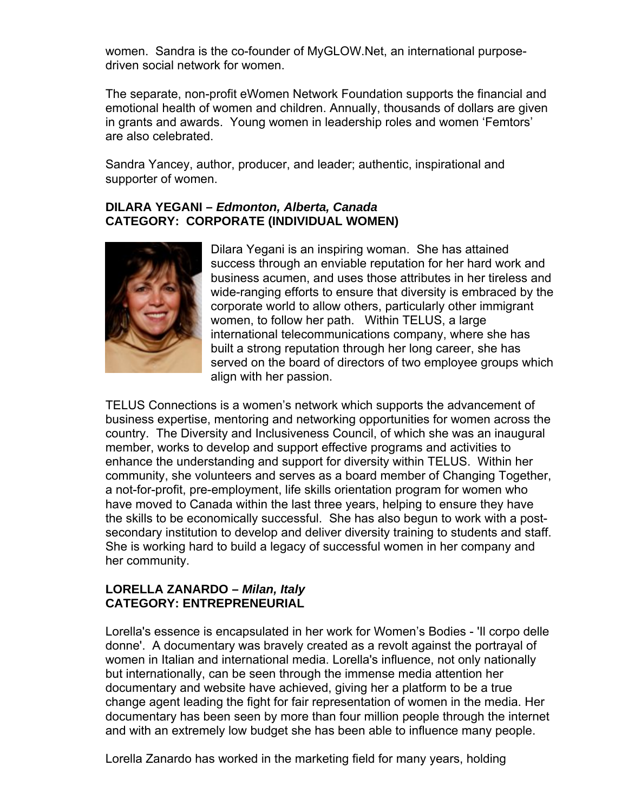women. Sandra is the co-founder of MyGLOW.Net, an international purposedriven social network for women.

The separate, non-profit eWomen Network Foundation supports the financial and emotional health of women and children. Annually, thousands of dollars are given in grants and awards. Young women in leadership roles and women 'Femtors' are also celebrated.

Sandra Yancey, author, producer, and leader; authentic, inspirational and supporter of women.

#### **DILARA YEGANI –** *Edmonton, Alberta, Canada*  **CATEGORY: CORPORATE (INDIVIDUAL WOMEN)**

![](_page_61_Picture_4.jpeg)

Dilara Yegani is an inspiring woman. She has attained success through an enviable reputation for her hard work and business acumen, and uses those attributes in her tireless and wide-ranging efforts to ensure that diversity is embraced by the corporate world to allow others, particularly other immigrant women, to follow her path. Within TELUS, a large international telecommunications company, where she has built a strong reputation through her long career, she has served on the board of directors of two employee groups which align with her passion.

TELUS Connections is a women's network which supports the advancement of business expertise, mentoring and networking opportunities for women across the country. The Diversity and Inclusiveness Council, of which she was an inaugural member, works to develop and support effective programs and activities to enhance the understanding and support for diversity within TELUS. Within her community, she volunteers and serves as a board member of Changing Together, a not-for-profit, pre-employment, life skills orientation program for women who have moved to Canada within the last three years, helping to ensure they have the skills to be economically successful. She has also begun to work with a postsecondary institution to develop and deliver diversity training to students and staff. She is working hard to build a legacy of successful women in her company and her community.

### **LORELLA ZANARDO –** *Milan, Italy*  **CATEGORY: ENTREPRENEURIAL**

Lorella's essence is encapsulated in her work for Women's Bodies - 'Il corpo delle donne'. A documentary was bravely created as a revolt against the portrayal of women in Italian and international media. Lorella's influence, not only nationally but internationally, can be seen through the immense media attention her documentary and website have achieved, giving her a platform to be a true change agent leading the fight for fair representation of women in the media. Her documentary has been seen by more than four million people through the internet and with an extremely low budget she has been able to influence many people.

Lorella Zanardo has worked in the marketing field for many years, holding